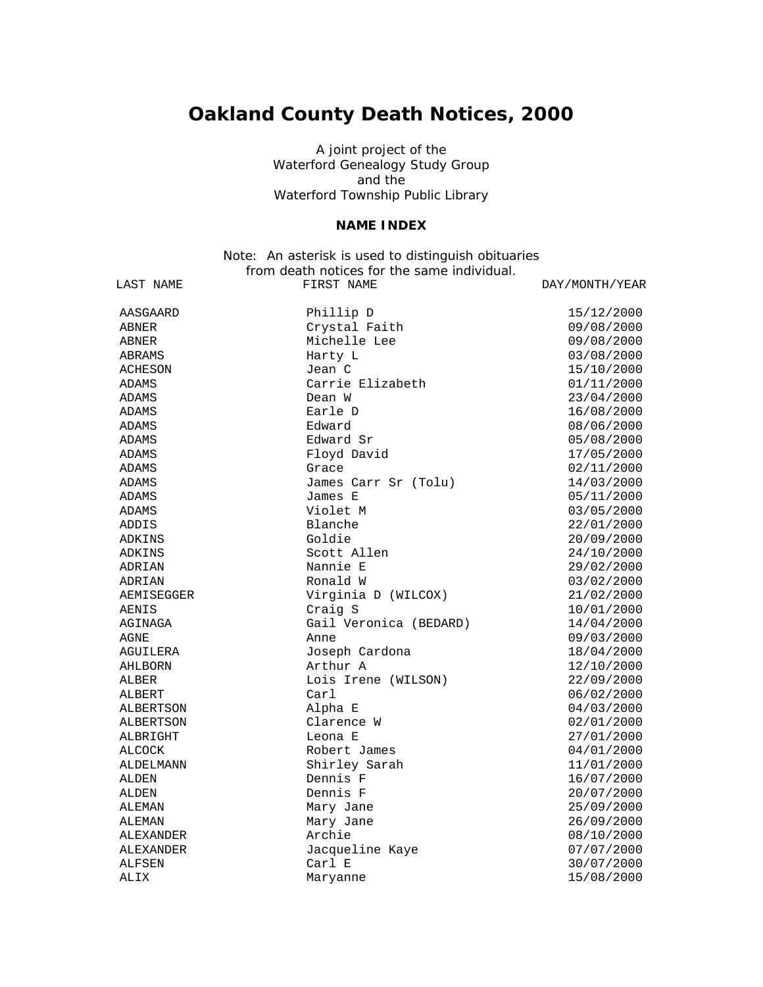## **Oakland County Death Notices, 2000**

A joint project of the Waterford Genealogy Study Group and the Waterford Township Public Library

## **NAME INDEX**

## Note: An asterisk is used to distinguish obituaries from death notices for the same individual.

| LAST NAME  | FIRST NAME             | DAY/MONTH/YEAR |
|------------|------------------------|----------------|
| AASGAARD   | Phillip D              | 15/12/2000     |
| ABNER      | Crystal Faith          | 09/08/2000     |
| ABNER      | Michelle Lee           | 09/08/2000     |
| ABRAMS     | Harty L                | 03/08/2000     |
| ACHESON    | Jean C                 | 15/10/2000     |
| ADAMS      | Carrie Elizabeth       | 01/11/2000     |
| ADAMS      | Dean W                 | 23/04/2000     |
| ADAMS      | Earle D                | 16/08/2000     |
| ADAMS      | Edward                 | 08/06/2000     |
| ADAMS      | Edward Sr              | 05/08/2000     |
| ADAMS      | Floyd David            | 17/05/2000     |
| ADAMS      | Grace                  | 02/11/2000     |
| ADAMS      | James Carr Sr (Tolu)   | 14/03/2000     |
| ADAMS      | James E                | 05/11/2000     |
| ADAMS      | Violet M               | 03/05/2000     |
| ADDIS      | Blanche                | 22/01/2000     |
| ADKINS     | Goldie                 | 20/09/2000     |
| ADKINS     | Scott Allen            | 24/10/2000     |
| ADRIAN     | Nannie E               | 29/02/2000     |
| ADRIAN     | Ronald W               | 03/02/2000     |
| AEMISEGGER | Virginia D (WILCOX)    | 21/02/2000     |
| AENIS      | Craig S                | 10/01/2000     |
| AGINAGA    | Gail Veronica (BEDARD) | 14/04/2000     |
| AGNE       | Anne                   | 09/03/2000     |
| AGUILERA   | Joseph Cardona         | 18/04/2000     |
| AHLBORN    | Arthur A               | 12/10/2000     |
| ALBER      | Lois Irene (WILSON)    | 22/09/2000     |
| ALBERT     | Carl                   | 06/02/2000     |
| ALBERTSON  | Alpha E                | 04/03/2000     |
| ALBERTSON  | Clarence W             | 02/01/2000     |
| ALBRIGHT   | Leona E                | 27/01/2000     |
| ALCOCK     | Robert James           | 04/01/2000     |
| ALDELMANN  | Shirley Sarah          | 11/01/2000     |
| ALDEN      | Dennis F               | 16/07/2000     |
| ALDEN      | Dennis F               | 20/07/2000     |
| ALEMAN     | Mary Jane              | 25/09/2000     |
| ALEMAN     | Mary Jane              | 26/09/2000     |
| ALEXANDER  | Archie                 | 08/10/2000     |
| ALEXANDER  | Jacqueline Kaye        | 07/07/2000     |
| ALFSEN     | Carl E                 | 30/07/2000     |
| ALIX       | Maryanne               | 15/08/2000     |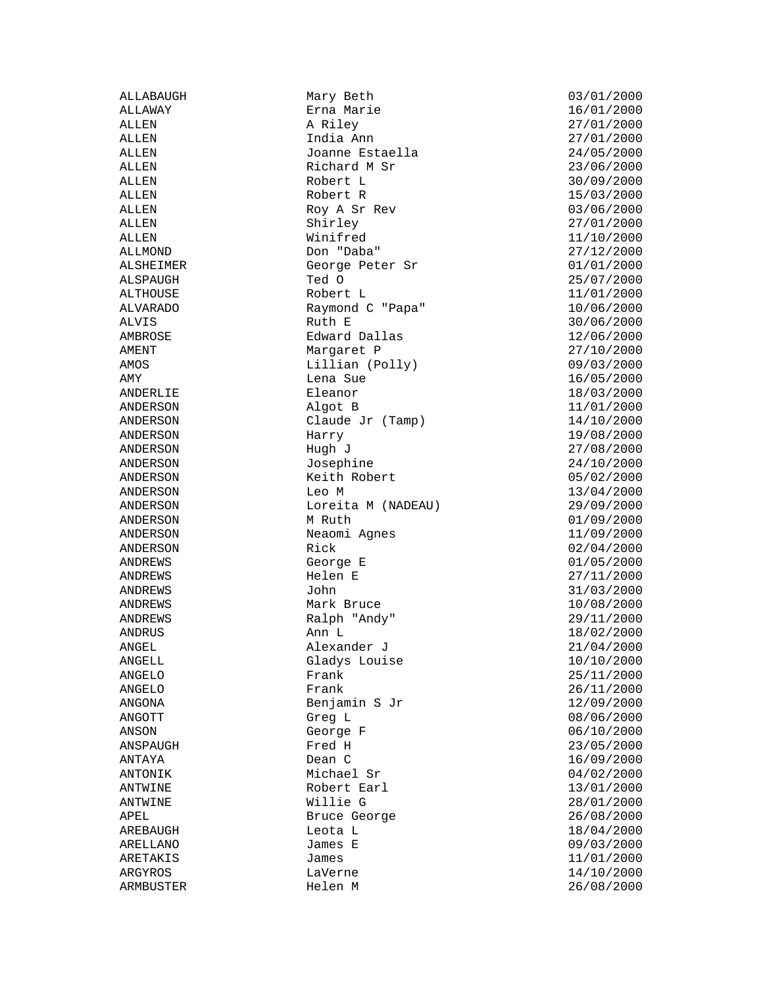ALLABAUGH Mary Beth 03/01/2000<br>ALLAWAY Erna Marie 16/01/2000 Erna Marie ALLEN A Riley 27/01/2000 ALLEN India Ann 27/01/2000 ALLEN Joanne Estaella 24/05/2000 Richard M Sr 23/06/2000 ALLEN Robert L 30/09/2000 ALLEN Robert R 15/03/2000 ALLEN Roy A Sr Rev 03/06/2000 ALLEN Shirley 27/01/2000 ALLEN Winifred 11/10/2000 ALLMOND Don "Daba" 27/12/2000 ALSHEIMER George Peter Sr 01/01/2000 ALSPAUGH Ted O 25/07/2000<br>ALTHOUSE Robert L 2000 21/01/2000 ALVARADO Raymond C "Papa" 10/06/2000 ALVIS Ruth E 30/06/2000 AMBROSE Edward Dallas 12/06/2000 Margaret P 27/10/2000 AMOS Lillian (Polly) 09/03/2000 AMY 16/05/2000 Lena Sue 16/05/2000 ANDERLIE Eleanor Eleanor 18/03/2000 ANDERSON Algot B 11/01/2000 ANDERSON Claude Jr (Tamp) 14/10/2000 ANDERSON Harry 19/08/2000<br>ANDERSON Hugh J 27/08/2000 Hugh J 27/08/2000 ANDERSON Josephine 24/10/2000 Keith Robert 05/02/2000 ANDERSON Leo M 13/04/2000 ANDERSON Loreita M (NADEAU) 29/09/2000 ANDERSON M Ruth M Ruth 01/09/2000<br>ANDERSON Neaomi Agnes 11/09/2000 Neaomi Agnes ANDERSON Rick Rick 02/04/2000 ANDREWS George E 01/05/2000 ANDREWS Helen E 27/11/2000 ANDREWS Mark Bruce 10/08/2000 ANDREWS Ralph "Andy" 29/11/2000 ANDRUS Ann L 18/02/2000 Alexander J 21/04/2000 ANGELL Gladys Louise 10/10/2000 ANGELO **Frank** 25/11/2000 ANGELO **Frank** 26/11/2000 ANGONA Benjamin S Jr 12/09/2000 ANGOTT Greg L 08/06/2000 ANSON George F 06/10/2000 ANSPAUGH **Fred H** 23/05/2000 ANTAYA Dean C 16/09/2000 ANTONIK Michael Sr  $04/02/2000$ <br>ANTWINE Robert Earl  $13/01/2000$ Robert Earl 13/01/2000 ANTWINE Willie G 28/01/2000 APEL Bruce George 26/08/2000 AREBAUGH Leota L Leota L 18/04/2000 ARELLANO James E 09/03/2000 ARETAKIS James James 11/01/2000 ARGYROS LaVerne 14/10/2000 ARMBUSTER Helen M 26/08/2000

 $11/01/2000$ 31/03/2000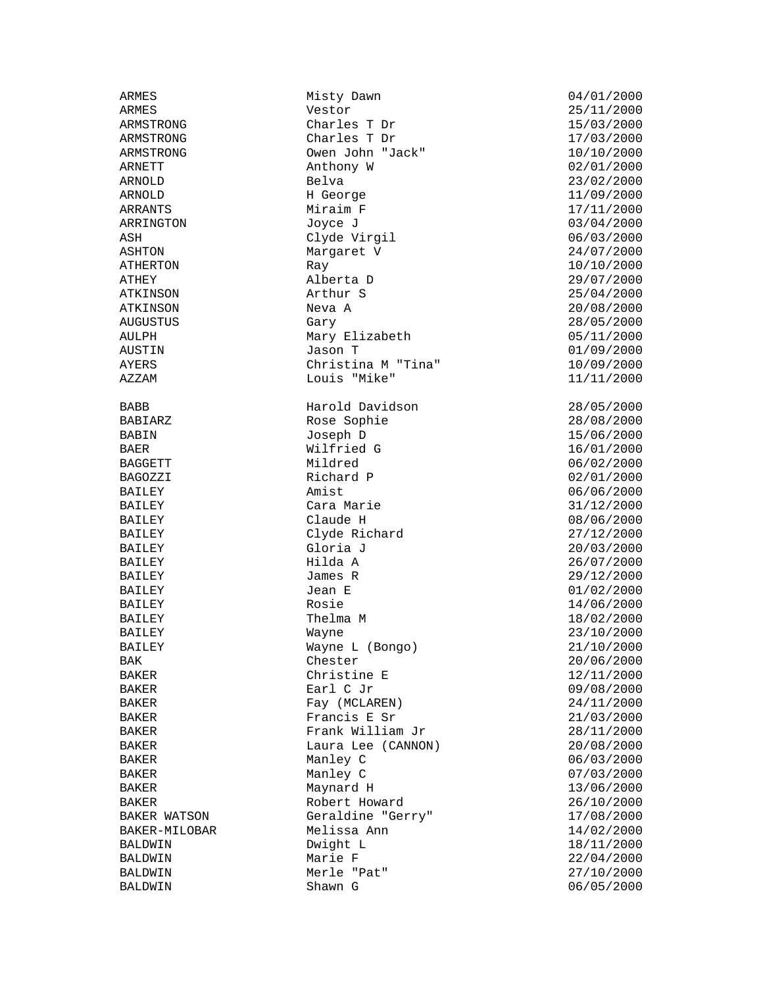ATHEY Alberta D 29/07/2000 ATKINSON Neva<br>AUGUSTUS Gary

ARMES Misty Dawn 1999 Misty Dawn 1999 104/01/2000<br>ARMES Mestor 1999 Mestor 25/11/2000 Vestor 25/11/2000 ARMSTRONG Charles T Dr 15/03/2000 ARMSTRONG Charles T Dr<br>ARMSTRONG Owen John "Jack" 10/10/2000 Owen John "Jack" 10/10/2000 ARNETT Anthony W 02/01/2000 ARNOLD Belva 23/02/2000 ARNOLD H George 11/09/2000 ARRANTS<br>
ARRINGTON Miraim F 17/11/2000<br>
Joyce J 03/04/2000 ARRINGTON Joyce J 03/04/2000 ASH Clyde Virgil 06/03/2000 ASHTON Margaret V 24/07/2000 ATHERTON Ray Ray 10/10/2000<br>ATHEY 29/07/2000 ATHEY Alberta D Arthur S<br>
Neva A 20/08/2000 AUGUSTUS Gary 28/05/2000 AULPH Mary Elizabeth 05/11/2000<br>AUSTIN Jason T 01/09/2000 AUSTIN Jason T 01/09/2000 Christina M "Tina"  $10/09/2000$ AZZAM Louis "Mike" 11/11/2000 BABB Harold Davidson 28/05/2000<br>BABIARZ Rose Sophie 28/08/2000 Rose Sophie 28/08/2000<br>Joseph D 28/06/2000 BABIN Joseph D 15/06/2000 BAER Wilfried G 16/01/2000 BAGGETT Mildred 06/02/2000 BAGOZZI Richard P 02/01/2000 BAILEY **Amist** 2000 **Amist** 2000 **Amist** 2000 BAILEY Cara Marie 31/12/2000 BAILEY Claude H 08/06/2000<br>BAILEY Clyde Richard 27/12/2000<br>BAILEY Cloria J 20/03/2000 Clyde Richard BAILEY Gloria J 20/03/2000 BAILEY Hilda A 26/07/2000 BAILEY James R 29/12/2000 BAILEY Jean E 01/02/2000 BAILEY Rosie Rosie 14/06/2000 BAILEY Thelma M 18/02/2000<br>BAILEY Wayne Wayne 23/10/2000 BAILEY Wayne 23/10/2000 Wayne L (Bongo) 21/10/2000 BAK 20/06/2000 Chester 20/06/2000 BAKER Christine E 12/11/2000 BAKER **Earl C** Jr 09/08/2000 BAKER Fay (MCLAREN) 24/11/2000 BAKER Francis E Sr 21/03/2000 Frank William Jr  $28/11/2000$ BAKER Laura Lee (CANNON) 20/08/2000 BAKER Manley C 06/03/2000 BAKER Manley C 07/03/2000 Maynard H BAKER Robert Howard 26/10/2000 BAKER WATSON Geraldine "Gerry" 17/08/2000<br>BAKER-MILOBAR Melissa Ann 14/02/2000 Melissa Ann 14/02/2000 BALDWIN Dwight L 18/11/2000 BALDWIN Marie F 22/04/2000 BALDWIN Merle "Pat" 27/10/2000

 $06/05/2000$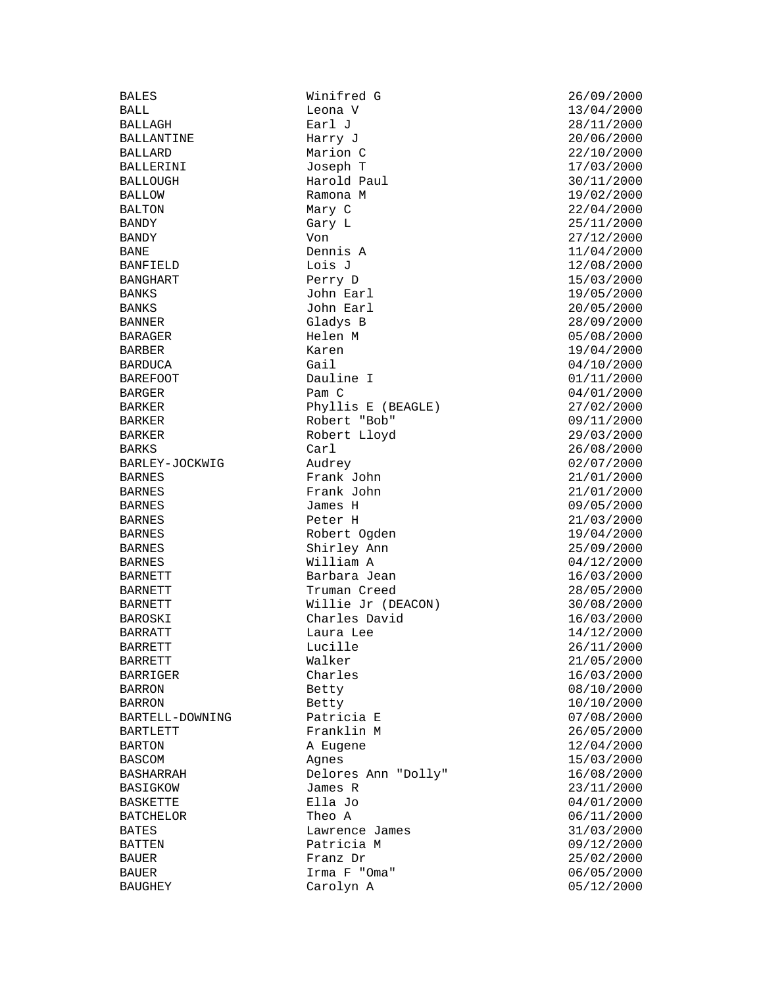BANKS John Earl<br>BANKS John Earl

BALES Winifred G 26/09/2000<br>BALL Leona V 13/04/2000 Leona V 13/04/2000<br>Earl J 28/11/2000 BALLAGH **Earl J** 28/11/2000 BALLANTINE Harry J 20/06/2000 BALLARD Marion C 22/10/2000 BALLERINI Joseph T 17/03/2000 Harold Paul 30/11/2000 BALLOW Ramona M 19/02/2000 BALTON Mary C 22/04/2000 BANDY Gary L 25/11/2000 BANDY Von 27/12/2000 BANE Dennis A 11/04/2000 BANFIELD Lois J<br>BANGHART Derry D 12/08/2000 BANGHART Perry D 15/03/2000 John Earl 20/05/2000<br>Gladys B 28/09/2000 BANNER Gladys B 28/09/2000 BARAGER Helen M 05/08/2000 BARDUCA Gail Gail 04/10/2000 BAREFOOT Dauline I Dauline Dauline Dauline I 01/11/2000 BARGER Pam C 04/01/2000 Phyllis E (BEAGLE) 27/02/2000 BARKER Robert "Bob" 09/11/2000 Robert Lloyd 29/03/2000 BARKS Carl 26/08/2000 BARLEY-JOCKWIG Audrey 02/07/2000 BARNES Frank John 21/01/2000 BARNES Frank John 21/01/2000 BARNES James H 09/05/2000 BARNES Peter H 21/03/2000 BARNES Robert Ogden 19/04/2000 BARNES Shirley Ann 25/09/2000 BARNES William A 04/12/2000 BARNETT Barbara Jean 16/03/2000 BARNETT TRUMAN Creed 28/05/2000<br>BARNETT Willie Jr (DEACON) 30/08/2000 Willie Jr (DEACON) 30/08/2000 BAROSKI Charles David 16/03/2000 BARRATT Laura Lee  $14/12/2000$ <br>BARRETT Lucille 26/11/2000 Lucille 26/11/2000 BARRETT Walker 21/05/2000 BARRIGER Charles Charles 16/03/2000 BARRON Betty 08/10/2000 BARRON Betty 10/10/2000 BARTELL-DOWNING Patricia E 07/08/2000 BARTLETT Franklin M 36/05/2000 BARTON A Eugene 12/04/2000 BASCOM Agnes 15/03/2000 Delores Ann "Dolly" 16/08/2000<br>James R 23/11/2000 BASIGKOW James R 23/11/2000 BASKETTE Ella Jo 04/01/2000 BATCHELOR Theo A 06/11/2000 BATES Lawrence James 31/03/2000 BATTEN **Patricia M** 09/12/2000 BAUER Franz Dr 25/02/2000 BAUER Irma F "Oma" 06/05/2000 Carolyn A  $05/12/2000$ 

BARBER Karen 19/04/2000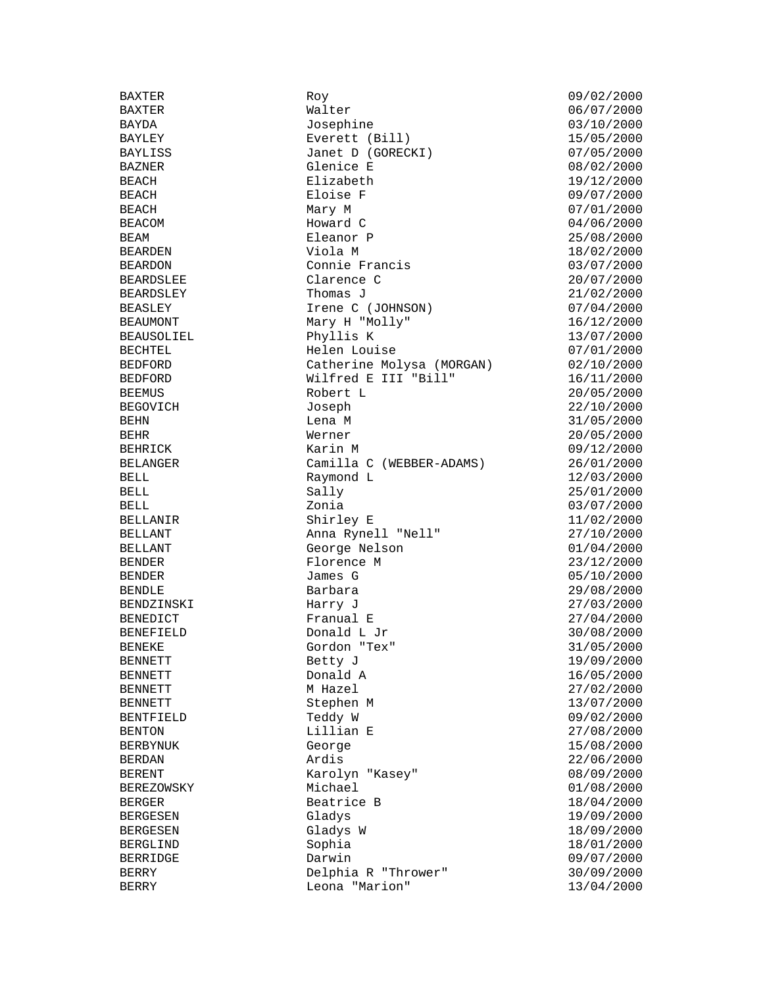BEARDSLEE Clarence C<br>BEARDSLEY Thomas J

BAXTER Roy 09/02/2000 Walter 06/07/2000 BAYDA Josephine 03/10/2000 BAYLEY Everett (Bill) 15/05/2000 Janet D (GORECKI) 07/05/2000 BAZNER Glenice E 08/02/2000 BEACH Elizabeth 19/12/2000 BEACH Eloise F 09/07/2000 BEACH Mary M 07/01/2000 BEACOM Howard C 04/06/2000 BEAM BEAM Eleanor P 25/08/2000 BEARDEN Viola M 18/02/2000 BEARDON Connie Francis (03/07/2000)<br>BEARDSLEE Clarence C (20/07/2000) BEARDSLEY Thomas J<br>BEASLEY Thomas J<br>Irene C (JOHNSON) 1999 21/02/2000 BEASLEY Irene C (JOHNSON) 07/04/2000 BEAUMONT Mary H "Molly" 16/12/2000 BEAUSOLIEL Phyllis K 13/07/2000 Helen Louise 07/01/2000 BEDFORD Catherine Molysa (MORGAN) 02/10/2000 BEDFORD Wilfred E III "Bill" 16/11/2000 BEEMUS Robert L 20/05/2000 BEGOVICH Joseph 22/10/2000 BEHN Lena M 31/05/2000 BEHR Werner 20/05/2000 BEHRICK Karin M 09/12/2000 BELANGER Camilla C (WEBBER-ADAMS) 26/01/2000 BELL 12/03/2000 Raymond L 12/03/2000 BELL 25/01/2000 Sally 25/01/2000 BELL Zonia 03/07/2000 BELLANIR Shirley E 11/02/2000 BELLANT Anna Rynell "Nell"<br>BELLANT George Nelson George Nelson 01/04/2000 BENDER Florence M 23/12/2000 BENDER James G 05/10/2000 BENDLE Barbara 29/08/2000 BENDZINSKI Harry J 27/03/2000 BENEDICT Franual E 27/04/2000 BENEFIELD Donald L Jr 30/08/2000 Gordon "Tex" 31/05/2000 BENNETT Betty J 19/09/2000 BENNETT Donald A 16/05/2000 BENNETT M Hazel 27/02/2000 BENNETT Stephen M 13/07/2000 BENTFIELD Teddy W 09/02/2000 BENTON Lillian E 27/08/2000 BERBYNUK George 15/08/2000 BERDAN Ardis 22/06/2000 Karolyn "Kasey" 08/09/2000<br>Michael 01/08/2000 BEREZOWSKY Michael 01/08/2000 BERGER Beatrice B 18/04/2000 BERGESEN Gladys (Gladys 19/09/2000)<br>BERGESEN Gladys W 18/09/2000 Gladys W 18/09/2000 BERGLIND Sophia 18/01/2000 BERRIDGE Darwin Darwin 199/07/2000 BERRY Delphia R "Thrower" 30/09/2000 BERRY Leona "Marion" 13/04/2000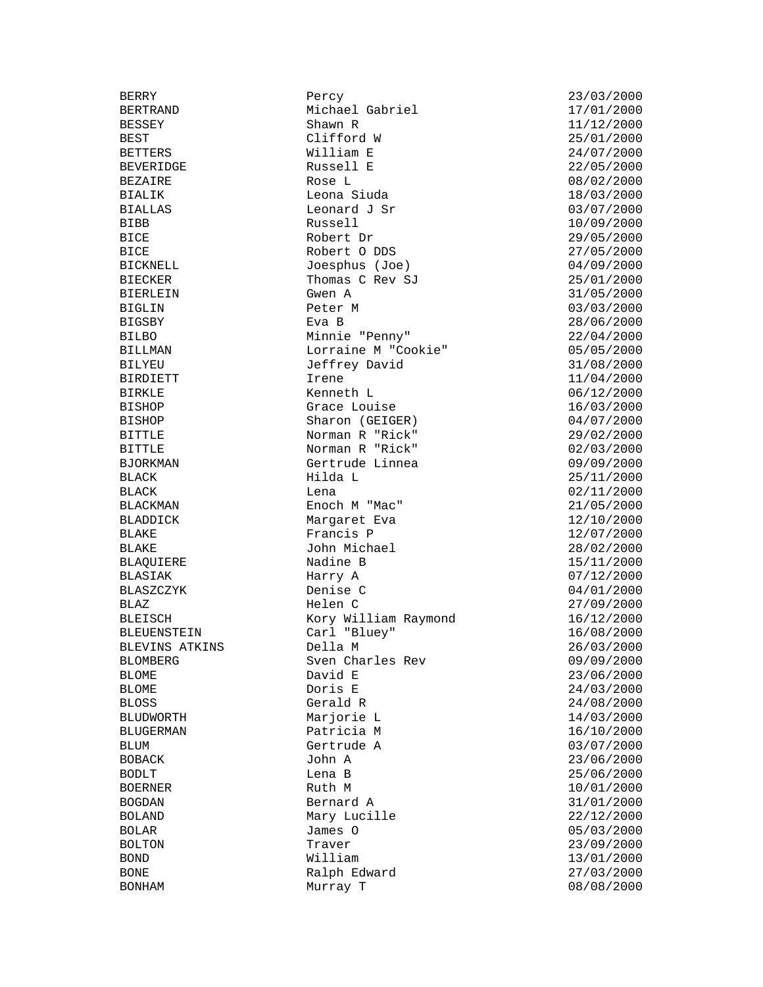BIERLEIN Gwen A<br>BIGLIN Peter M

BERRY Percy 23/03/2000 BERTRAND Michael Gabriel BESSEY Shawn R 11/12/2000 BEST Clifford W 25/01/2000 William E 24/07/2000 BEVERIDGE Russell E 22/05/2000 BEZAIRE Rose L 08/02/2000 BIALIK Leona Siuda 18/03/2000 BIALLAS Leonard J Sr 03/07/2000 BIBB Russell 10/09/2000 BICE Robert Dr 29/05/2000 BICE Robert O DDS 27/05/2000 BICKNELL Joesphus (Joe) 04/09/2000 BIECKER Thomas C Rev SJ 25/01/2000 BIGLIN Peter M 03/03/2000 BIGSBY Eva B 28/06/2000 BILBO Minnie "Penny" 22/04/2000<br>BILLMAN Lorraine M "Cookie" 05/05/2000<br>BILLMAN Lorraine M "Cookie" 05/05/2000 Lorraine M "Cookie" 05/05/2000 BILYEU Jeffrey David 31/08/2000 BIRDIETT 11/04/2000 Irene 11/04/2000 BIRKLE Kenneth L 06/12/2000 Grace Louise 16/03/2000 BISHOP Sharon (GEIGER) 04/07/2000 BITTLE Norman R "Rick" 29/02/2000 BITTLE Norman R "Rick" 02/03/2000<br>BJORKMAN Gertrude Linnea 09/09/2000 BJORKMAN Gertrude Linnea 09/09/2000 BLACK Hilda L 25/11/2000 BLACK Lena 02/11/2000 BLACKMAN Enoch M "Mac" 21/05/2000 BLADDICK Margaret Eva 12/10/2000 Francis P BLAKE John Michael 28/02/2000 BLAQUIERE Nadine B 15/11/2000 BLASIAK Harry A 07/12/2000 Denise C<br>Black denise C 04/01/2000<br>27/09/2000 BLAZ **Helen C** 27/09/2000 BLEISCH Kory William Raymond 16/12/2000 BLEUENSTEIN Carl "Bluey" 16/08/2000<br>BLEVINS ATKINS Della M 26/03/2000 BLEVINS ATKINS Della M 26/03/2000 BLOMBERG Sven Charles Rev 09/09/2000 BLOME David E 23/06/2000 BLOME Doris E 24/03/2000 BLOSS Gerald R 24/08/2000 BLUDWORTH Marjorie L<br>BLUGERMAN Patricia M<br>Patricia M<br>16/10/2000 Patricia M 16/10/2000 BLUM Gertrude A 03/07/2000 BOBACK John A 23/06/2000 BODLT Lena B 25/06/2000 BOGDAN Bernard A 31/01/2000 BOLAND Mary Lucille 22/12/2000<br>BOLAR James O 30000 05/03/2000 BOLAR James O 05/03/2000 BOLTON Traver 23/09/2000 BOND **William**  $13/01/2000$ BONE Ralph Edward 27/03/2000 Murray T 08/08/2000

 $10/01/2000$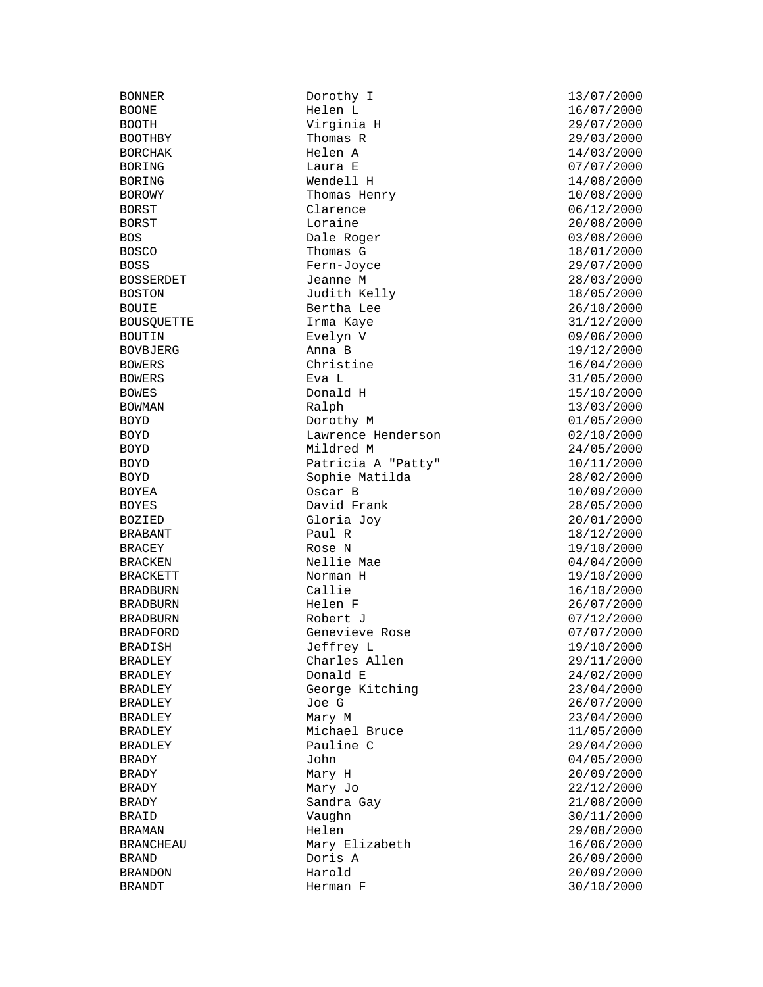BONNER Dorothy I 13/07/2000 BOOTH Virginia H 29/07/2000 BOOTHBY Thomas R 29/03/2000 BORCHAK Helen A 14/03/2000 BORING Laura E 07/07/2000 BORING Wendell H 14/08/2000 BOROWY Thomas Henry 10/08/2000 BORST Clarence 06/12/2000 BORST Loraine 20/08/2000 BOS Dale Roger 03/08/2000 BOSCO Thomas G 18/01/2000 BOSS Fern-Joyce 29/07/2000 BOSSERDET Jeanne M 28/03/2000 Judith Kelly BOUIE Bertha Lee 26/10/2000 BOUSQUETTE **Irma Kaye** Irma Provident and the 31/12/2000 BOUTIN Evelyn V 09/06/2000 BOWERS Christine Christine 16/04/2000 BOWERS Eva L 31/05/2000 BOWES Donald H 15/10/2000 BOWMAN Ralph 13/03/2000 BOYD Dorothy M 01/05/2000 BOYD Lawrence Henderson 02/10/2000 BOYD Mildred M 24/05/2000 BOYD Patricia A "Patty" 10/11/2000 BOYD Sophie Matilda 28/02/2000 BOYEA Oscar B 10/09/2000 BOYES David Frank 28/05/2000 BOZIED Gloria Joy 20/01/2000 BRACEY Rose N 19/10/2000 BRACKEN Nellie Mae 04/04/2000 BRACKETT Norman H 19/10/2000 BRADBURN Callie 16/10/2000<br>BRADBURN Helen F 26/07/2000 BRADBURN Helen F 26/07/2000 BRADBURN Robert J 07/12/2000 BRADFORD Genevieve Rose 07/07/2000 BRADISH Jeffrey L 19/10/2000 BRADLEY Charles Allen 29/11/2000 BRADLEY Donald E 24/02/2000 BRADLEY George Kitching BRADLEY Joe G 26/07/2000 BRADLEY Mary M<sub>ary</sub> Mary M<sub>ary</sub> M<sub>ary</sub> M<sub>ary</sub> M<sub>ary</sub> M<sub>ary</sub> M<sub>ary</sub> M<sub>ary</sub> M<sub>ary</sub> M<sub>ary</sub> M<sub>ary</sub> M<sub>ary</sub> M<sub>ary</sub> M<sub>ary</sub> M<sub>ary</sub> M<sub>ary</sub> M<sub>ary</sub> M<sub>ary</sub> M<sub>ary</sub> M<sub>ary</sub> M<sub>ary</sub> M<sub>ary</sub> M<sub>ary</sub> M<sub>ary</sub> M<sub>ary</sub> M<sub>ary</sub> M<sub>ary</sub> M<sub>ary</sub> M<sub>ary</sub> M BRADLEY Michael Bruce 11/05/2000 BRADLEY Pauline C 29/04/2000 BRADY John 04/05/2000 BRADY Mary H 20/09/2000<br>BRADY Mary Jo 22/12/2000 BRADY Sandra Gay 21/08/2000 BRAID Vaughn 30/11/2000 BRAMAN Helen 29/08/2000 BRANCHEAU Mary Elizabeth 16/06/2000 BRAND Doris A 26/09/2000 BRANDON Harold 20/09/2000

BOONE Helen L 16/07/2000 BOVBJERG Anna B 19/12/2000 18/12/2000  $22/12/2000$  $30/10/2000$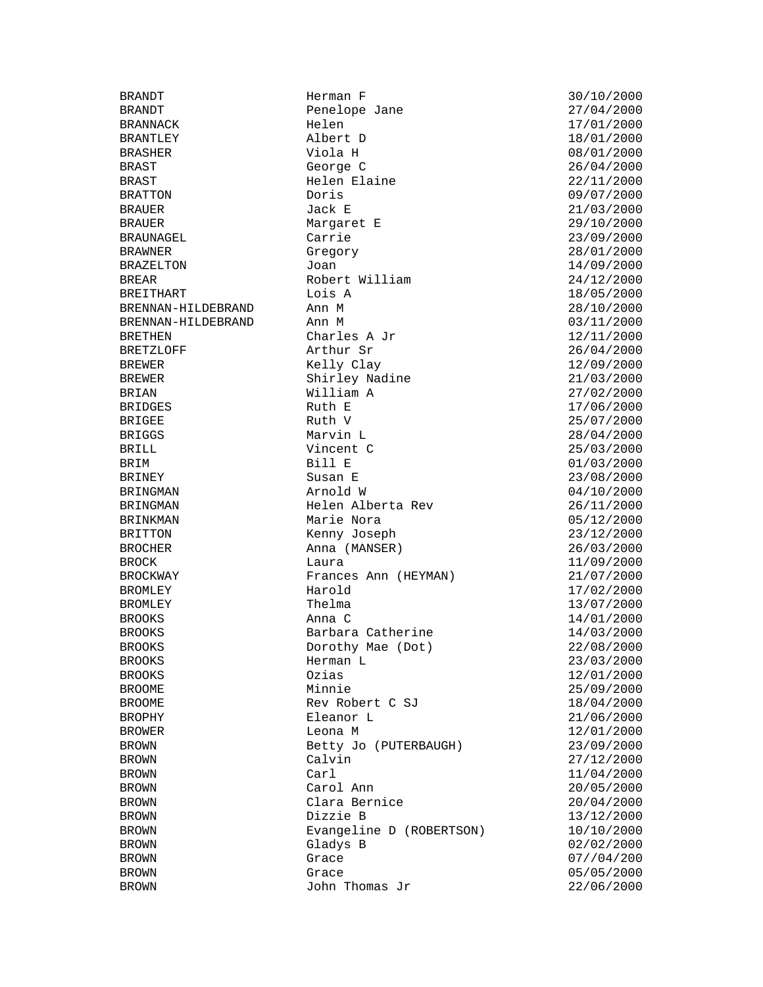BRANNACK Helen Helen 17/01/2000 BRANTLEY Albert D 18/01/2000 BRAST George C 26/04/2000 BRAST Helen Elaine 22/11/2000 BRATTON Doris 09/07/2000 BRAUER Jack E 21/03/2000 BRAUER Margaret E 29/10/2000 BRAUNAGEL Carrie 23/09/2000 BRAWNER Gregory 28/01/2000 BRAZELTON Joan Joan 14/09/2000 BREAR Robert William 24/12/2000<br>BREITHART Lois A Lois A 18/05/2000 BREITHART LOIS A 18/05/2000<br>BRENNAN-HILDEBRAND Ann M BRENNAN-HILDEBRAND Ann M 28/10/2000 BRENNAN-HILDEBRAND Ann M 03/11/2000 BRETHEN Charles A Jr 12/11/2000<br>BRETZLOFF Arthur Sr 26/04/2000 BREWER Kelly Clay 12/09/2000 BREWER Shirley Nadine 21/03/2000 BRIAN William A 27/02/2000 BRIDGES Ruth E 17/06/2000 BRIGEE Ruth V 25/07/2000 BRIGGS Marvin L 28/04/2000 BRILL Vincent C 25/03/2000 BRIM Bill E 01/03/2000 BRINEY Susan E 23/08/2000 BRINGMAN Arnold W  $\alpha$  and W 04/10/2000 BRINGMAN Helen Alberta Rev 26/11/2000 BRINKMAN Marie Nora (1971)<br>BRITTON Menny Joseph (23/12/2000) BRITTON Kenny Joseph 23/12/2000<br>BROCHER 23/12/2000 Anna (MANSER) BROCK Laura Laura 11/09/2000 BROCKWAY Frances Ann (HEYMAN) 21/07/2000 BROMLEY **Harold** 17/02/2000 BROMLEY Thelma 13/07/2000 BROOKS Anna C 14/01/2000 BROOKS Barbara Catherine 14/03/2000 BROOKS Dorothy Mae (Dot) 22/08/2000 BROOKS Herman L 23/03/2000 BROOKS Ozias 12/01/2000 BROOME Minnie 25/09/2000 BROOME Rev Robert C SJ 18/04/2000 BROPHY Eleanor L 21/06/2000 BROWER Leona M 12/01/2000 BROWN Betty Jo (PUTERBAUGH) 23/09/2000 BROWN Calvin 27/12/2000 BROWN Carl Carl 11/04/2000<br>BROWN Carol Ann 20/05/2000 BROWN Carol Ann 20/05/2000 BROWN Clara Bernice 20/04/2000 BROWN Dizzie B 13/12/2000 BROWN Evangeline D (ROBERTSON) 10/10/2000 BROWN Gladys B 02/02/2000 BROWN Grace  $G$  Grace  $07/04/200$ BROWN Grace 65/05/2000 BROWN John Thomas Jr 22/06/2000

BRANDT Herman F 30/10/2000 Penelope Jane Anna (MANSER) 26/03/2000

08/01/2000  $26/04/2000$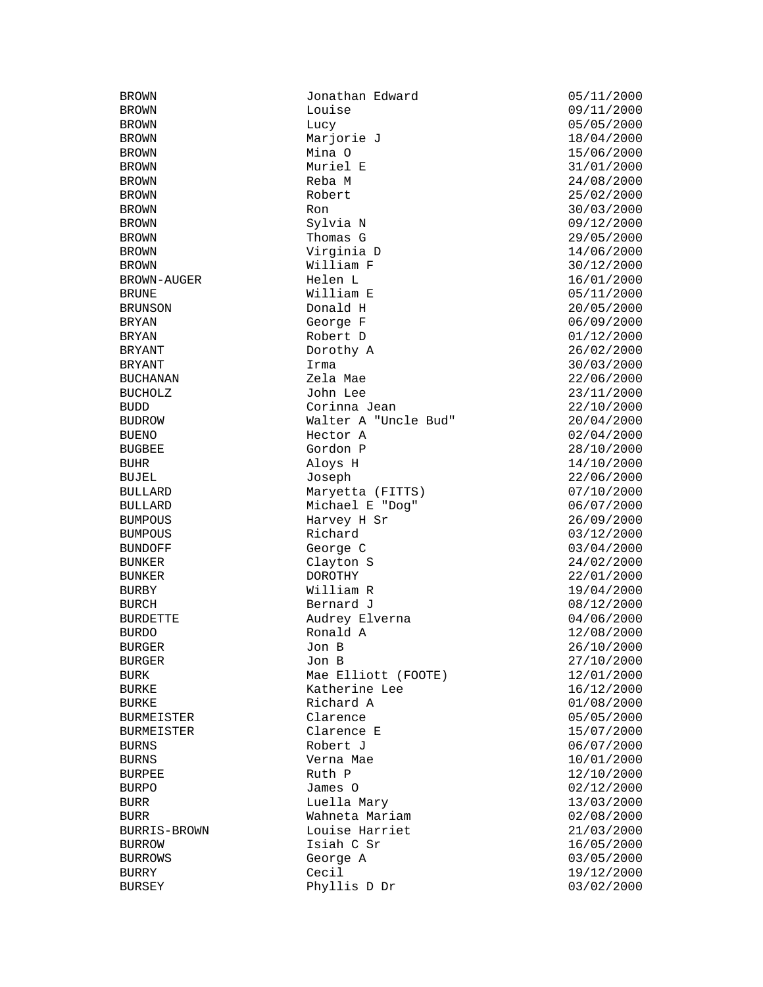BROWN Jonathan Edward 05/11/2000 BROWN Lucy 05/05/2000 BROWN Marjorie J 18/04/2000 BROWN Mina O 15/06/2000 BROWN Muriel E 31/01/2000 BROWN Reba M 24/08/2000 BROWN Robert 25/02/2000 BROWN Ron 30/03/2000 BROWN Sylvia N 09/12/2000 BROWN Thomas G 29/05/2000 BROWN Virginia D 14/06/2000 BROWN William F 30/12/2000 BROWN-AUGER Helen L 16/01/2000 BRUNE William E 05/11/2000 BRUNSON Donald H 20/05/2000 BRYAN George F 06/09/2000 BRYAN Robert D 01/12/2000 Dorothy A 26/02/2000 BRYANT 1rma 1rma 30/03/2000 BUCHANAN Zela Mae 22/06/2000 BUCHOLZ John Lee 23/11/2000 BUDD Corinna Jean 22/10/2000 BUDROW Walter A "Uncle Bud" 20/04/2000 BUENO Hector A 02/04/2000 BUGBEE Gordon P 28/10/2000 BUHR Aloys H 14/10/2000 BUJEL Joseph 22/06/2000 BULLARD Maryetta (FITTS) 07/10/2000 BULLARD Michael E "Dog" 06/07/2000 BUMPOUS Harvey H Sr 26/09/2000<br>BUMPOUS Richard 2001/12/2000 BUNDOFF George C 03/04/2000 BUNKER Clayton S 24/02/2000 BUNKER DOROTHY 22/01/2000 BURBY William R 19/04/2000 BURCH Bernard J 08/12/2000 BURDETTE Audrey Elverna 04/06/2000 BURDO Ronald A 12/08/2000 BURGER Jon B 26/10/2000 BURGER Jon B 27/10/2000 BURK Mae Elliott (FOOTE) 12/01/2000 BURKE ROOM Ratherine Lee 16/12/2000 BURKE **Richard A** 01/08/2000 BURMEISTER Clarence 05/05/2000 BURMEISTER Clarence E 15/07/2000 BURNS Robert J 06/07/2000 BURNS Verna Mae 10/01/2000 BURPEE Ruth P 12/10/2000 BURPO James O 02/12/2000 BURR Luella Mary 13/03/2000 BURR Wahneta Mariam 02/08/2000 BURRIS-BROWN Louise Harriet 21/03/2000 BURROW **Isiah C Sr** 16/05/2000 BURROWS George A 03/05/2000 BURRY Cecil 19/12/2000 Phyllis D Dr 03/02/2000

09/11/2000 03/12/2000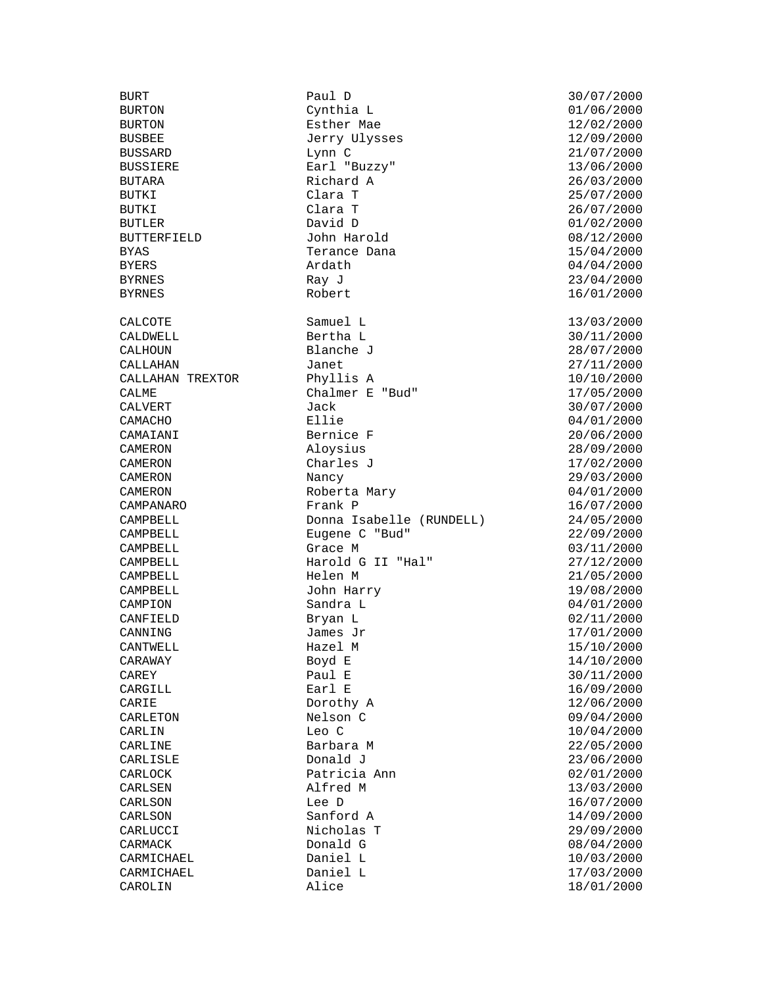CAMPBELL John Harry CAMPION Sandra L

BURT Paul D 30/07/2000 Cynthia L BURTON **Esther Mae** 12/02/2000 BUSBEE Jerry Ulysses 12/09/2000<br>BUSSARD Lynn C Lynn C 21/07/2000 Lynn C 21/07/2000 BUSSIERE **Earl "Buzzy"** 13/06/2000 BUTARA Richard A 26/03/2000 BUTKI Clara T 25/07/2000 BUTKI Clara T 26/07/2000 BUTLER David D 01/02/2000 BUTTERFIELD John Harold 08/12/2000 BYAS Terance Dana 15/04/2000 BYERS Ardath 04/04/2000 BYRNES Ray J 23/04/2000 CALCOTE Samuel L 13/03/2000 CALDWELL Bertha L 30/11/2000 CALHOUN Blanche J 28/07/2000 CALLAHAN Janet 27/11/2000 CALLAHAN TREXTOR Phyllis A 10/10/2000 CALME CALME Chalmer E "Bud" 17/05/2000<br>CALVERT Jack Jack 30/07/2000 CALVERT Jack Jack 30/07/2000 CAMACHO Ellie 04/01/2000 CAMAIANI Bernice F 20/06/2000 Aloysius 28/09/2000 CAMERON Charles J 17/02/2000 CAMERON Nancy 29/03/2000 CAMERON Roberta Mary 04/01/2000<br>CAMPANARO Frank P 16/07/2000 CAMPANARO Frank P 16/07/2000 CAMPBELL Donna Isabelle (RUNDELL) 24/05/2000<br>CAMPBELL Eugene C "Bud" 22/09/2000 CAMPBELL Eugene C "Bud" 22/09/2000 CAMPBELL Harold G II "Hal" 27/12/2000 CAMPBELL Helen M 21/05/2000 Sandra L<br>Bryan L 02/11/2000 CAMPIUN<br>CANFIELD Bryan L 02/11/2000  $CANNING$ <br> $James$   $Jr$ <br> $Hazel$   $M$ <br> $15/10/2000$ <br> $15/10/2000$ CANTWELL Hazel M 15/10/2000  $CARAWAY$  Boyd E  $14/10/2000$ CAREY Paul E 30/11/2000 CARGILL **Earl E** 26/09/2000 CARIE Dorothy A 12/06/2000 CARLETON Nelson C 09/04/2000<br>CARLIN Leo C 10/04/2000 CARLIN Leo C 10/04/2000 CARLINE Barbara M 22/05/2000 CARLISLE Donald J 23/06/2000 CARLOCK Patricia Ann 02/01/2000 Alfred M CARLSON Lee D 16/07/2000 CARLSON Sanford A 14/09/2000<br>CARLUCCI Nicholas T 29/09/2000 Nicholas T<br>Donald G CARMACK Donald G 08/04/2000 CARMICHAEL Daniel L 10/03/2000 CARMICHAEL Daniel L 17/03/2000

BYRNES Robert 16/01/2000 03/11/2000 CAROLIN Alice 18/01/2000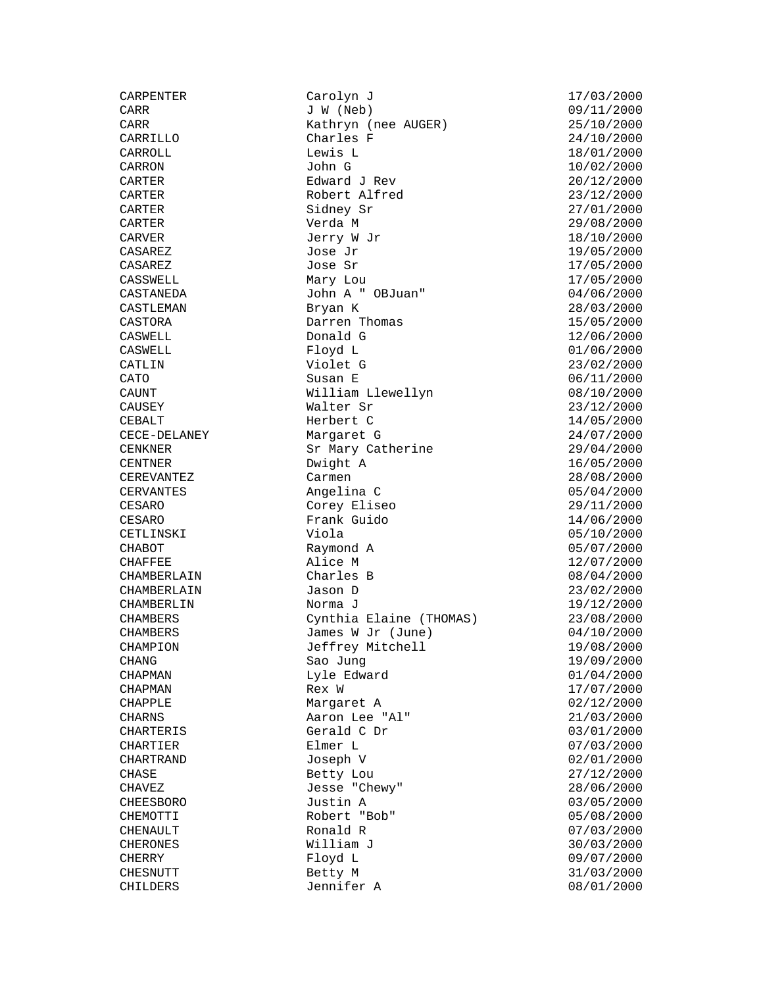CARPENTER Carolyn J 17/03/2000 CARR Kathryn (nee AUGER) 25/10/2000<br>CARRILLO Charles F 24/10/2000 Charles F 24/10/2000<br>
Lewis L 18/01/2000 CARROLL Lewis L 18/01/2000  $\text{CARRON}$  John G  $10/02/2000$ CARTER Edward J Rev 20/12/2000 Robert Alfred 23/12/2000<br>Sidney Sr 27/01/2000 CARTER Sidney Sr 27/01/2000 CARTER Verda M 29/08/2000 CARVER  $Jerry W Jr$   $18/10/2000$  $\texttt{CASAREZ}$  and  $\texttt{Jose Jr}$  and  $\texttt{Jose}\xspace$  are the set of  $\texttt{19/05/2000}$  $\texttt{CASAREZ}$  and  $\texttt{Jose}$  states of  $\texttt{CASAREZ}$  and  $\texttt{17/05/2000}$ CASSWELL Mary Lou 17/05/2000 CASTANEDA John A " OBJuan" 04/06/2000 CASTLEMAN Bryan K 28/03/2000 CASTORA Darren Thomas 15/05/2000 CASWELL Donald G 12/06/2000 CASWELL Floyd L 01/06/2000 CATLIN Violet G 23/02/2000 CATO Susan E 06/11/2000 CAUNT William Llewellyn 08/10/2000<br>CAUSEY Walter Sr 23/12/2000<br>Morbort C 14/05/2000 CAUSEY Walter Sr 23/12/2000 CEBALT Herbert C 14/05/2000 CECE-DELANEY Margaret G 24/07/2000 CENKNER Sr Mary Catherine 29/04/2000 CENTNER Dwight A 16/05/2000 CEREVANTEZ Carmen 28/08/2000 CERVANTES Angelina C 05/04/2000 CESARO Corey Eliseo 29/11/2000 CESARO Frank Guido 14/06/2000 CETLINSKI Viola (ETLINSKI Viola 15/10/2000)<br>CHABOT Raymond A 05/07/2000 (CHAFFEE Alice M 12/07/2000) Raymond A 05/07/2000  $CHAFFEE$  and  $Alice$   $M$  and  $Alice$   $Alice$   $A)$  and  $A)$  and  $A)$  and  $A)$  and  $A)$  and  $A)$  and  $A$  and  $A$  and  $A$  and  $A$  and  $A$  and  $A$  and  $A$  and  $A$  and  $A$  and  $A$  and  $A$  and  $A$  and  $A$  and  $A$  and  $A$  and  $A$  and  $A$  an CHAMBERLAIN Charles B 08/04/2000 CHAMBERLAIN Jason D 23/02/2000 CHAMBERLIN Norma J 19/12/2000 CHAMBERS Cynthia Elaine (THOMAS) 23/08/2000  $CHAMBERS$   $James W Jr$  (June)  $04/10/2000$ CHAMPION Jeffrey Mitchell 19/08/2000 CHAMPION<br>CHAMPION Jeffrey Mitchell (19/08/2000<br>CHANG 19/09/2000 Sao Jung (19/09/2000 CHAPMAN Lyle Edward 01/04/2000  $CHAPMAN$  Rex W  $R \times W$   $17/07/2000$ CHAPPLE Margaret A 02/12/2000 CHARNS Aaron Lee "Al" 21/03/2000 CHARTERIS Gerald C Dr 03/01/2000 CHARTIER Elmer L 07/03/2000 CHARTRAND Joseph V 02/01/2000 CHASE Betty Lou 27/12/2000 CHAVEZ Jesse "Chewy" 28/06/2000 CHEESBORO Justin A 03/05/2000 CHEMOTTI Robert "Bob" 05/08/2000 CHENAULT Ronald R 07/03/2000 CHERONES William J 30/03/2000 CHERRY Floyd L 09/07/2000 Betty M 31/03/2000 CHILDERS Jennifer A 08/01/2000

09/11/2000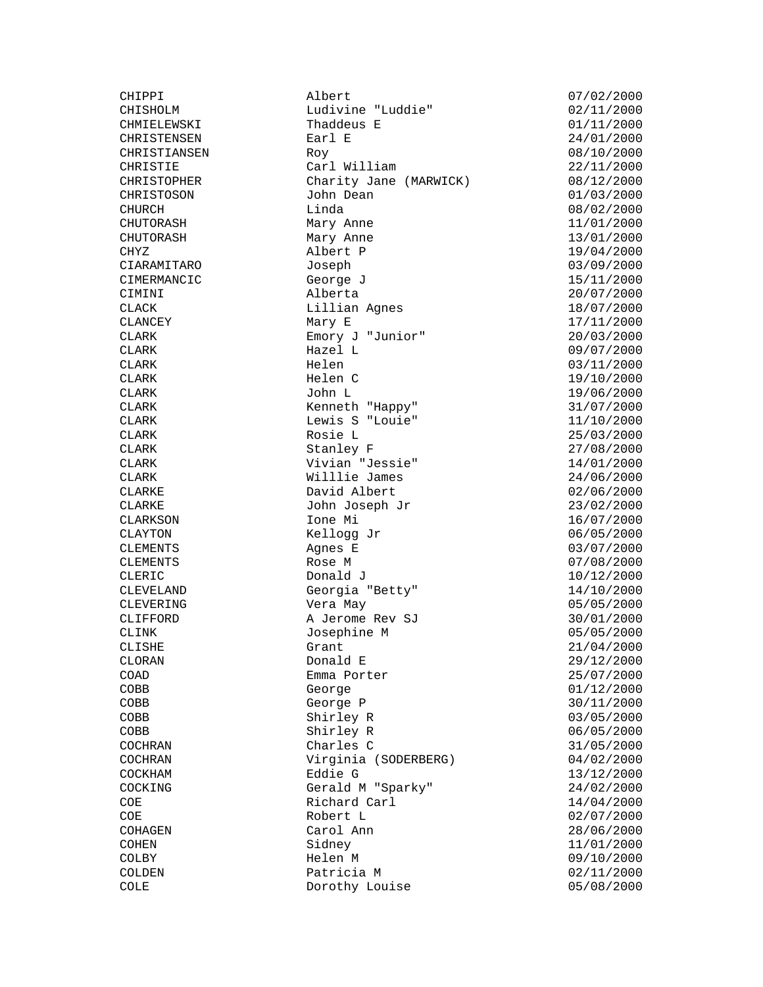CIMINI

CHIPPI <br>CHISHOLM Ludivine "Luddie" 07/02/2000<br>
Tudivine "Luddie" 02/11/2000 CHISHOLM Ludivine "Luddie"<br>CHMIELEWSKI Thaddeus E Thaddeus E 01/11/2000<br>Earl E 24/01/2000 CHRISTENSEN Earl E 24/01/2000<br>CHRISTENSEN Earl E 24/01/2000<br>CHRISTIANSEN Roy (08/10/2000) CHRISTIANSEN Roy 08/10/2000 CHRISTIE Carl William 22/11/2000 CHRISTOPHER Charity Jane (MARWICK) 08/12/2000 CHRISTOSON John Dean 01/03/2000 CHURCH Linda<br>CHUTORASH Mary Anne 11/01/2000 CHUTORASH Mary Anne 11/01/2000 CHUTORASH Mary Anne 13/01/2000 CHYZ Albert P 19/04/2000 CIARAMITARO Joseph 03/09/2000 CIMERMANCIC George J 15/11/2000 CLACK CLACK Lillian Agnes 18/07/2000<br>CLANCEY Mary E 17/11/2000 CLANCEY Mary E 17/11/2000<br>CLARK Emory J "Junior" 20/03/2000 CLARK Emory J "Junior" 20/03/2000<br>CLARK Hazel L 09/07/2000 CLARK Hazel L 09/07/2000 CLARK Helen 03/11/2000 CLARK Helen C 19/10/2000  $CLARK$  and  $John L$  is the contract of  $19/06/2000$ CLARK Kenneth "Happy" 31/07/2000 CLARK Lewis S "Louie" 11/10/2000 CLARK Rosie L<br>
Rosie L<br>
Stanley F 27/08/2000  $CLARK$   $Stanley$   $F$   $27/08/2000$ CLARK Vivian "Jessie" 14/01/2000 CLARK Willlie James 24/06/2000 CLARKE David Albert 02/06/2000 CLARKE John Joseph Jr 23/02/2000 CLARKSON Ione Mi 16/07/2000 CLARKE John Joseph Jr (CLARKSON Lone Mi (CLARKSON Kellogg Jr (CLAYTON 06/05/2000) CLEMENTS Agnes E 03/07/2000 CLEMENTS Rose M 07/08/2000  $CLERIC$  Donald J  $10/12/2000$ CLEVELAND Georgia "Betty" 14/10/2000 CLARKSON<br>
CLAYTON<br>
CLEMENTS<br>
CLEMENTS<br>
CLEMENTS<br>
CLEMENTS<br>
Rose M<br>
CLEMENTS<br>
Rose M<br>
CLEMENTS<br>
Rose M<br>
O7/08/2000<br>
CLEMENTS<br>
Rose M<br>
O7/08/2000<br>
CLEMENTS<br>
Rose M<br>
O7/08/2000<br>
O1/12/2000<br>
CLENELAND<br>
Georgia "Betty"<br>
14/10/2 CLIFFORD A Jerome Rev SJ 30/01/2000 CLINK Josephine M 05/05/2000 CLISHE Grant 21/04/2000  $CLORAN$  Donald E 29/12/2000 COAD Emma Porter 25/07/2000 COBB George 01/12/2000  $\angle$  COBB George P 30/11/2000 COBB Shirley R 03/05/2000 COLL<br>
COBB Shirley R 06/05/2000<br>
COCHRAN Charles C 31/05/2000 Charles C  $31/05/2000$ COCHRAN Virginia (SODERBERG) 04/02/2000<br>COCKHAM Eddie G 13/12/2000 COCKHAM Eddie G 13/12/2000 Gerald M "Sparky" 24/02/2000 COE Richard Carl 14/04/2000 COE Robert L<br>
Robert L<br>
Carol Ann (28/06/2000) COHAGEN Carol Ann 28/06/2000<br>
28/06/2000<br>
2000 COHEN Sidney Sidney 11/01/2000 Sidney 11/01/2000 COLBY **Helen M** 09/10/2000 COLDEN Patricia M 02/11/2000<br>COLE Dorothy Louise 05/08/2000 Dorothy Louise 05/08/2000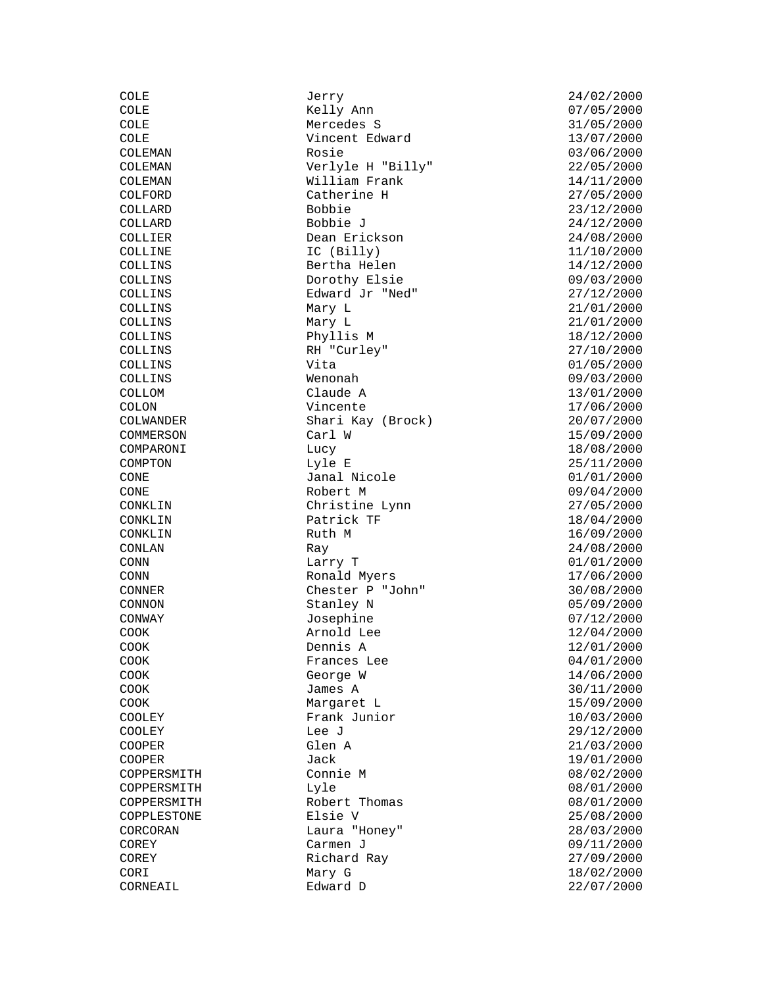| תחמק               |
|--------------------|
| COLE               |
| COLE               |
| COLE               |
| COLEMAN            |
| COLEMAN            |
|                    |
| COLEMAN            |
| COLFORD            |
| COLLARD            |
| COLLARD            |
| COLLIER            |
| COLLINE            |
| COLLINS            |
| COLLINS            |
| COLLINS            |
| COLLINS            |
| COLLINS            |
|                    |
| COLLINS            |
| COLLINS            |
| COLLINS            |
| COLLINS            |
| COLLOM             |
| COLON              |
| COLWANDER          |
| COMMERSON          |
| COMPARONI          |
| COMPTON            |
| CONE               |
| CONE               |
| CONKLIN            |
| CONKLIN            |
|                    |
| CONKLIN            |
| CONLAN             |
| CONN               |
| CONN               |
| CONNER             |
| CONNON             |
| CONWAY             |
| COOK               |
| COOK               |
| COOK               |
| COOK               |
| COOK               |
|                    |
| COOK               |
| COOLEY             |
| COOLEY             |
| COOPER<br>C        |
| COOPER<br>C        |
| COPPERSMITH        |
| <b>COPPERSMITH</b> |
| COPPERSMITH        |
| COPPLESTONE        |
| CORCORAN           |
| COREY              |
|                    |
| COREY              |
| CORI               |
| CORNEAIL           |

COLE Jerry 24/02/2000 Kelly Ann Mercedes S 31/05/2000 Vincent Edward 13/07/2000 Rosie 03/06/2000 Verlyle H "Billy" 22/05/2000  $William$  Frank  $14/11/2000$ Catherine H 27/05/2000 Bobbie 23/12/2000 Bobbie J 24/12/2000 Dean Erickson 24/08/2000 IC (Billy) 11/10/2000 Bertha Helen 14/12/2000<br>Dorothy Elsie 09/03/2000 Dorothy Elsie 09/03/2000<br>
Edward Jr "Ned" 27/12/2000 Edward Jr "Ned"<br>Mary L Mary L 21/01/2000 Phyllis M 18/12/2000<br>RH "Curley" 27/10/2000 RH "Curley"  $Vita$  01/05/2000 Wenonah 09/03/2000  $C$ laude A  $13/01/2000$ Vincente 17/06/2000 Shari Kay (Brock) 20/07/2000 Carl W 15/09/2000  $Lucy$  18/08/2000 Lyle E 25/11/2000 CONE Janal Nicole 01/01/2000 Robert M 09/04/2000  $Christine *L*ynn$   $27/05/2000$ Patrick TF 18/04/2000<br>Ruth M 16/09/2000 Ray 24/08/2000 Larry T 01/01/2000 Ronald Myers 17/06/2000 Chester P "John" 30/08/2000 Stanley N 05/09/2000 Josephine 07/12/2000 Arnold Lee  $12/04/2000$ <br>Dennis A  $12/01/2000$ Frances Lee 04/01/2000 George W 14/06/2000 James A 30/11/2000 Margaret L 15/09/2000 Frank Junior 10/03/2000 Lee J<br>
Glen A 21/03/2000 Jack 19/01/2000<br>H Connie M (2000) 38/02/2000 H and Lyle the Lyle of the UV of the UV of the UV of the UV of the UV of the UV of the UV of the UV of the UV o H Robert Thomas 18/01/2000<br>Example: Elsie V 8/08/2000 Laura "Honey" 28/03/2000 Carmen J 09/11/2000 Richard Ray 27/09/2000 Mary G 18/02/2000<br>Edward D 22/07/2000

 $21/01/2000$  $16/09/2000$ 12/01/2000  $21/03/2000$  $08/02/2000$  $25/08/2000$  $22/07/2000$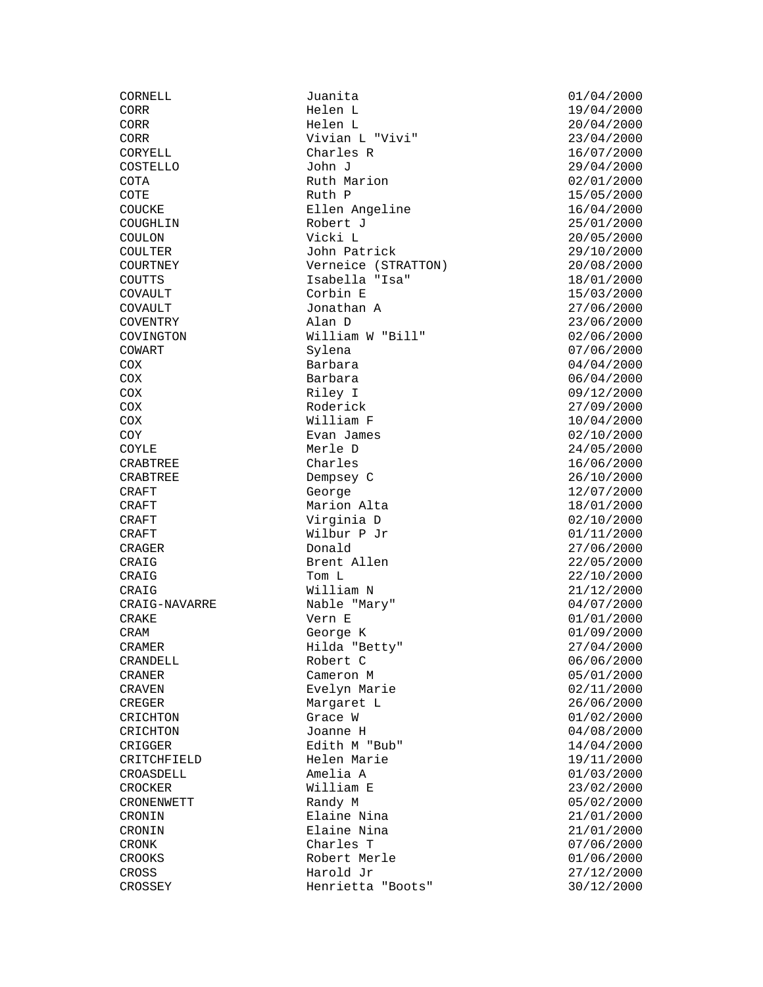CROCKER William E

CORNELL Juanita  $\begin{array}{ccc} \text{Juant} & \text{J} \\ \text{Elen} & \text{L} & \text{I} \end{array}$  19/04/2000 Helen L<br>Helen L 19/04/2000<br>20/04/2000 CORR Helen L 20/04/2000 CORR Vivian L "Vivi" 23/04/2000<br>CORYELL Charles R 16/07/2000 Charles R 16/07/2000 COSTELLO John J 29/04/2000 COTA Ruth Marion 02/01/2000  $\text{COTE}$  and  $\text{COTE}$  and  $\text{Ruth}$   $\text{P}}$  and  $\text{COTE}$  and  $\text{CATE}$  and  $\text{CATE}$  and  $\text{CATE}$  and  $\text{CATE}$  and  $\text{CATE}$  and  $\text{CATE}$  and  $\text{CATE}$  and  $\text{CATE}$  and  $\text{CATE}$  and  $\text{CATE}$  and  $\text{CATE}$  and  $\text{CATE}$  and  $\text{C$ COUCKE Ellen Angeline 16/04/2000<br>COUGHLIN Robert J<br>COUGHLIN Robert J<br>COUT COUT Robert J 25/01/2000 COULON Vicki L 20/05/2000 COULTER John Patrick 29/10/2000<br>COURTNEY Verneice (STRATTON) 20/08/2000 COURTNEY Verneice (STRATTON) 20/08/2000 COUTTS Isabella "Isa" 18/01/2000 COVAULT Corbin E 15/03/2000<br>
COVAULT Jonathan A 27/06/2000 Jonathan A 27/06/2000 COVENTRY Alan D 23/06/2000 William W "Bill" 02/06/2000 COWART Sylena 07/06/2000 COX Barbara 04/04/2000 COX Barbara 06/04/2000 COX Riley I 09/12/2000 COX Roderick 27/09/2000 COX William F 10/04/2000 COY Evan James 02/10/2000 COYLE Merle D 24/05/2000 CRABTREE Charles 16/06/2000 CRABTREE Dempsey C 26/10/2000 CRAFT George 12/07/2000 CRAFT Marion Alta 18/01/2000 CRAFT  $Virginia D$  02/10/2000<br>CRAFT Wilbur P Jr 01/11/2000 Wilbur P Jr CRAGER Donald 27/06/2000 CRAIG Brent Allen 22/05/2000  $CRAIG$  and  $Tom L$  22/10/2000 CRAIG William N 21/12/2000 CRAIG-NAVARRE Nable "Mary" 04/07/2000 CRAKE Vern E 01/01/2000 CRAM George K 01/09/2000 CRAMER Hilda "Betty" 27/04/2000 CRANDELL Robert C 06/06/2000 CRANER Cameron M 05/01/2000 CRAVEN Evelyn Marie 02/11/2000 CREGER Margaret L 26/06/2000<br>CRICHTON Grace W 01/02/2000 CRICHTON Grace W 61/02/2000<br>CRICHTON Joanne H 04/08/2000 CRICHTON Joanne H 04/08/2000 CRIGGER Edith M "Bub" 14/04/2000<br>CRITCHFIELD Helen Marie 19/11/2000 Helen Marie 19/11/2000 CROASDELL Amelia A 01/03/2000 CRONENWETT Randy M 05/02/2000 CRONIN Elaine Nina 21/01/2000 CRONIN Elaine Nina  $\Box$  21/01/2000<br>CRONK Charles T 07/06/2000 Charles T 07/06/2000 CROOKS Robert Merle 01/06/2000 CROSS Harold Jr 27/12/2000 Henrietta "Boots" 30/12/2000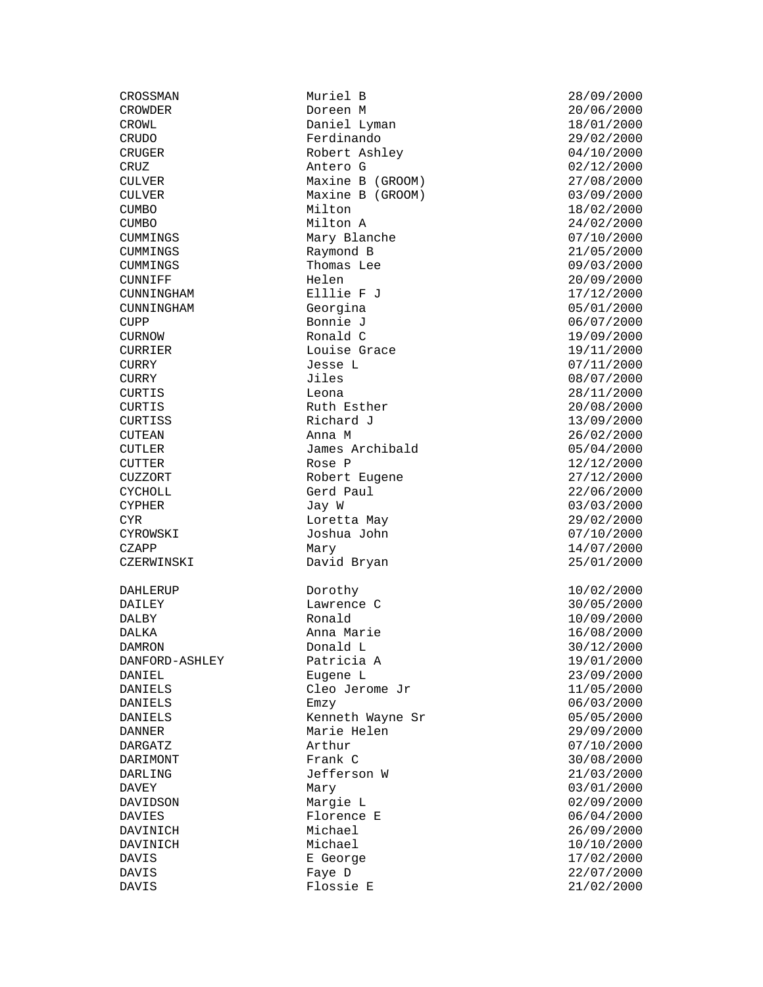CROSSMAN Muriel B 28/09/2000<br>CROWDER Doreen M 20/06/2000 DAILEY Lawrence C

CROWL Daniel Lyman 18/01/2000 CRUDO Ferdinando 29/02/2000 Robert Ashley 04/10/2000 CRUZ Antero G 02/12/2000 CULVER Maxine B (GROOM) 27/08/2000 CULVER Maxine B (GROOM) 03/09/2000 CUMBO Milton 18/02/2000 CUMBO Milton A 24/02/2000 CUMMINGS Mary Blanche 07/10/2000 CUMMINGS Raymond B 21/05/2000 CUMMINGS Thomas Lee 09/03/2000 CUNNIFF Helen 20/09/2000 CUNNINGHAM Elllie F J<br>CUNNINGHAM Georgina CunningHam 05/01/2000 Georgina<br>Bonnie J CUPP Bonnie J 06/07/2000 CURNOW Ronald C 19/09/2000<br>CURRIER Louise Grace 19/11/2000 Louise Grace CURRY Jesse L 07/11/2000 CURRY Jiles 08/07/2000 CURTIS Leona 28/11/2000 CURTIS Ruth Esther 20/08/2000 CURTISS Richard J 13/09/2000  $\text{CUTEAN}$  anna M 26/02/2000 CUTLER James Archibald 05/04/2000 CUTTER Rose P 2/12/2000 CUZZORT Robert Eugene 27/12/2000 CYCHOLL Gerd Paul 22/06/2000 CYPHER Jay W 03/03/2000 CYR CYROWSKI Loretta May 29/02/2000<br>CYROWSKI Joshua John 07/10/2000 Joshua John CZAPP Mary 14/07/2000 CZERWINSKI David Bryan 25/01/2000 DAHLERUP Dorothy 10/02/2000<br>DAILEY Lawrence C 30/05/2000 DALBY Ronald 10/09/2000 DALKA Anna Marie 16/08/2000 Donald L 30/12/2000 DANFORD-ASHLEY Patricia A 19/01/2000 DANIEL Eugene L 23/09/2000 DANIELS Cleo Jerome Jr 11/05/2000 DANIELS Emzy 06/03/2000 DANIELS Kenneth Wayne Sr 05/05/2000 DANNER Marie Helen 29/09/2000<br>DARGATZ Arthur Arthur 107/10/2000 DARGATZ **Arthur 1999** Arthur 1999 **ARGATZ** 07/10/2000 DARIMONT Frank C 30/08/2000 DARLING Jefferson W 21/03/2000<br>DAVEY Mary Mary Mary 03/01/2000 Mary 03/01/2000 DAVIDSON Margie L 02/09/2000 DAVIES Florence E 06/04/2000<br>DAVINICH Michael 26/09/2000 DAVINICH Michael 26/09/2000<br>DAVINICH Michael 10/10/2000 DAVIS E George 17/02/2000 DAVIS Faye D 22/07/2000 DAVIS Flossie E 21/02/2000

 $20/06/2000$  $10/10/2000$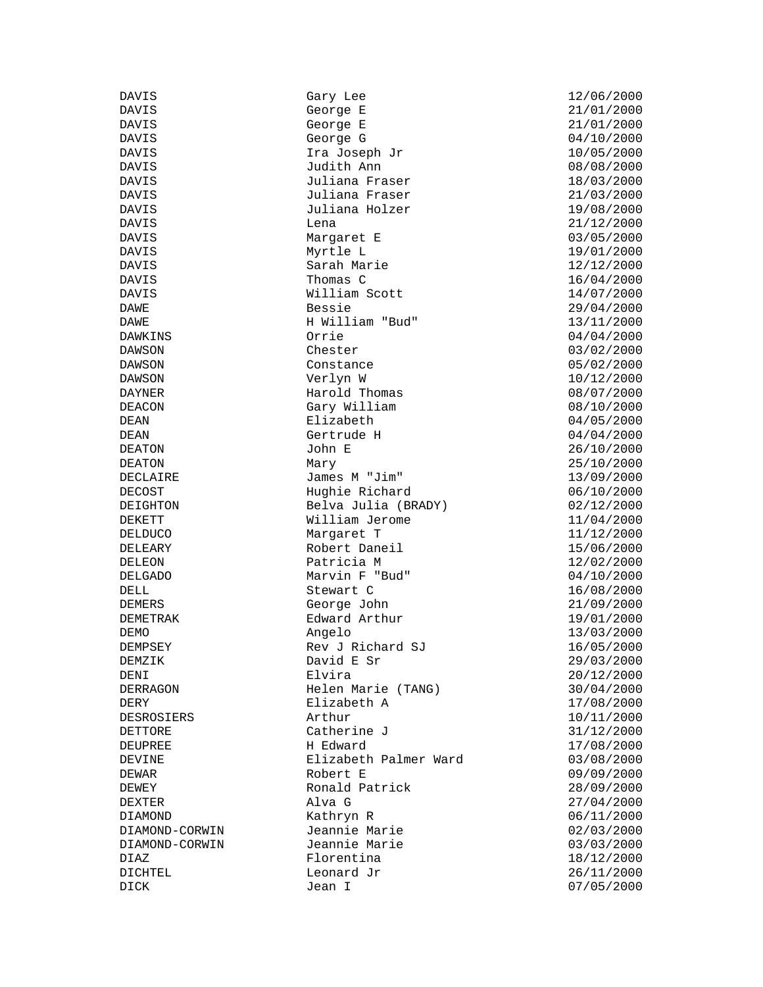| DAVIS          | Gary Lee                              | 12/06/2000 |
|----------------|---------------------------------------|------------|
| DAVIS          | George E                              | 21/01/2000 |
| DAVIS          | George E                              | 21/01/2000 |
| DAVIS          | George G                              | 04/10/2000 |
| DAVIS          | Ira Joseph Jr                         | 10/05/2000 |
| DAVIS          | Judith Ann                            | 08/08/2000 |
| DAVIS          | Juliana Fraser                        | 18/03/2000 |
| DAVIS          | Juliana Fraser                        | 21/03/2000 |
| DAVIS          | Juliana Holzer                        | 19/08/2000 |
| DAVIS          | Lena                                  | 21/12/2000 |
| DAVIS          | Margaret E                            | 03/05/2000 |
| DAVIS          | Myrtle L                              | 19/01/2000 |
| DAVIS          | Sarah Marie                           | 12/12/2000 |
| DAVIS          | Thomas C                              | 16/04/2000 |
| DAVIS          | William Scott                         | 14/07/2000 |
| DAWE           | Bessie                                | 29/04/2000 |
| DAWE           | H William "Bud"                       | 13/11/2000 |
| DAWKINS        | Orrie                                 | 04/04/2000 |
| <b>DAWSON</b>  | Chester                               | 03/02/2000 |
| DAWSON         | Constance                             | 05/02/2000 |
| DAWSON         | Verlyn W                              | 10/12/2000 |
| DAYNER         | Harold Thomas                         | 08/07/2000 |
| <b>DEACON</b>  | Gary William                          | 08/10/2000 |
| DEAN           | Elizabeth                             | 04/05/2000 |
| DEAN           | Gertrude H                            | 04/04/2000 |
| <b>DEATON</b>  | John E                                | 26/10/2000 |
| <b>DEATON</b>  | Mary                                  | 25/10/2000 |
| DECLAIRE       | James M "Jim"                         | 13/09/2000 |
| <b>DECOST</b>  | Hughie Richard                        | 06/10/2000 |
|                |                                       |            |
| DEIGHTON       | Belva Julia (BRADY)<br>William Jerome | 02/12/2000 |
| DEKETT         |                                       | 11/04/2000 |
| DELDUCO        | Margaret T<br>Robert Daneil           | 11/12/2000 |
| DELEARY        | Patricia M                            | 15/06/2000 |
| <b>DELEON</b>  |                                       | 12/02/2000 |
| <b>DELGADO</b> | Marvin F "Bud"                        | 04/10/2000 |
| DELL           | Stewart C                             | 16/08/2000 |
| <b>DEMERS</b>  | George John                           | 21/09/2000 |
| DEMETRAK       | Edward Arthur                         | 19/01/2000 |
| DEMO           | Angelo                                | 13/03/2000 |
| DEMPSEY        | Rev J Richard SJ                      | 16/05/2000 |
| DEMZIK         | David E Sr                            | 29/03/2000 |
| DENI           | Elvira                                | 20/12/2000 |
| DERRAGON       | Helen Marie (TANG)                    | 30/04/2000 |
| DERY           | Elizabeth A                           | 17/08/2000 |
| DESROSIERS     | Arthur                                | 10/11/2000 |
| DETTORE        | Catherine J                           | 31/12/2000 |
| DEUPREE        | H Edward                              | 17/08/2000 |
| DEVINE         | Elizabeth Palmer Ward                 | 03/08/2000 |
| DEWAR          | Robert E                              | 09/09/2000 |
| DEWEY          | Ronald Patrick                        | 28/09/2000 |
| DEXTER         | Alva G                                | 27/04/2000 |
| DIAMOND        | Kathryn R                             | 06/11/2000 |
| DIAMOND-CORWIN | Jeannie Marie                         | 02/03/2000 |
| DIAMOND-CORWIN | Jeannie Marie                         | 03/03/2000 |
| DIAZ           | Florentina                            | 18/12/2000 |
| DICHTEL        | Leonard Jr                            | 26/11/2000 |
| DICK           | Jean I                                | 07/05/2000 |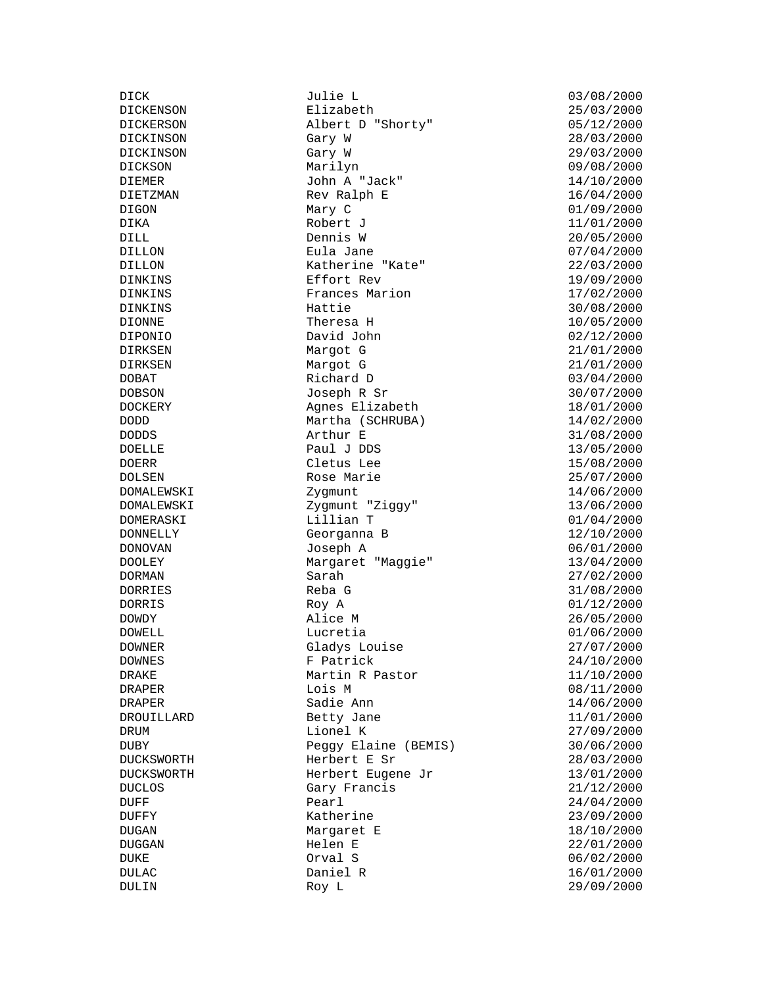DOELLE DONNELLY Georganna B<br>DONOVAN Joseph A

DICK Julie L 03/08/2000 Elizabeth DICKERSON Albert D "Shorty" 05/12/2000<br>DICKINSON Gary W 28/03/2000 DICKINSON Gary W 28/03/2000 DICKINSON Gary W 29/03/2000 DICKSON Marilyn 09/08/2000 DIEMER John A "Jack" 14/10/2000<br>DIETZMAN Rev Ralph E 16/04/2000 Rev Ralph E 16/04/2000<br>Mary C 16/09/2000 DIGON Mary C 01/09/2000 DIKA Robert J 11/01/2000 DILL Dennis W 20/05/2000 DILLON Eula Jane 07/04/2000 DILLON Katherine "Kate" 22/03/2000 DINKINS Effort Rev 19/09/2000<br>DINKINS Frances Marion 17/02/2000 DINKINS Frances Marion<br>DINKINS Hattie Hattie 30/08/2000<br>Theresa H 10/05/2000  $DIONNE$  Theresa H  $10/05/2000$ DIPONIO David John 02/12/2000 DIRKSEN Margot G 21/01/2000 DIRKSEN Margot G 21/01/2000 DOBAT Richard D 03/04/2000  $DOBSON$  Joseph R Sr  $30/07/2000$ POLICIN<br>DOCKERY Agnes Elizabeth 18/01/2000<br>Martha (COUPUPA) 14/02/2000 DODD Martha (SCHRUBA) 14/02/2000 DODDS <br>
DOELLE <br>
DOELLE Paul J DDS 13/05/2000 DOERR Cletus Lee 15/08/2000<br>DOLSEN Rose Marie 25/07/2000 Rose Marie 25/07/2000 DOMALEWSKI Zygmunt 14/06/2000 DOMALEWSKI Zygmunt "Ziggy" 13/06/2000 DOMERASKI Lillian T 01/04/2000 DONOVAN Joseph A 06/01/2000 DOOLEY Margaret "Maggie" 13/04/2000 DORMAN Sarah 27/02/2000<br>DORRIES Reba G 27/02/2000 Reba G 31/08/2000<br>Roy A 31/08/2000 DORRIS DORRIS Roy A 01/12/2000<br>DOWDY Alice M 26/05/2000 DOWDY Alice M 26/05/2000 DOWELL Lucretia Lucretia 101/06/2000<br>DOWNER Gladys Louise 27/07/2000 Gladys Louise  $27/07/2000$ DOWNES F Patrick 24/10/2000 DRAKE Martin R Pastor 11/10/2000 DRAPER 1015 M 1015 M 08/11/2000 DRAPER Sadie Ann 14/06/2000<br>DROUILLARD Betty Jane 11/01/2000 Betty Jane 11/01/2000 DRUM 11000 Lionel K 27/09/2000 DUBY Peggy Elaine (BEMIS) 30/06/2000 DUCKSWORTH Herbert E Sr 28/03/2000 DUCKSWORTH Herbert Eugene Jr 13/01/2000 DUCLOS Gary Francis 21/12/2000 DUFF Pearl 24/04/2000 DUFFY Katherine 23/09/2000 Margaret E 18/10/2000 DUGGAN Helen E 22/01/2000 DUKE 02 02 02 02 02 02 02 03 04 03 04 04 05 06/02/2000 DULAC Daniel R 16/01/2000 Roy L 29/09/2000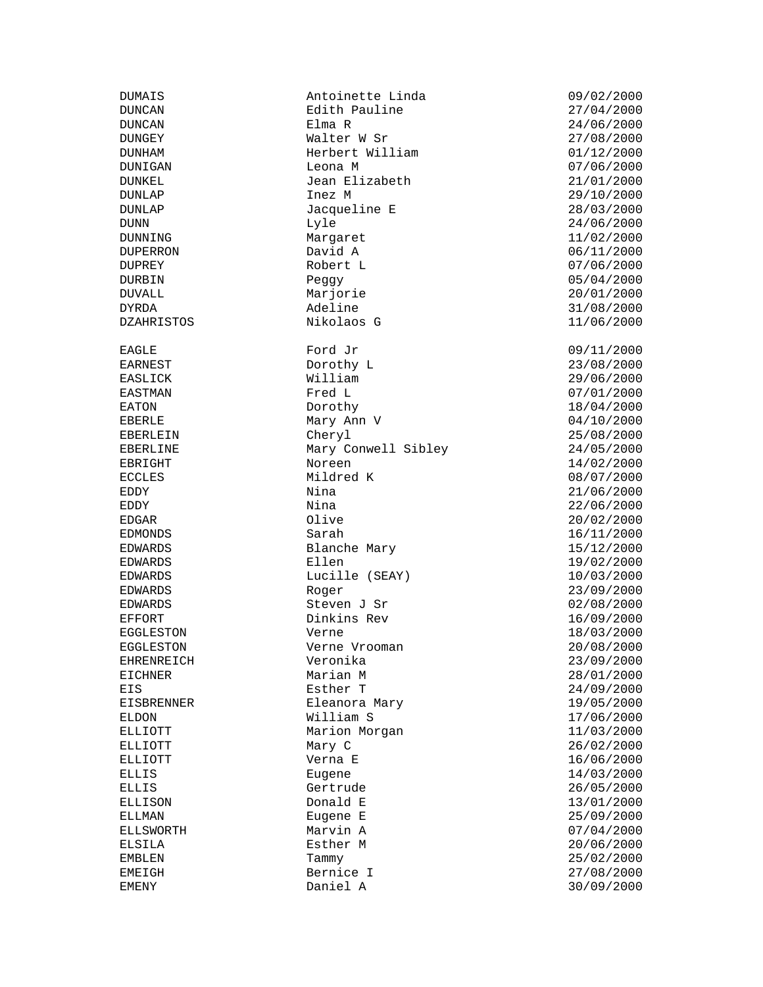DUMAIS Antoinette Linda 09/02/2000 Edith Pauline DUNCAN Elma R 24/06/2000 DUNGEY Walter W Sr 27/08/2000 Herbert William 01/12/2000 DUNIGAN Leona M 07/06/2000 DUNKEL Jean Elizabeth 21/01/2000  $DUNLAP$   $Inez M$   $29/10/2000$ DUNLAP Jacqueline E 28/03/2000 DUNN Lyle 24/06/2000 DUNNING Margaret 11/02/2000 DUPERRON David A 06/11/2000 DUPREY Robert L 07/06/2000 DURBIN Peggy Peggy 05/04/2000<br>DUVALL Marjorie 20/01/2000 DYRDA Adeline 31/08/2000 DZAHRISTOS Nikolaos G 11/06/2000 EAGLE Ford Jr compared Ford Section 1.000 Ford 2.000 Ford Jr compared to the USA of the USA of the USA of the U EARNEST Dorothy L 23/08/2000 EASLICK William  $\text{William}$  29/06/2000 EASTMAN Fred L 67/01/2000<br>EATON Dorothy Dorothy 18/04/2000 EATON Dorothy 18/04/2000 EBERLE Mary Ann V 04/10/2000 EBERLEIN Cheryl 25/08/2000 EBERLINE Mary Conwell Sibley 24/05/2000 EBRIGHT Noreen 14/02/2000 ECCLES Mildred K 08/07/2000 EDDY Nina 21/06/2000 EDDY Nina 22/06/2000 EDGAR Olive 20/02/2000 EDWARDS Blanche Mary 15/12/2000 EDWARDS Ellen Ellen 19/02/2000 EDWARDS Lucille (SEAY) 10/03/2000<br>EDWARDS Roger Roger 23/09/2000 EDWARDS Roger 23/09/2000 EDWARDS Steven J Sr 02/08/2000 EFFORT Dinkins Rev 16/09/2000 EGGLESTON Verne  $V$ erne 18/03/2000 EGGLESTON Verne Vrooman 20/08/2000 EHRENREICH Veronika 23/09/2000 EICHNER Marian M 28/01/2000 EIS **EIS** Esther T 24/09/2000 EISBRENNER Eleanora Mary 19/05/2000 ELDON William S 17/06/2000 ELLIOTT Marion Morgan 11/03/2000 ELLIOTT Mary C 26/02/2000 ELLIOTT Verna E 16/06/2000 ELLIS Eugene Eugene 14/03/2000<br>ELLIS Gertrude 26/05/2000 Gertrude 26/05/2000 ELLISON Donald E 13/01/2000 ELLMAN Eugene E 25/09/2000 ELSILA Esther M 20/06/2000 EMBLEN Tammy 25/02/2000 EMEIGH Bernice I 27/08/2000

 $20/01/2000$ EDMONDS Sarah 16/11/2000  $07/04/2000$ EMENY Daniel A 30/09/2000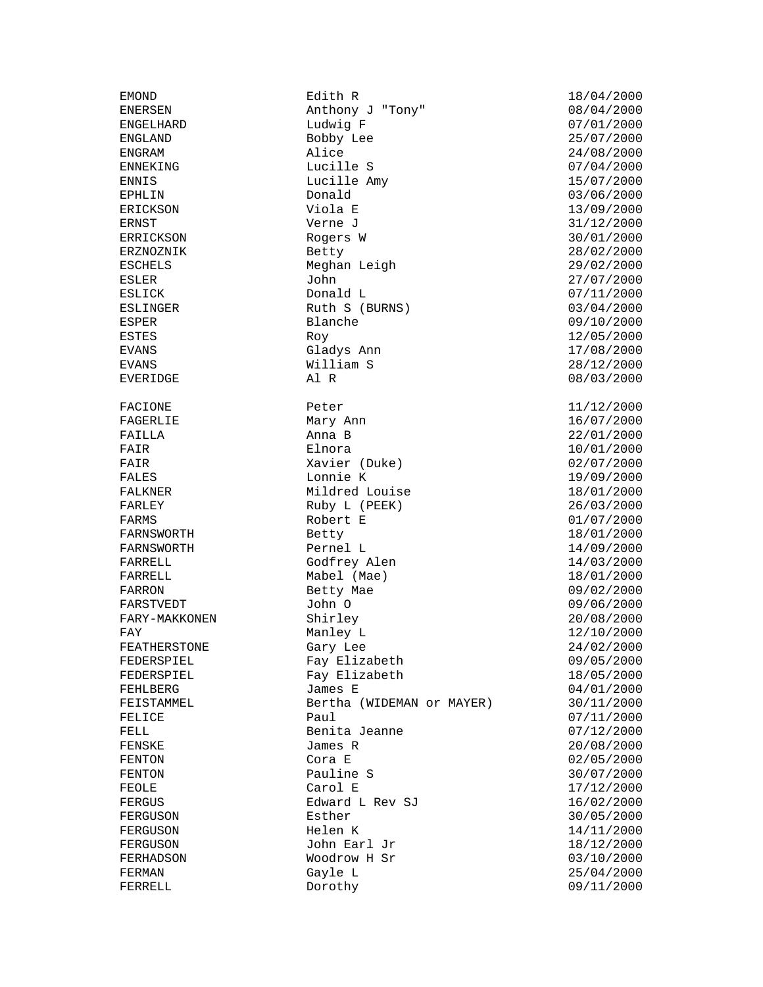ENGLAND Bobby<br>
ENGRAM Alice FARNSWORTH

EMOND Edith R 18/04/2000 Anthony J "Tony" ENGELHARD Ludwig F 07/01/2000 ENGRAM  $\begin{array}{cccc}\n\text{ENGRAM} & \text{Alice} & \text{24/08/2000} \\
\text{ENNEKING} & \text{Lucille S} & \text{07/04/2000}\n\end{array}$ Ending to the S and the S of the S and the S of the S and the S of the S of the S and the S of the S and the S o ENNIS Lucille Amy 15/07/2000 EPHLIN Donald 03/06/2000 ERICKSON Viola E 13/09/2000 ERNST Verne J 31/12/2000 Rogers W 30/01/2000 ERZNOZNIK Betty Betty 28/02/2000 ESCHELS Meghan Leigh 29/02/2000 ESLER John 27/07/2000 ESLICK Donald L Donald L 07/11/2000<br>ESLINGER Ruth S (BURNS) 03/04/2000 Ruth S (BURNS) ESPER Blanche 19/10/2000<br>ESTES Roy Roy 2000 ESTES Roy 12/05/2000 Gladys Ann EVANS **William S** 28/12/2000 EVERIDGE  $\begin{array}{ccc} \texttt{A1} & \texttt{R} & \texttt{O8} & \texttt{O3} & \texttt{O3} & \texttt{O3} \end{array}$ FACIONE Peter Peter 11/12/2000 FAGERLIE Mary Ann 16/07/2000  $F\text{AILLA}$  anna B  $22/01/2000$ FAIR Elnora 10/01/2000 FAIR Xavier (Duke) 02/07/2000 FALES Lonnie K 19/09/2000 FALKNER Mildred Louise 18/01/2000 FALKNER Mildred Louise 18/01/2000<br>
FARLEY Ruby L (PEEK) 26/03/2000<br>
FARMS Robert E 01/07/2000 FARMS Robert E 01/07/2000 FARNSWORTH Pernel L 14/09/2000  $Godfrey$  Alen  $14/03/2000$ FARRELL Mabel (Mae) 18/01/2000<br>FARRON Betty Mae 09/02/2000 FARRON Betty Mae 09/02/2000 FARSTVEDT John O 09/06/2000 FARY-MAKKONEN Shirley 20/08/2000 FAY FAY Manley L<br>FEATHERSTONE Gary Lee 24/02/2000 FEATHERSTONE Gary Lee 24/02/2000 FEDERSPIEL Fay Elizabeth 09/05/2000 FEDERSPIEL Fay Elizabeth 18/05/2000 FEHLBERG James E 04/01/2000 FEISTAMMEL Bertha (WIDEMAN or MAYER) 30/11/2000 **FELICE** Paul Paul 07/11/2000 FELL Benita Jeanne 17/12/2000 FENSKE James R 20/08/2000 FENTON Cora E 02/05/2000<br>FENTON Pauline S 30/07/2000 FENTON Pauline S<br>FEOLE Carol E Carol E 17/12/2000 FERGUS Edward L Rev SJ 16/02/2000<br>FERGUSON Esther Ester 30/05/2000 FERGUSON Esther Esther 30/05/2000<br>FERGUSON Helen K 14/11/2000 FERGUSON John Earl Jr 18/12/2000 FERHADSON Woodrow H Sr 03/10/2000 FERMAN Gayle L 25/04/2000<br>FERRELL Dorothy Dorothy Dorothy 25/04/2000 Dorothy 09/11/2000

 $17/12/2000$ FERGUSON Helen K 14/11/2000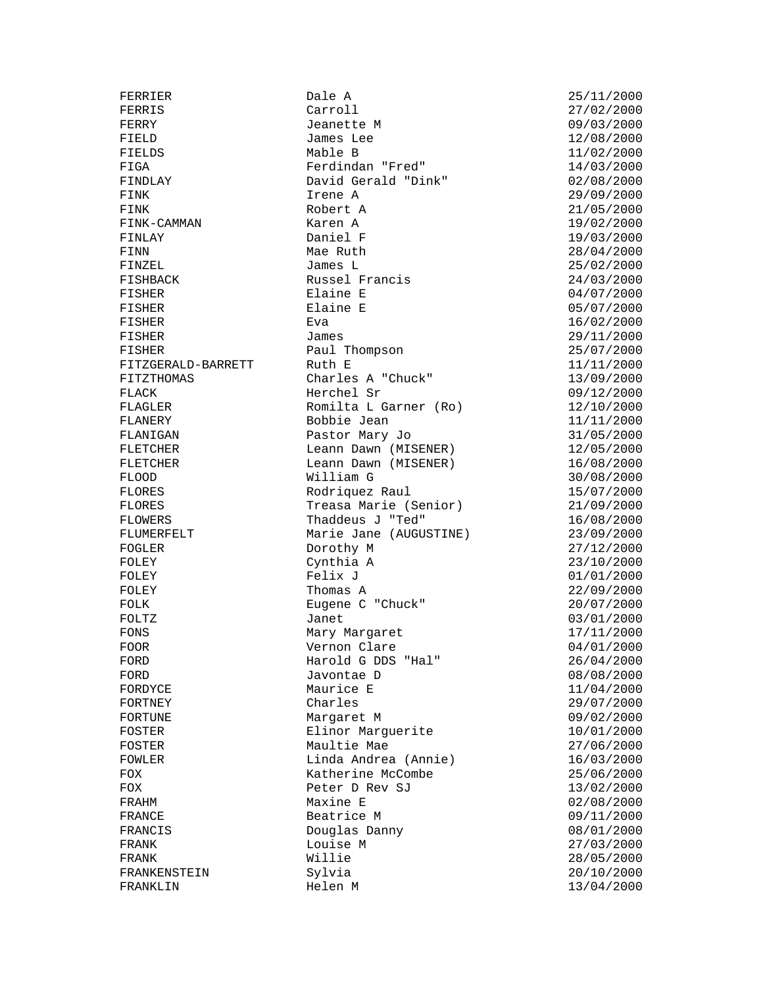FISHER Elaine E FRANKLIN Helen M 13/04/2000

FERRIER Dale A 25/11/2000 FERRIS Carroll 27/02/2000 FERRY **Jeanette M** 09/03/2000 FIELD James Lee 12/08/2000<br>FIELDS Mable B 11/02/2000 FIELDS Mable B 11/02/2000 FIGA Ferdindan "Fred" 14/03/2000 FINDLAY David Gerald "Dink" 02/08/2000 FIGA Ferdindan "Fred" 14/03/2000<br>
FINDLAY David Gerald "Dink" 02/08/2000<br>
FINK Irene A 29/09/2000<br>
FINK Robert A 21/05/2000 FINK Robert A 21/05/2000 FINK-CAMMAN Karen A 19/02/2000 FINLAY Daniel F 19/03/2000 FINN Mae Ruth 28/04/2000 FINZEL James L 25/02/2000 Russel Francis 1992 1993/2000<br>Elaine E 1994/07/2000 FISHER Elaine E 04/07/2000  $F$ ISHER Eva Eva  $F$  and  $F$  and  $F$  and  $F$  and  $F$  and  $F$  are  $F$  and  $F$  and  $F$  are  $F$  and  $F$  and  $F$  are  $F$  and  $F$  are  $F$  and  $F$  are  $F$  and  $F$  are  $F$  and  $F$  are  $F$  and  $F$  are  $F$  and  $F$  are  $F$  and  $F$   $FISHER$  and  $James$  and  $29/11/2000$ FISHER Paul Thompson 25/07/2000 FITZGERALD-BARRETT Ruth E 11/11/2000 FITZTHOMAS Charles A "Chuck" 13/09/2000 FLACK Herchel Sr 09/12/2000 FLAGLER Romilta L Garner (Ro) 12/10/2000 FLANERY Bobbie Jean 11/11/2000 FLANIGAN Pastor Mary Jo 31/05/2000 FLETCHER Leann Dawn (MISENER) 12/05/2000 FLETCHER Leann Dawn (MISENER) 16/08/2000 FLOOD William G 30/08/2000 FLORES Rodriquez Raul 15/07/2000 FLORES Treasa Marie (Senior) 21/09/2000<br>FLORES Treasa Marie (Senior) 21/09/2000<br>FLUMERFELT Marie Jane (AUGUSTINE) 23/09/2000 Thaddeus J "Ted" 16/08/2000<br>Marie Jane (AUGUSTINE) 23/09/2000 Marie Jane (AUGUSTINE) FOGLER **Dorothy M** 27/12/2000 FOLEY Cynthia A 23/10/2000 FOLEY Felix J 01/01/2000 FOLEY Thomas A 22/09/2000 FOLK Eugene C "Chuck" 20/07/2000<br>FOLTZ Janet Janet 03/01/2000 FOLTZ Janet 03/01/2000 Mary Margaret<br>Vernon Clare FOOR Vernon Clare 04/01/2000 FORD Harold G DDS "Hal" 26/04/2000 FORD Javontae D 08/08/2000 FORDYCE Maurice E 11/04/2000<br>FORTNEY Charles Charles 29/07/2000 FORTNEY Charles 29/07/2000 FORTUNE Margaret M 09/02/2000 FORIUNE MATGATEL M<br>FOSTER Elinor Marguerite 10/01/2000 FOSTER Maultie Mae 27/06/2000 FOWLER Linda Andrea (Annie) 16/03/2000 FOX Ratherine McCombe 25/06/2000<br>
Peter D Rev SJ 2000 13/02/2000 FOX Peter D Rev SJ 13/02/2000 Maxine E 02/08/2000 FRANCE Beatrice M 09/11/2000<br>FRANCIS Douglas Danny 08/01/2000<br>27/02/2000 FRANCIS Douglas Danny 08/01/2000 Louise M 27/03/2000 FRANK Willie 28/05/2000 FRANKENSTEIN Sylvia 20/10/2000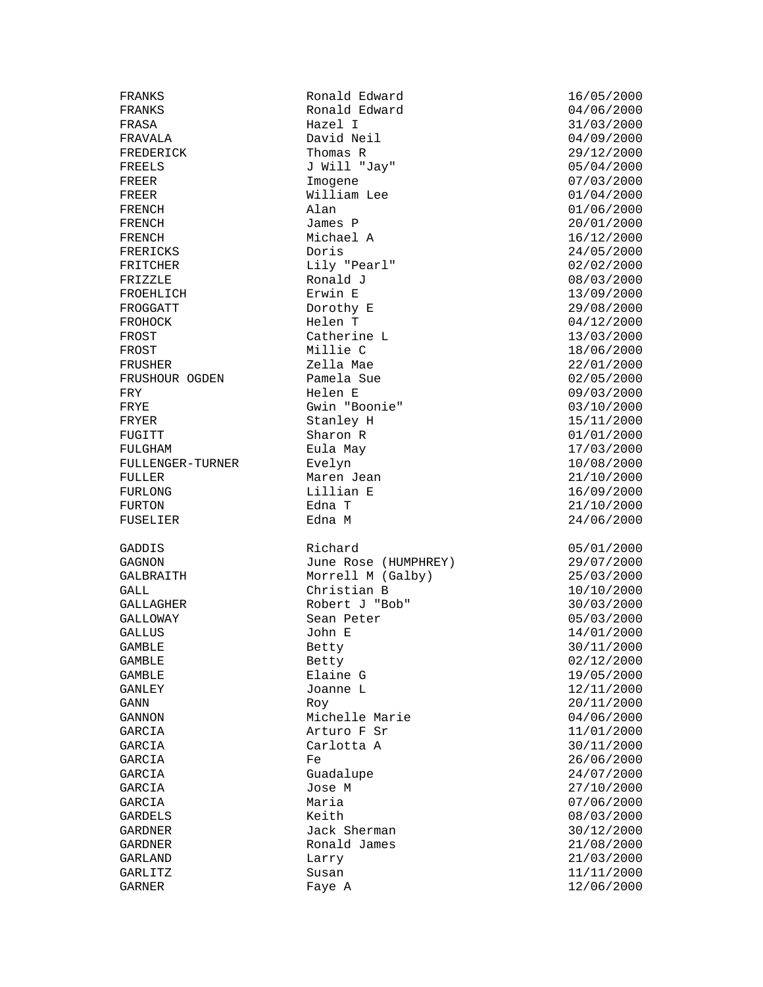FROEHLICH FULGHAM Eula May GALL Christian B 10/10/2000

FRANKS Ronald Edward 16/05/2000 Ronald Edward<br>Hazel I FRASA Hazel I 31/03/2000 FRAVALA David Neil 04/09/2000 FREDERICK Thomas R<br>FREELS J Will "Jay" 1997/04/2000 J Will "Jay" 05/04/2000 FREER Imogene 1999 The Importance of the USA of the USA of the USA of the USA of the USA of the USA of the USA of the USA of the USA of the USA of the USA of the USA of the USA of the USA of the USA of the USA of the USA o FREER William Lee  $01/04/2000$ <br>FRENCH Alan Alan (0.1/06/2000) Alan 01/06/2000<br>James P 20/01/2000 FRENCH James P 20/01/2000 FRENCH Michael A 16/12/2000 FRERICKS Doris Doris 24/05/2000 FRITCHER Lily "Pearl" 02/02/2000 FRIZZLE Ronald J 08/03/2000 FROGGATT Dorothy E 29/08/2000 FROHOCK Helen T 04/12/2000 FROST Catherine L 13/03/2000 FROST Millie C 18/06/2000 FRUSHER Zella Mae 22/01/2000 FRUSHOUR OGDEN Pamela Sue 02/05/2000 FRY 69/03/2000 Helen E 69/03/2000 FRYE Gwin "Boonie" 03/10/2000 FRYER Stanley H 15/11/2000 FUGITT Sharon R 61/01/2000<br>FULGHAM Eula May FULGHAM 17/03/2000 FULLENGER-TURNER Evelyn 10/08/2000 FULLER Maren Jean 21/10/2000 FURLONG Lillian E 16/09/2000 FURTON Edna T 21/10/2000 Edna M 24/06/2000 GADDIS Richard 05/01/2000 GAGNON June Rose (HUMPHREY) 29/07/2000<br>GALBRAITH Morrell M (Galby) 25/03/2000<br>GALL Christian B 10/10/2000 Morrell M (Galby) 25/03/2000<br>Christian B 25/03/2000 GALLAGHER Robert J "Bob" 30/03/2000 Sean Peter 05/03/2000 GALLUS John E 14/01/2000 Betty 30/11/2000 GAMBLE Betty Betty 02/12/2000 GAMBLE Elaine G 19/05/2000 GANLEY Joanne L 12/11/2000 GANN 20/11/2000 Roy 20/11/2000 GANNON Michelle Marie 04/06/2000 GARCIA  $\overline{P}$  Sr 11/01/2000 GARCIA Carlotta A 30/11/2000 GARCIA Fe  $F =$  26/06/2000 GARCIA Guadalupe 24/07/2000 Jose M 27/10/2000 GARCIA 1999 Maria 1999 Maria 1999 Maria 1999 Maria 1999 Maria 1999 Maria 1999 Maria 1999 Maria 1999 Maria 1999 M GARDELS Keith 08/03/2000 Jack Sherman  $30/12/2000$ GARDNER Ronald James 21/08/2000 GARLAND Larry 21/03/2000 GARLITZ Susan 11/11/2000 Faye A 12/06/2000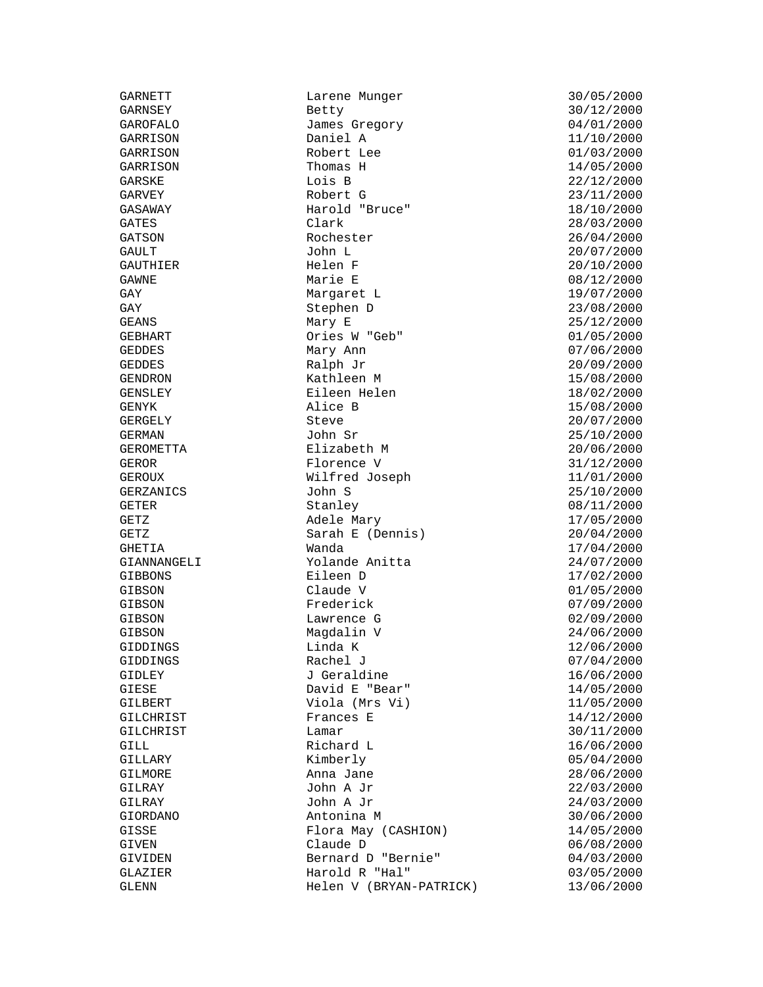GAY Margaret L<br>GAY 19/07/2000 Stephen D

GARNETT Larene Munger 30/05/2000<br>GARNSEY Betty Betty 30/12/2000 GAROFALO James Gregory 04/01/2000 GARRISON Daniel A 11/10/2000 Robert Lee 01/03/2000 GARRISON Thomas H 14/05/2000 GARSKE Lois B 22/12/2000 GARVEY Robert G 23/11/2000 GASAWAY Harold "Bruce" 18/10/2000 GATES Clark 28/03/2000 GATSON Rochester 26/04/2000 GAULT John L 20/07/2000 GAUTHIER Helen F 20/10/2000 GAWNE Marie E 08/12/2000 Stephen D 23/08/2000<br>Mary E 25/12/2000 GEANS Mary E 25/12/2000 GEBHART Ories W "Geb" 01/05/2000 GEDDES Mary Ann 07/06/2000 GEDDES Ralph Jr 20/09/2000 GENDRON Kathleen M 15/08/2000 GENSLEY Eileen Helen 18/02/2000 GENYK Alice B 15/08/2000 GERGELY Steve Steve 20/07/2000 GERMAN  $John$   $Sr$   $John$   $Sr$   $25/10/2000$ GEROMETTA Elizabeth M 20/06/2000<br>GEROMETTA Elizabeth M 20/06/2000 GEROR Florence V 31/12/2000 GEROUX **Wilfred Joseph** 11/01/2000 GERZANICS John S 25/10/2000 GETER Stanley Stanley 3. Stanley 3. OB 211/2000 GETZ Adele Mary 17/05/2000  $Sarah E (Dennis)$ GHETIA Wanda 17/04/2000 GIANNANGELI Yolande Anitta 24/07/2000 GIBBONS Eileen D 17/02/2000 GIBSON Claude V 01/05/2000 GIBSON Frederick 07/09/2000 GIBSON Lawrence G 02/09/2000 GIBSON Magdalin V 24/06/2000 GIDDINGS Linda K 12/06/2000 GIDDINGS Rachel J 2000 Rachel Structure (17/04/2000 Rachel J GIDLEY **J** Geraldine 16/06/2000 GIESE David E "Bear" 14/05/2000 Viola (Mrs Vi) 11/05/2000 GILCHRIST Frances E 14/12/2000<br>GILCHRIST Lamar Lamar 30/11/2000 GILCHRIST Lamar Lamar 30/11/2000 GILL **Richard L** 2000 Richard L GILLARY Kimberly 05/04/2000 GILMORE Anna Jane 28/06/2000 GILRAY John A Jr 24/03/2000 Antonina M 30/06/2000 GISSE Flora May (CASHION) 14/05/2000 Claude D 06/08/2000 GIVIDEN Bernard D "Bernie" 04/03/2000 GLAZIER Harold R "Hal" 03/05/2000 GLENN Helen V (BRYAN-PATRICK) 13/06/2000

GARNSEY Betty 30/12/2000  $22/03/2000$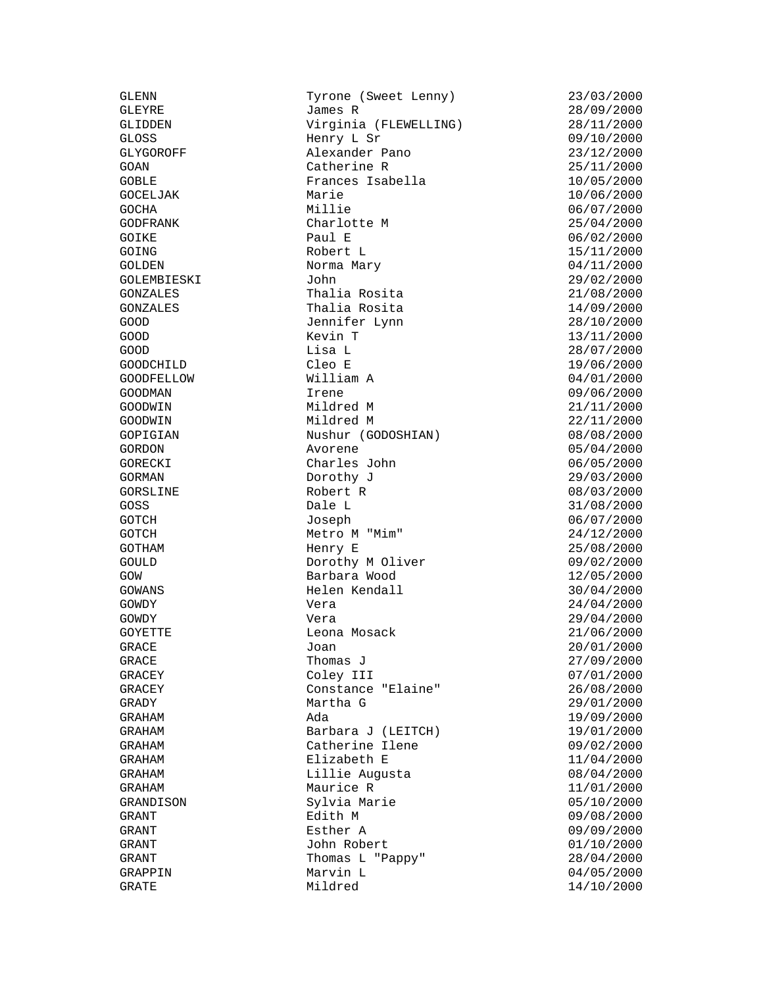GLENN Tyrone (Sweet Lenny) 23/03/2000<br>GLEYRE James R 28/09/2000 GLIDDEN Virginia (FLEWELLING) 28/11/2000 GLOSS Henry L Sr 09/10/2000 Alexander Pano 23/12/2000 GOAN Catherine R 25/11/2000 GOBLE Frances Isabella 10/05/2000 GOCELJAK Marie 10/06/2000 GOCHA Millie 06/07/2000 GODFRANK Charlotte M 25/04/2000 GOIKE Paul E 06/02/2000 GOING Robert L 15/11/2000 GOLDEN Norma Mary 04/11/2000 GOLEMBIESKI John 29/02/2000 Thalia Rosita GONZALES Thalia Rosita 14/09/2000 GOOD Jennifer Lynn 28/10/2000 GOOD Kevin T 13/11/2000 GOOD Lisa L 28/07/2000 GOODCHILD Cleo E 19/06/2000 GOODFELLOW William A 04/01/2000 GOODMAN Irene 199/06/2000<br>GOODWIN Mildred M 199/06/2000 21/11/2000 Mildred M 21/11/2000 GOODWIN Mildred M 22/11/2000<br>GOPIGIAN Nushur (GODOSHIAN) 08/08/2000 GOPIGIAN Nushur (GODOSHIAN) 08/08/2000 GORECKI Charles John 06/05/2000 GORMAN Dorothy J 29/03/2000 GORSLINE Robert R  $08/03/2000$ GOSS Dale L 31/08/2000 GOTCH Joseph 06/07/2000  $GOTCH$  Metro M "Mim"  $24/12/2000$ GOTHAM **Henry E** 25/08/2000 GOULD Dorothy M Oliver 09/02/2000 GOW Barbara Wood 12/05/2000 Helen Kendall GOWDY Vera 24/04/2000 GOWDY Vera 29/04/2000 GOYETTE Leona Mosack 21/06/2000 GRACE Joan 20/01/2000 GRACE 3.1 27/09/2000 Thomas J GRACEY Coley III 07/01/2000 GRACEY Constance "Elaine" 26/08/2000 GRADY Martha G 29/01/2000 GRAHAM Ada 19/09/2000 GRAHAM Barbara J (LEITCH) 19/01/2000 GRAHAM Catherine Ilene 09/02/2000 GRAHAM Elizabeth E 11/04/2000 GRAHAM Lillie Augusta 08/04/2000 GRAHAM Maurice R 11/01/2000 GRANDISON Sylvia Marie 05/10/2000 GRANT Edith M 09/08/2000 GRANT John Robert 01/10/2000 GRANT Thomas L "Pappy" 28/04/2000 GRAPPIN Marvin L 04/05/2000

 $28/09/2000$ 05/04/2000 09/09/2000 GRATE Mildred 14/10/2000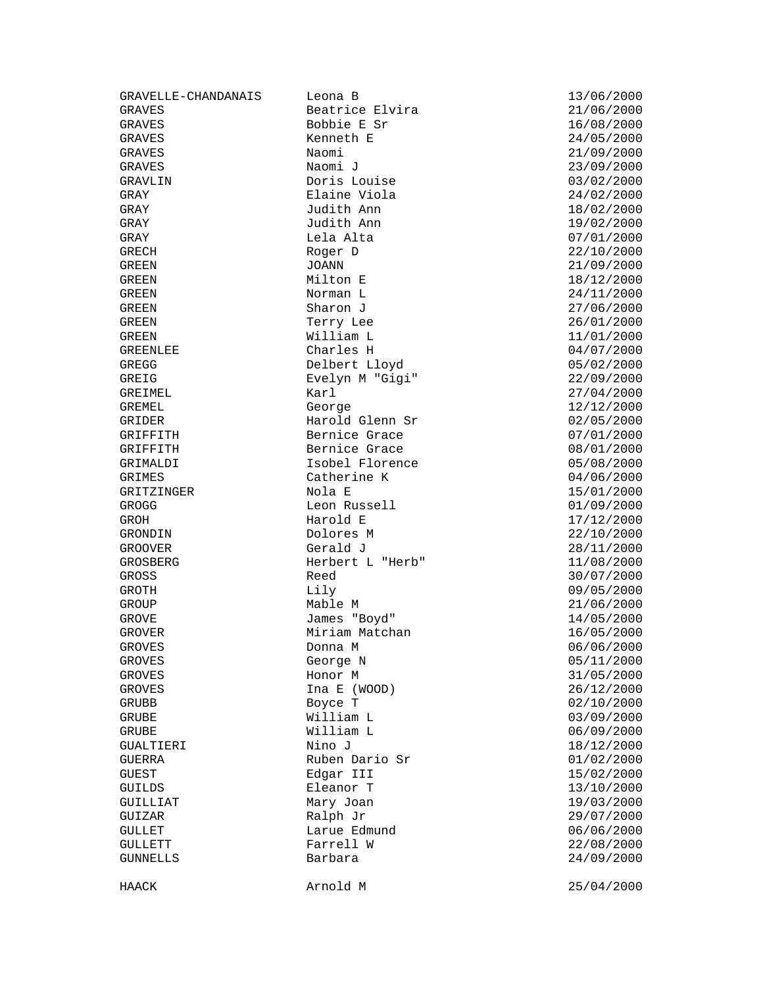GRAVES Bobbie E Sr 16/08/2000 GRAVES Kenneth E 24/05/2000 GRAVES Naomi 21/09/2000 GRAVES Naomi J 23/09/2000 GRAVLIN Doris Louise 03/02/2000 GRAY Elaine Viola 24/02/2000 GRAY Judith Ann 18/02/2000 GRAY Judith Ann 19/02/2000 GRAY Lela Alta 07/01/2000 GRECH Roger D<br>GREEN JOANN JOANN 22/09/2000 GREEN JOANN 21/09/2000 GREEN Milton E 18/12/2000 GREEN 100000 Norman L 24/11/2000 GREEN Sharon J 27/06/2000 GREEN Terry Lee 26/01/2000 GREEN William L 11/01/2000 GREENLEE Charles H 04/07/2000 GREGG Delbert Lloyd 05/02/2000 GREIG Evelyn M "Gigi" 22/09/2000 GREIMEL **Karl** 27/04/2000 GREMEL GEORGE COORS<br>George 12/12/2000<br>Coorse 12/12/2000 GRIDER (GRIDER Harold Glenn Sr  $02/05/2000$ <br>GRIFFITH Bernice Grace (GRIFFITH  $07/01/2000$ GRIFFITH Bernice Grace 69 07/01/2000<br>GRIFFITH Bernice Grace 69 08/01/2000 GRIMALDI Isobel Florence 05/08/2000 GRIMES Catherine K 04/06/2000 GRITZINGER Nola E 15/01/2000 GROGG Leon Russell 01/09/2000 GROH Harold E 17/12/2000 GROOVER Gerald J 28/11/2000 GROSBERG Herbert L "Herb" 11/08/2000 GROSS Reed 30/07/2000 GROTH Lily 09/05/2000 GROUP Mable M 21/06/2000 GROVE James "Boyd" 14/05/2000 GROVER Miriam Matchan 16/05/2000<br>GROVES Donna M GROVES Donna M 06/06/2000 GROVES George N 05/11/2000 GROVES **Honor M** 31/05/2000 GROVES Ina E (WOOD) 26/12/2000 GRUBB Boyce T and David Boyce T and David Boyce T and David Boyce David Boyce David Boyce David Boyce Of David Boyce David Boyce David Boyce David Boyce David Boyce David Boyce David Boyce David Boyce David Boyce David Boy GRUBE William L 03/09/2000 GRUBE William L 06/09/2000 GUALTIERI Nino J 18/12/2000 GUERRA Ruben Dario Sr 01/02/2000 GUEST Edgar III 15/02/2000 GUILLIAT Mary Joan 19/03/2000 GUIZAR Ralph Jr 29/07/2000 GULLETT **Farrell W** Farrell 22/08/2000 GUNNELLS Barbara 24/09/2000

GRAVELLE-CHANDANAIS Leona B 13/06/2000 Beatrice Elvira 21/06/2000 Bernice Grace Dolores M Eleanor T 13/10/2000 Larue Edmund 06/06/2000

HAACK 25/04/2000 Arnold M 25/04/2000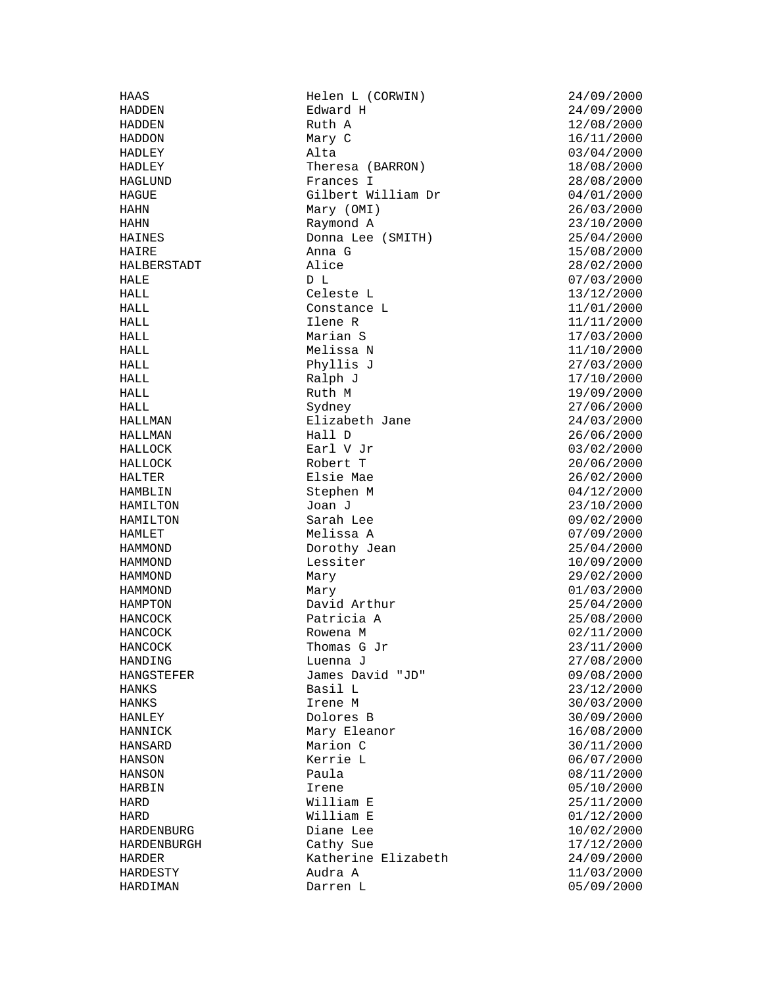HALL Celeste L 13/12/2000 HANCOCK Thomas G Jr 23/11/2000

HAAS Helen L (CORWIN) 24/09/2000 HADDEN Ruth A 12/08/2000<br>HADDON Mary C 16/11/2000 HADDON Mary C 16/11/2000<br>HADLEY Alta 193/04/2000 HADLEY Theresa (BARRON) 18/08/2000 HAGLUND Frances I 28/08/2000 HAGUE Gilbert William Dr 04/01/2000 HAHN Mary (OMI) 26/03/2000 HAHN Raymond A 23/10/2000 HAINES Donna Lee (SMITH) 25/04/2000 HAIRE Anna G 15/08/2000 HALBERSTADT Alice 28/02/2000 HALE D L 07/03/2000 Constance L  $11/01/2000$ HALL Ilene R 11/11/2000 HALL Marian S 17/03/2000  $HALL$  Melissa N  $11/10/2000$ HALL Phyllis J 27/03/2000 HALL 17/10/2000 Ralph J 17/10/2000 HALL Ruth M 19/09/2000 HALL Sydney 27/06/2000 HALLMAN Elizabeth Jane 24/03/2000 HALLMAN Hall D 26/06/2000 HALLOCK Earl V Jr 03/02/2000 HALLOCK Robert T 20/06/2000 HALTER Elsie Mae 26/02/2000 HAMBLIN Stephen M 04/12/2000 HAMILTON Joan J 23/10/2000 HAMILTON Sarah Lee 09/02/2000 Melissa A HAMMOND Dorothy Jean 25/04/2000 HAMMOND Lessiter 10/09/2000 HAMMOND Mary 29/02/2000 HAMMOND Mary 01/03/2000 HAMPTON David Arthur 25/04/2000 HANCOCK Patricia A 25/08/2000 HANCOCK Rowena M 02/11/2000 HANDING Luenna J 27/08/2000 HANGSTEFER James David "JD" 09/08/2000<br>HANKS Basil L HANKS Basil L 23/12/2000 HANKS Irene M 30/03/2000 HANLEY Dolores B 30/09/2000 HANNICK Mary Eleanor 16/08/2000 HANSARD Marion C 30/11/2000 HANSON Kerrie L 06/07/2000 HANSON Paula 08/11/2000 HARBIN 1rene 1. 1999 Islam 1. 1999 Islam 1. 1999 ISBN 05/10/2000 HARD **William E** 25/11/2000 HARD Milliam E 01/12/2000<br>HARDENBURG Diane Lee 10/02/2000 Diane Lee 10/02/2000 HARDENBURGH Cathy Sue 17/12/2000 HARDER Katherine Elizabeth 24/09/2000 HARDESTY Audra A 11/03/2000 HARDIMAN Darren L 05/09/2000

 $24/09/2000$  $03/04/2000$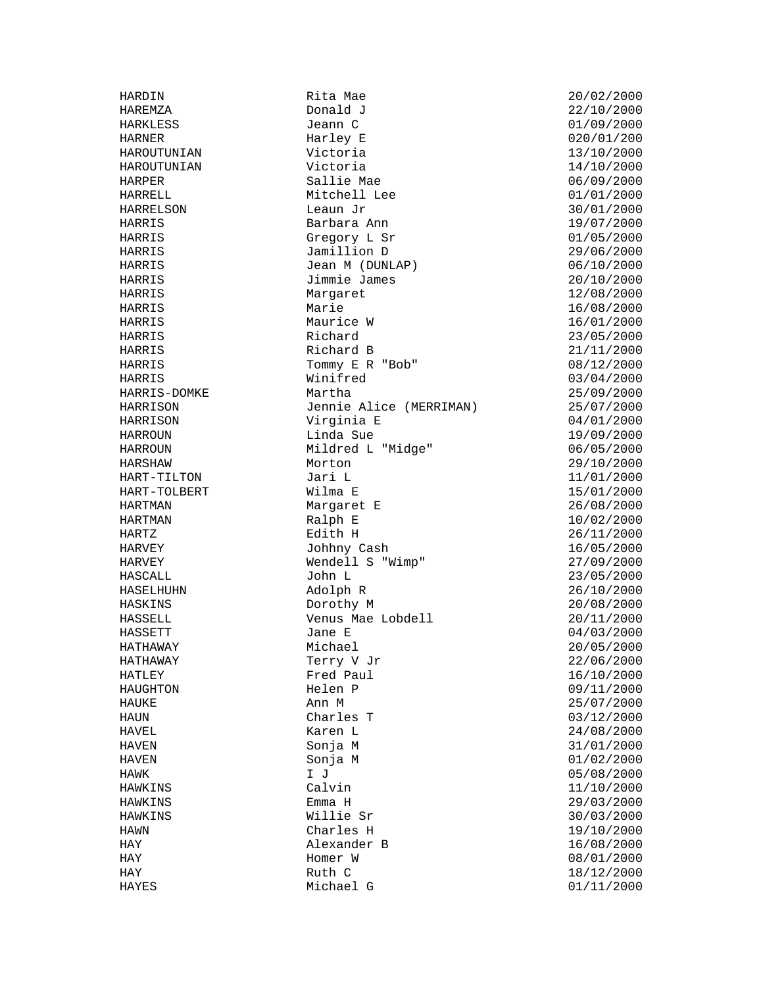HARRIS Margaret<br>
HARRIS Marie HASELHUHN

HARDIN Rita Mae 20/02/2000 HARKLESS Jeann C 01/09/2000 HARNER Harley E 020/01/200 HAROUTUNIAN Victoria 13/10/2000 HAROUTUNIAN Victoria 14/10/2000 HARPER Sallie Mae 06/09/2000 HARRELL Mitchell Lee 01/01/2000 HARRELSON Leaun Jr 30/01/2000 HARRIS Barbara Ann 19/07/2000 HARRIS Gregory L Sr 01/05/2000 HARRIS Jamillion D 29/06/2000 HARRIS Jean M (DUNLAP) 06/10/2000 HARRIS Jimmie James 20/10/2000 Marie 16/08/2000<br>Maurice W 16/01/2000 HARRIS Maurice W 16/01/2000 HARRIS Richard 23/05/2000 Richard B  $21/11/2000$ HARRIS Tommy E R "Bob" 08/12/2000 HARRIS Winifred 03/04/2000 HARRIS-DOMKE Martha 25/09/2000 HARRISON Jennie Alice (MERRIMAN) 25/07/2000<br>HARRISON Virginia E (1999-1999) Virginia E 04/01/2000 HARROUN Linda Sue 19/09/2000 HARROUN Mildred L "Midge" 06/05/2000 HARSHAW Morton 29/10/2000 HART-TILTON Jari L 11/01/2000 HART-TOLBERT Wilma E 15/01/2000 HARTMAN Margaret E 26/08/2000 HARTMAN Ralph E 10/02/2000<br>HARTZ Edith H 26/11/2000 HARVEY Johhny Cash 16/05/2000 HARVEY Wendell S "Wimp" 27/09/2000 HASCALL John L 33/05/2000<br>HASELHUHN Adolph R 26/10/2000 HASKINS Dorothy M 20/08/2000 HASSELL Venus Mae Lobdell 20/11/2000 HASSETT Jane E 04/03/2000<br>HATHAWAY Michael 1999 Michael 20/05/2000 HATHAWAY Michael 20/05/2000 HATHAWAY Terry V Jr 22/06/2000 HATLEY Fred Paul 16/10/2000 HAUGHTON Helen P 09/11/2000 HAUKE Ann M 25/07/2000 HAUN Charles T 03/12/2000<br>HAVEL Karen L 24/08/2000 HAVEL Karen L 24/08/2000 HAVEN Sonja M 31/01/2000 HAVEN Sonja M 01/02/2000 HAWK I J 05/08/2000 HAWKINS Emma H 29/03/2000 HAWKINS Willie Sr 30/03/2000 HAY Alexander B 16/08/2000 HAY Homer W 08/01/2000 HAY Ruth C 18/12/2000 HAYES Michael G 01/11/2000

 $22/10/2000$  $26/11/2000$  $11/10/2000$ 19/10/2000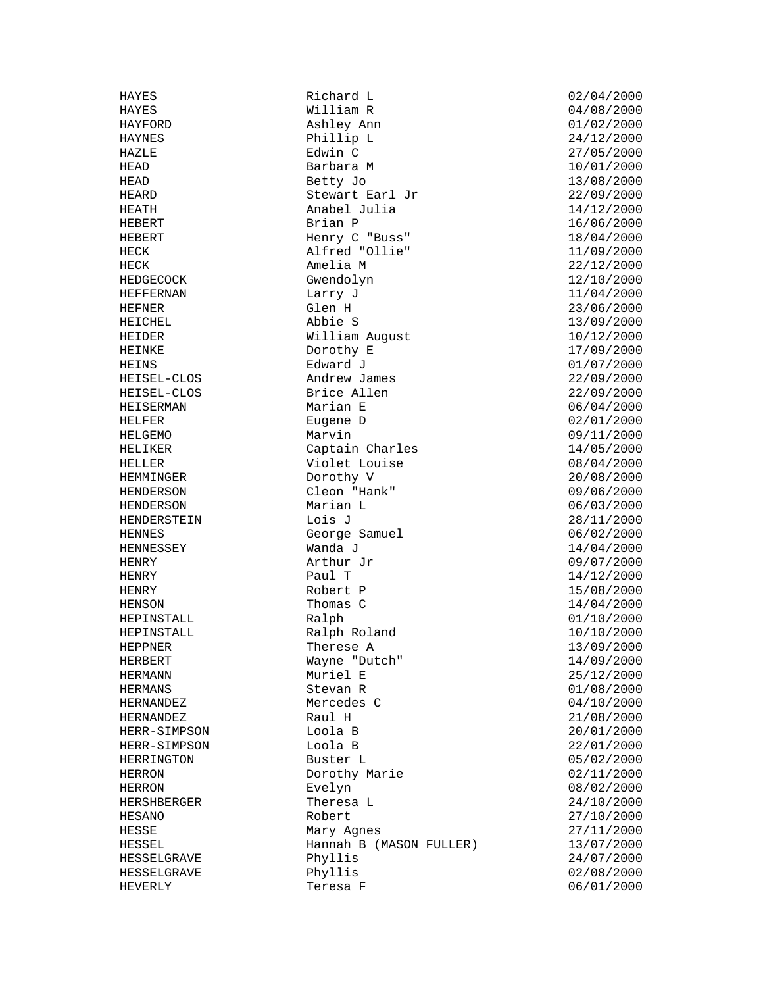HEFFERNAN

HAYES Richard L 02/04/2000<br>
HAYES Milliam R 04/08/2000 HAYFORD Ashley Ann 01/02/2000 HAYNES Phillip L 24/12/2000 HAZLE Edwin C 27/05/2000 HEAD Barbara M 10/01/2000 HEAD Betty Jo 13/08/2000 HEARD Stewart Earl Jr 22/09/2000 HEATH Anabel Julia 14/12/2000<br>HEBERT Brian Philip Brian 2000 HEBERT Brian P 16/06/2000 Henry C "Buss" 18/04/2000 HECK Alfred "Ollie" 11/09/2000 HECK Amelia M 22/12/2000<br>HEDGECOCK Gwendolyn (Gwendolyn 12/10/2000 Gwendolyn 12/10/2000<br>Larry J 11/04/2000 HEFNER Glen H 23/06/2000 HEICHEL Abbie S 13/09/2000 HEIDER William August 10/12/2000<br>HEINKE Dorothy E 17/09/2000 Dorothy E 17/09/2000 HEINS Edward J 01/07/2000 HEISEL-CLOS Andrew James 22/09/2000 HEISEL-CLOS Brice Allen 22/09/2000 HEISERMAN Marian E 06/04/2000 HELFER Eugene D 02/01/2000 HELGEMO Marvin 09/11/2000 Captain Charles  $14/05/2000$ HELLER Violet Louise 08/04/2000 HEMMINGER Dorothy V 20/08/2000 HENDERSON Cleon "Hank" 09/06/2000 HENDERSON Marian L 06/03/2000 HENDERSTEIN Lois J<br>HENNES George Samuel (1997)<br>16/02/2000 George Samuel<br>Wanda J HENNESSEY Wanda J 14/04/2000 HENRY Arthur Jr 09/07/2000 HENRY Paul T 14/12/2000 HENRY Robert P 15/08/2000<br>HENSON Thomas C 14/04/2000 Thomas C 14/04/2000<br>Ralph 01/10/2000 HEPINSTALL Ralph 01/10/2000 HEPINSTALL Ralph Roland 10/10/2000 Therese A 13/09/2000 HERBERT Wayne "Dutch" 14/09/2000 HERMANN Muriel E 25/12/2000 HERMANS Stevan R (1/08/2000)<br>HERNANDEZ Mercedes C (1/08/2000) HERNANDEZ Mercedes C 04/10/2000 HERNANDEZ Raul H 21/08/2000 HERR-SIMPSON Loola B 20/01/2000 HERR-SIMPSON Loola B 22/01/2000 HERRINGTON Buster L 05/02/2000 HERRON Dorothy Marie 02/11/2000<br>HERRON Evelyn Evelyn (08/02/2000 Evelyn 08/02/2000 HERSHBERGER Theresa L 24/10/2000 HESANO Robert 27/10/2000 Mary Agnes  $27/11/2000$ HESSEL Hannah B (MASON FULLER) 13/07/2000 HESSELGRAVE Phyllis 24/07/2000 HESSELGRAVE Phyllis Phyllis (02/08/2000<br>HEVERLY Teresa F (06/01/2000 HEVERLY Teresa F 06/01/2000

 $04/08/2000$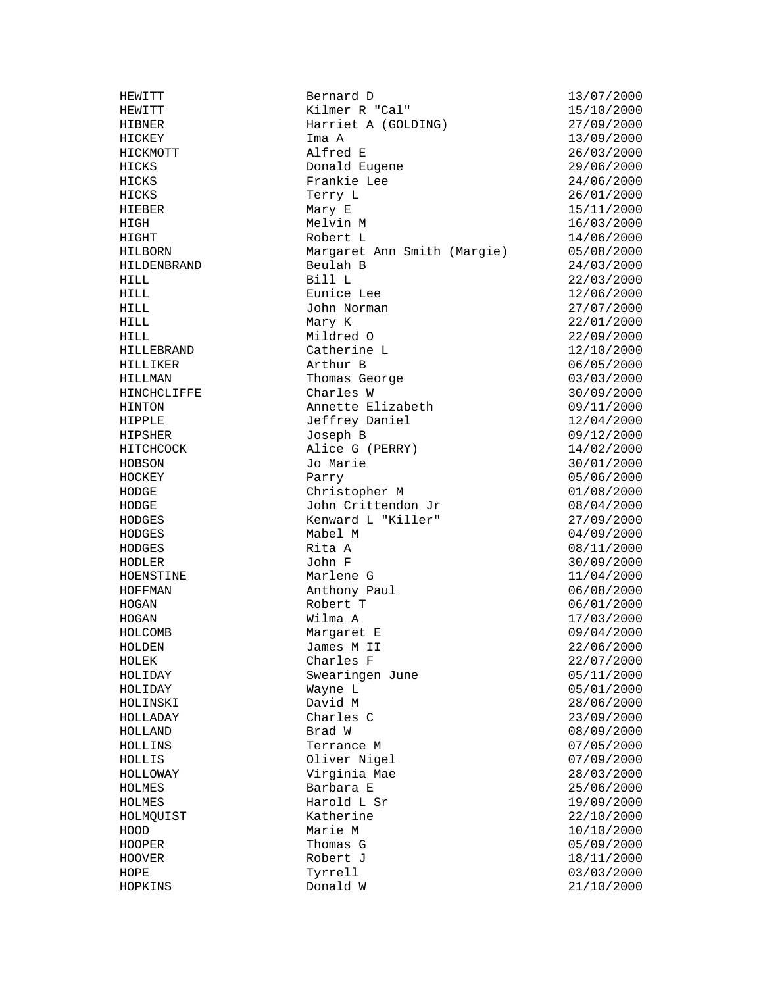HEWITT Bernard D 13/07/2000 HEWITT Kilmer R "Cal" 15/10/2000 HIBNER Harriet A (GOLDING) 27/09/2000 HICKEY Ima A 13/09/2000 HICKMOTT Alfred E 26/03/2000 Donald Eugene 29/06/2000 HICKS Frankie Lee 24/06/2000 HICKS Terry L 26/01/2000  $HILNS$ <br>  $HIEBER$  Mary E 15/11/2000 HIGH Melvin M 16/03/2000 HIGHT Robert L 14/06/2000 HILBORN Margaret Ann Smith (Margie) 05/08/2000 HILDENBRAND Beulah B 24/03/2000 HILL Bill L 22/03/2000 HILL Eunice Lee 12/06/2000 HILL John Norman 27/07/2000 HILL Mary K 22/01/2000 HILL Mildred O 22/09/2000 HILLEBRAND Catherine L 12/10/2000 HILLIKER Arthur B 06/05/2000 HILLMAN Thomas George 03/03/2000 HILLMAN<br>HINCHCLIFFE Charles W 30/09/2000 HINTON Annette Elizabeth 09/11/2000 HIPPLE Jeffrey Daniel 12/04/2000 HIPSHER Joseph B 09/12/2000<br>HITCHCOCK Alice G (PERRY) 14/02/2000 Alice G (PERRY) 14/02/2000 HOBSON Jo Marie 30/01/2000 HOCKEY Parry 05/06/2000 HODGE Christopher M 01/08/2000 HODGE John Crittendon Jr 08/04/2000 HODGES Kenward L "Killer" 27/09/2000 HODGES Rita A 08/11/2000 HODLER John F 30/09/2000 HOENSTINE Marlene G 11/04/2000<br>HOFFMAN Marlene G 11/04/2000 Marrene C<br>Anthony Paul 06/08/2000 HOGAN Robert T 06/01/2000 HOGAN Wilma A 17/03/2000 HOLCOMB Margaret E 09/04/2000 James M II 22/06/2000 HOLEK Charles F 22/07/2000 HOLIDAY Swearingen June 05/11/2000 Wayne L 05/01/2000 HOLINSKI David M 28/06/2000 HOLLADAY Charles C 23/09/2000 HOLLAND Brad W 08/09/2000 HOLLINS Terrance M 07/05/2000 HOLLIS Oliver Nigel 07/09/2000 Virginia Mae 28/03/2000 HOLMES Barbara E 25/06/2000 HOLMES Harold L Sr 19/09/2000 HOLMQUIST Katherine 22/10/2000 HOOD Marie M 10/10/2000 HOOPER Thomas G 05/09/2000 HOOVER Robert J 18/11/2000 HOPE Tyrrell 03/03/2000<br>
HOPKINS Donald W 21/10/2000

 $04/09/2000$  $21/10/2000$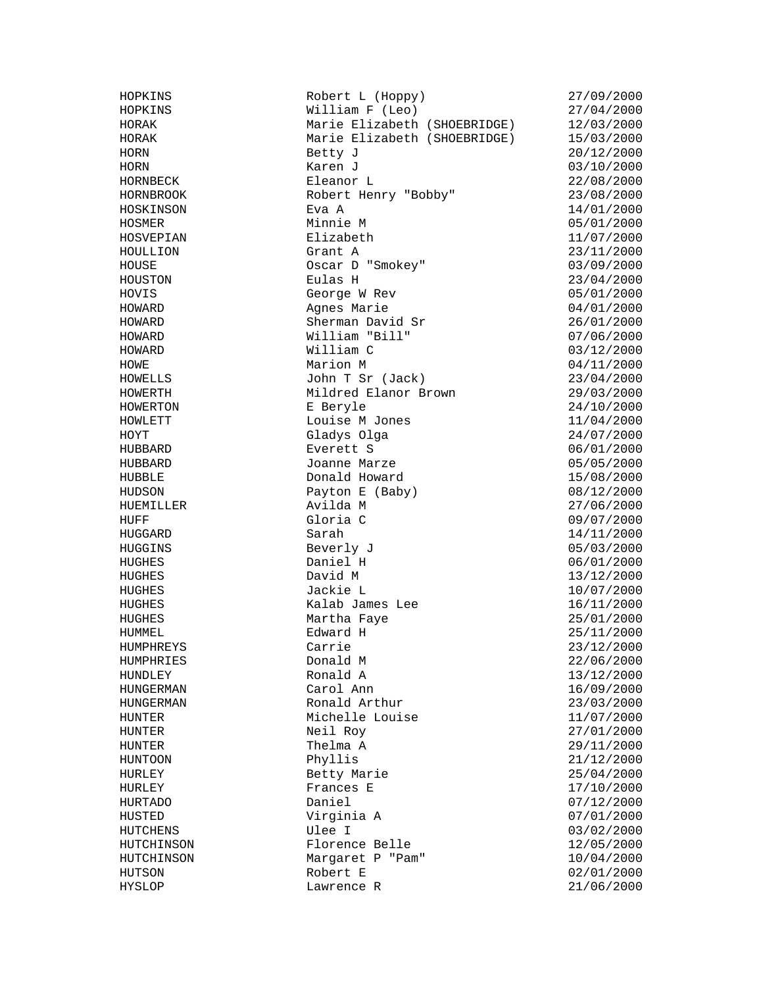HOPKINS Robert L (Hoppy) 27/09/2000<br>HOPKINS William F (Leo) 27/04/2000  $William F (Leo)$  27/04/2000 HORAK Marie Elizabeth (SHOEBRIDGE) 12/03/2000 HORAK Marie Elizabeth (SHOEBRIDGE) 15/03/2000 HORN Betty J 20/12/2000 HORN Karen J 03/10/2000 HORNBECK Eleanor L 22/08/2000 HORNBROOK Robert Henry "Bobby" 23/08/2000 HOSKINSON Eva A 14/01/2000 HOSMER Minnie M 05/01/2000 HOSVEPIAN Elizabeth 11/07/2000 HOULLION Grant A 23/11/2000 HOUSE Oscar D "Smokey" 03/09/2000 HOUSTON Eulas H 23/04/2000 George W Rev HOWARD Agnes Marie 04/01/2000 HOWARD Sherman David Sr 26/01/2000 HOWARD William "Bill" 07/06/2000 HOWARD William C 03/12/2000 HOWE Marion M 04/11/2000 HOWELLS John T Sr (Jack) 23/04/2000 HOWERTH Mildred Elanor Brown 29/03/2000<br>
HOWERTON E Beryle 24/10/2000<br>
HOWLETT Louise M Jones 11/04/2000 E Beryle 24/10/2000 HOWLETT Louise M Jones 11/04/2000 HOYT Gladys Olga HUBBARD Everett S 06/01/2000 HUBBARD Joanne Marze 05/05/2000 HUBBLE Donald Howard 15/08/2000 HUDSON Payton E (Baby) 08/12/2000 HUEMILLER Avilda M 27/06/2000 HUFF Gloria C 09/07/2000 HUGGARD Sarah 14/11/2000<br>HUGGINS Beverly J (16/03/2000) Beverly J 05/03/2000 HUGHES Daniel H 06/01/2000 HUGHES David M 13/12/2000 HUGHES Jackie L 10/07/2000 HUGHES Kalab James Lee 16/11/2000 HUGHES Martha Faye 25/01/2000 HUMMEL Edward H 25/11/2000 HUMPHREYS Carrie 23/12/2000 HUMPHRIES Donald M 22/06/2000 HUNDLEY Ronald A 13/12/2000 HUNGERMAN Carol Ann 16/09/2000 HUNGERMAN Ronald Arthur 23/03/2000 HUNTER Michelle Louise 11/07/2000 HUNTER Neil Roy 27/01/2000 HUNTER Thelma A 29/11/2000 HUNTOON Phyllis 21/12/2000 HURLEY Betty Marie 25/04/2000 Frances E  $17/10/2000$ HURTADO Daniel (1990)<br>HURTADO Daniel (1990) HUSTED<br>HUSTED Virginia A 07/01/2000<br>HUTCHENS Ulee I 03/02/2000 03/02/2000 HUTCHINSON Florence Belle 12/05/2000 HUTCHINSON Margaret P "Pam" 10/04/2000 HUTSON Robert E 02/01/2000 HYSLOP Lawrence R 21/06/2000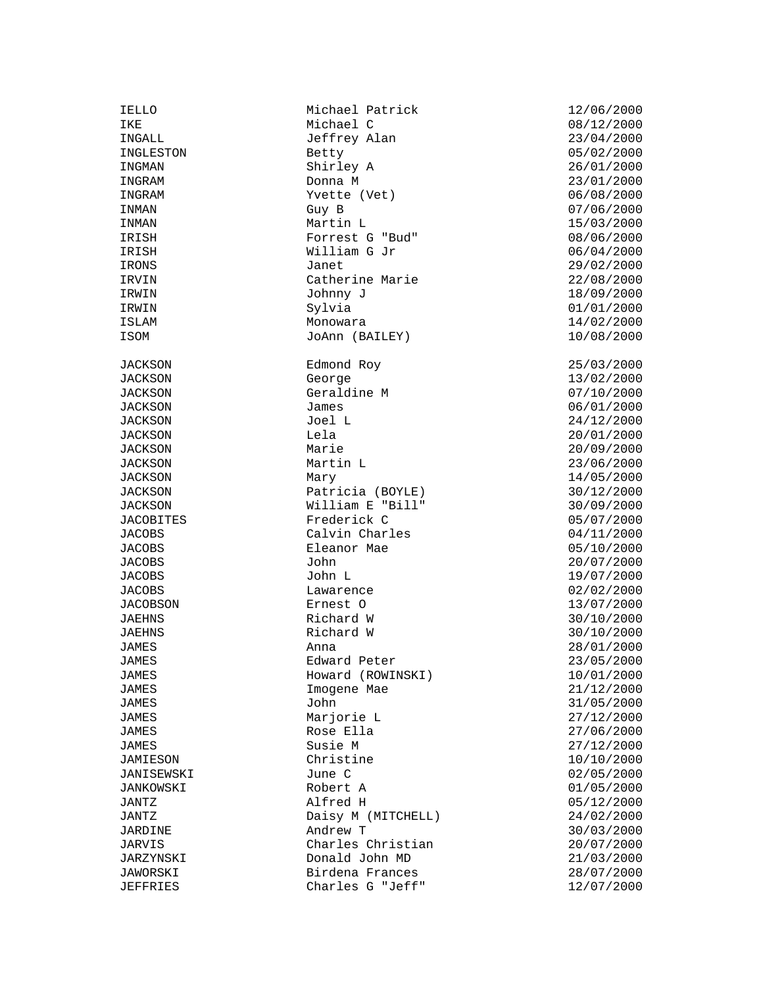JACOBS Lawarence<br>JACOBSON Ernest O

IELLO Michael Patrick 12/06/2000 IKE Michael C 08/12/2000 INGALL Jeffrey Alan 23/04/2000 INGLESTON Betty Betty 05/02/2000 INGMAN Shirley A 26/01/2000 INGRAM Donna M 23/01/2000 INGRAM  $V$ vette (Vet) 06/08/2000<br>INMAN Guy B 07/06/2000 INMAN Guy B 07/06/2000 INMAN Martin L 15/03/2000 IRISH Forrest G "Bud" 08/06/2000 IRISH William G Jr 06/04/2000 IRONS Janet 29/02/2000 IRVIN Catherine Marie 22/08/2000<br>IRWIN Johnny J IRWIN Johnny J IRWIN Sylvia 01/01/2000 ISLAM Monowara 14/02/2000 ISOM JoAnn (BAILEY) 10/08/2000 JACKSON Edmond Roy 25/03/2000 JACKSON George 13/02/2000 JACKSON Geraldine M JACKSON James 06/01/2000 JACKSON Joel L 24/12/2000 JACKSON Lela 20/01/2000 JACKSON Marie 20/09/2000 JACKSON Martin L 23/06/2000 JACKSON Mary 14/05/2000 JACKSON Patricia (BOYLE) 30/12/2000 JACKSON William E "Bill" 30/09/2000 JACOBITES Frederick C<br>JACOBS Calvin Charles 05/07/2000 Calvin Charles JACOBS Eleanor Mae 05/10/2000 JACOBS John 20/07/2000 JACOBS John L 19/07/2000 JACOBSON Ernest O 13/07/2000 JAEHNS Richard W 30/10/2000 JAEHNS Richard W 30/10/2000 JAMES Edward Peter 23/05/2000 JAMES Howard (ROWINSKI) 10/01/2000 Imogene Mae JAMES John 31/05/2000 JAMES Marjorie L 27/12/2000 JAMES Rose Ella 27/06/2000 JAMES Susie M 27/12/2000 JAMIESON Christine 10/10/2000 JANISEWSKI June C 02/05/2000 JANKOWSKI Robert A 01/05/2000 JANTZ Alfred H 05/12/2000 JANTZ Daisy M (MITCHELL) 24/02/2000 JARDINE Andrew T 30/03/2000 JARVIS Charles Christian 20/07/2000 JARZYNSKI Donald John MD 21/03/2000 JAWORSKI Birdena Frances 28/07/2000 JEFFRIES Charles G "Jeff" 12/07/2000

28/01/2000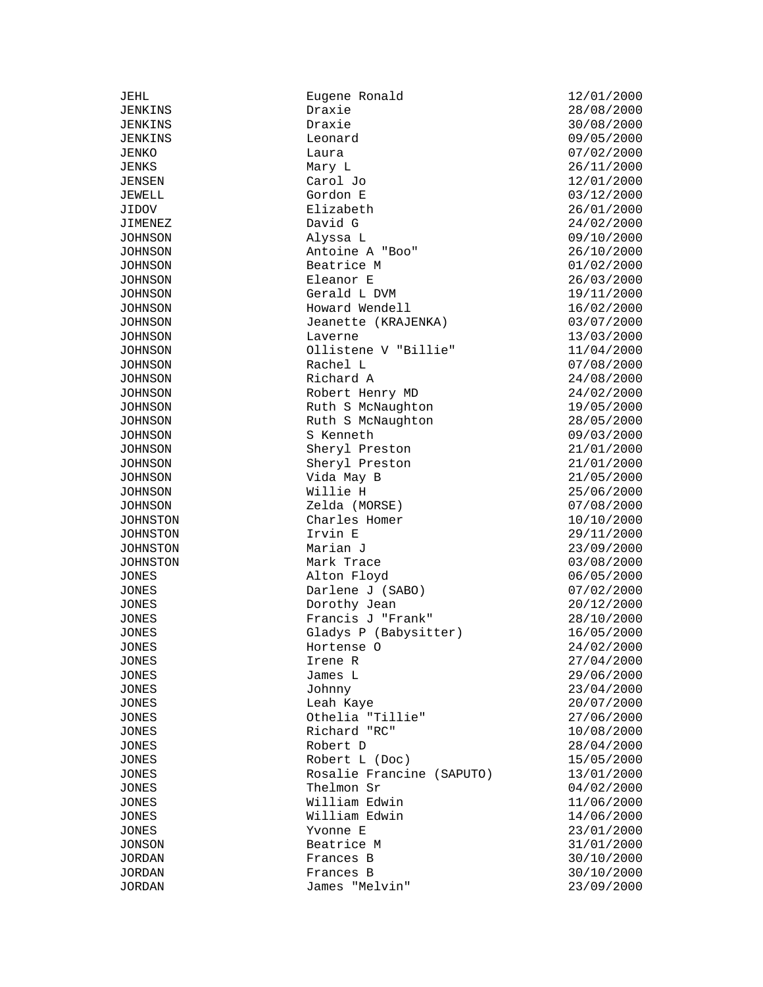JEHL Eugene Ronald 12/01/2000 Draxie 28/08/2000 JENKINS Draxie 30/08/2000 JENKINS Leonard 09/05/2000 JENKO Laura 07/02/2000  $\text{Mary L}$  26/11/2000 JENSEN Carol Jo 12/01/2000 JEWELL Gordon E and Carlos Carlos (12/01/2000)<br>JEWELL Gordon E 03/12/2000<br>JIDOV Elizabeth 26/01/2000 JIDOV Elizabeth 26/01/2000 JIMENEZ David G 24/02/2000 JOHNSON Alyssa L 09/10/2000 JOHNSON Antoine A "Boo" 26/10/2000 JOHNSON Beatrice M 01/02/2000 JOHNSON Eleanor E 26/03/2000 JOHNSON Gerald L DVM 19/11/2000 JOHNSON Howard Wendell 16/02/2000 JOHNSON Jeanette (KRAJENKA) 03/07/2000 JOHNSON Laverne 13/03/2000<br>JOHNSON Ollistene V "Billie" 11/04/2000 Ollistene V "Billie" 11/04/2000 JOHNSON Rachel L 07/08/2000 JOHNSON Richard A 24/08/2000 JOHNSON Robert Henry MD 24/02/2000<br>JOHNSON Ruth S McNaughton 19/05/2000<br>JOHNSON Ruth S McNaughton 28/05/2000 JOHNSON Ruth S McNaughton 19/05/2000 JOHNSON Ruth S McNaughton 28/05/2000 JOHNSON S Kenneth 09/03/2000<br>JOHNSON Sheryl Preston 21/01/2000 JOHNSON Sheryl Preston 21/01/2000 JOHNSON Sheryl Preston 21/01/2000 JOHNSON Vida May B 21/05/2000 JOHNSON Willie H 25/06/2000<br>JOHNSON Zelda (MORSE) 07/08/2000<br>JOHNSTON Charles Homer 10/10/2000 JOHNSON Zelda (MORSE) 07/08/2000 JOHNSTON Charles Homer 10/10/2000 JOHNSTON Irvin E 29/11/2000 JOHNSTON Marian J 23/09/2000 JOHNSTON Mark Trace 03/08/2000 JONES Alton Floyd 06/05/2000 JONES Darlene J (SABO) 07/02/2000 JONES Dorothy Jean 20/12/2000 JONES Francis J "Frank" 28/10/2000 JONES Gladys P (Babysitter) 16/05/2000<br>JONES Hortense O 24/02/2000 JONES Hortense O 24/02/2000 JONES Irene R 27/04/2000 JONES James L 29/06/2000 JONES Johnny 23/04/2000 JONES Leah Kaye 20/07/2000 JONES Othelia "Tillie" 27/06/2000 JONES Richard "RC" 10/08/2000 JONES Robert D 28/04/2000 JONES Robert L (Doc) 15/05/2000 JONES Rosalie Francine (SAPUTO) 13/01/2000 JONES Thelmon Sr 04/02/2000 JONES William Edwin 11/06/2000 JONES William Edwin 14/06/2000 JONES Yvonne E 23/01/2000 JONSON Beatrice M 31/01/2000 JORDAN Frances B 30/10/2000 JORDAN Frances B 30/10/2000 JORDAN James "Melvin" 23/09/2000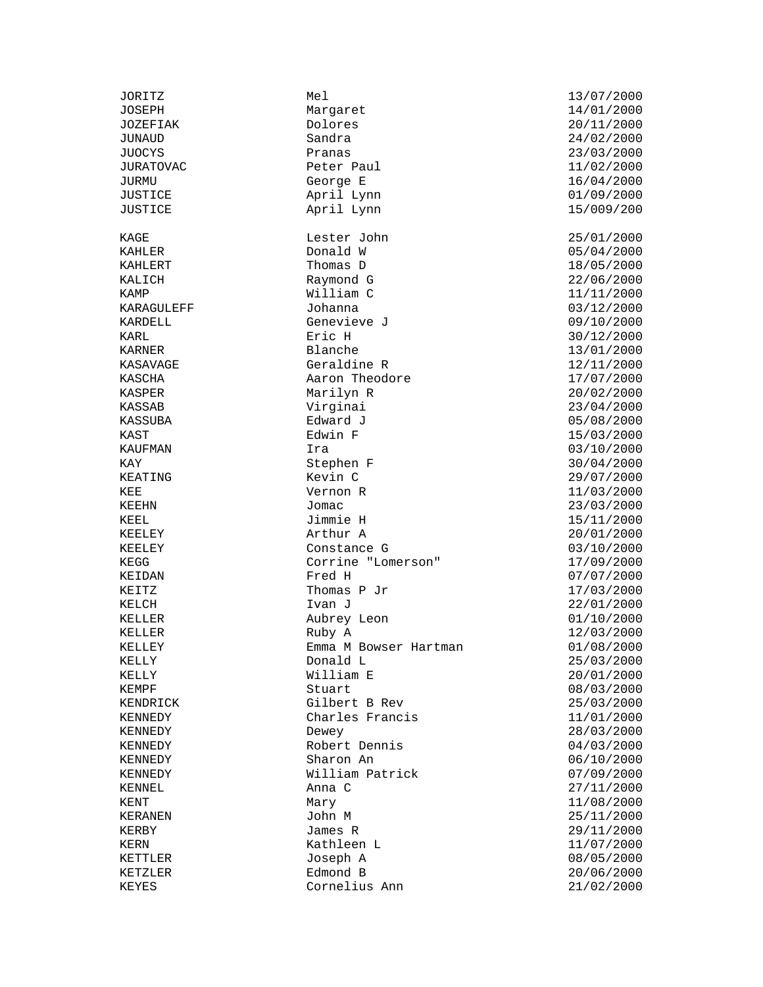KALICH Raymond G 22/06/2000

JOSEPH Margaret 14/01/2000 JOZEFIAK Dolores 20/11/2000 JUNAUD Sandra 24/02/2000 JUOCYS Pranas 23/03/2000 JURATOVAC Peter Paul 11/02/2000 JURMU George E 16/04/2000 JUSTICE April Lynn 01/09/2000 JUSTICE April Lynn 15/009/200 KAGE Lester John 25/01/2000 KAHLER Donald W 05/04/2000 KAHLERT Thomas D 18/05/2000 William C 11/11/2000<br>Johanna 03/12/2000 KARAGULEFF Johanna Johanna 03/12/2000 KARDELL Genevieve J 09/10/2000 KARL Eric H 30/12/2000 KASAVAGE Geraldine R 12/11/2000 KASCHA Aaron Theodore 17/07/2000 KASPER Marilyn R 20/02/2000 KASSAB Virginai 23/04/2000 KASSUBA Edward J 05/08/2000 KAST Edwin F 15/03/2000 KAUFMAN Ira 03/10/2000 KAY 61.1 Stephen F 30/04/2000 KEATING Kevin C 29/07/2000 KEE Vernon R 11/03/2000 KEEHN Jomac 23/03/2000 KEEL Jimmie H 15/11/2000 KEELEY Arthur A 20/01/2000 Constance G 03/10/2000 KEGG Corrine "Lomerson" 17/09/2000 KEIDAN  $2000$  Fred H  $07/07/2000$  KEITZ  $17/03/2000$ Thomas P Jr<br>Ivan J KELCH Ivan J 22/01/2000 KELLER Aubrey Leon 01/10/2000 KELLER Ruby A 12/03/2000  $E$ mma M Bowser Hartman  $01/08/2000$ KELLY Donald L 25/03/2000 KELLY William E 20/01/2000 KEMPF Stuart Stuart 08/03/2000 KENDRICK Gilbert B Rev 25/03/2000 KENNEDY Charles Francis 11/01/2000 KENNEDY Dewey Dewey 28/03/2000 KENNEDY Robert Dennis 04/03/2000 KENNEDY Sharon An 06/10/2000 KENNEDY William Patrick 07/09/2000 KENNEL 27/11/2000 Anna C KENT Mary 11/08/2000 KERANEN John M 25/11/2000 KERN KATHLEEN LAKERN KATHLEEN LAKERN KERN 11/07/2000 KETTLER Joseph A 08/05/2000 KETZLER Edmond B 20/06/2000 KEYES Cornelius Ann 21/02/2000

JORITZ Mel 13/07/2000 KARNER Blanche 13/01/2000 29/11/2000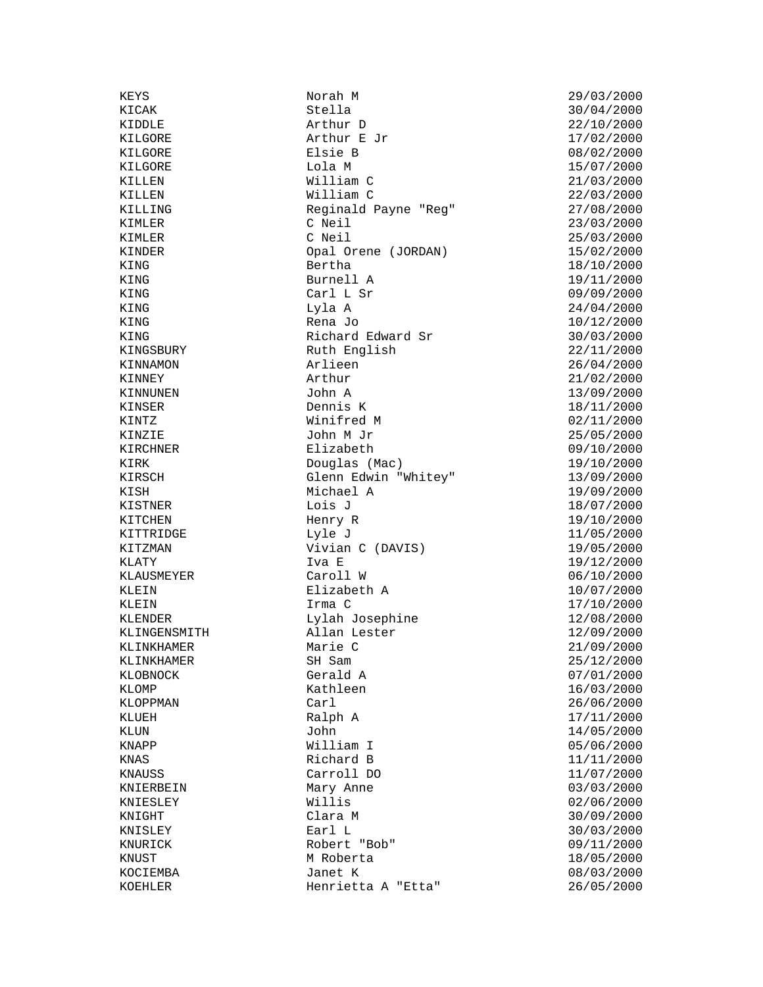KING Carl L Sr<br>
KING Lyla A

KEYS Norah M 29/03/2000 Stella 30/04/2000<br>Arthur D 22/10/2000 KIDDLE Arthur D 22/10/2000 KILGORE Arthur E Jr 17/02/2000 KILGORE Elsie B 08/02/2000 KILGORE Lola M 15/07/2000 William C 21/03/2000<br>William C 21/03/2000<br>22/03/2000 KILLEN William C 22/03/2000 KILLING Reginald Payne "Reg" 27/08/2000 KIMLER C Neil 23/03/2000 KIMLER C Neil 25/03/2000 KINDER Opal Orene (JORDAN) 15/02/2000 KING 18/10/2000 Bertha 18/10/2000 KING Burnell A 19/11/2000 Lyla A 24/04/2000<br>Rena Jo 2010 10/12/2000 KING 10/12/2000 Rena Jo 10/12/2000 Rena Jo 2012 KING Richard Edward Sr 30/03/2000 Ruth English 22/11/2000<br>Arlieen 26/04/2000 KINGSBURY Ruth English 22/11/2000<br>KINNAMON Arlieen 26/04/2000 KINNEY Arthur 21/02/2000 XINNUNEN John A 13/09/2000<br>
XINSER Dennis K 18/11/2000<br>
XINTZ Winifred M 02/11/2000<br>
XINZIE John M Jr 25/05/2000<br>
XIRCENNED TO THE TREASURE KINSER Dennis K 18/11/2000 KINTZ Winifred M 02/11/2000 KINZIE John M Jr 25/05/2000 KIRCHNER Elizabeth 09/10/2000<br>
Elizabeth 09/10/2000<br>
Poughs (Mar) 10/10/2000 KIRK Douglas (Mac) 19/10/2000<br>KIRSCH Glenn Edwin "Whitey" 13/09/2000<br>KIRSCH Stein Edwin "Whitey" 13/09/2000 KIRSCH Glenn Edwin "Whitey" 13/09/2000 KISH Michael A 19/09/2000<br>KISTNER Lois J Lois J 18/07/2000  $\begin{array}{cccc}\n\texttt{KISTNER} & \texttt{Lois J} & \texttt{18/07/2000} \\
\texttt{KITCHEN} & \texttt{Henry R} & \texttt{19/10/2000}\n\end{array}$ KITCHEN Henry R 19/10/2000 KITTRIDGE Lyle J 11/05/2000 Vivian C (DAVIS)  $19/05/2000$ KLATY Iva E 19/12/2000 KLAUSMEYER Caroll W 06/10/2000 KLEIN Elizabeth A 10/07/2000<br>KLEIN Irma C 17/10/2000 KLEIN Irma C 17/10/2000 KLENDER Lylah Josephine 12/08/2000 KLINGENSMITH Allan Lester 12/09/2000 KLINKHAMER Marie C 21/09/2000 KLINKHAMER SH Sam SH Show SH Sam 25/12/2000 KLOBNOCK Gerald A  $07/01/2000$ <br>KLOMP Kathleen 16/03/2000 KLOMP Kathleen 16/03/2000 KLOPPMAN Carl 26/06/2000 KLUEH Ralph A 17/11/2000<br>KLUN John 14/05/2000 KLUN John 14/05/2000 EXAMPP William I 05/06/2000<br>
KNAS Richard B 11/11/2000 KNAS Richard B  $11/11/2000$ KNAUSS Carroll DO 11/07/2000 KNIERBEIN Mary Anne 03/03/2000 KNIESLEY Willis 02/06/2000 KNIGHT Clara M 30/09/2000 KNURICK Robert "Bob" 09/11/2000 KNUST M Roberta 18/05/2000 KOCIEMBA Janet K 08/03/2000 Henrietta A "Etta" 26/05/2000

30/03/2000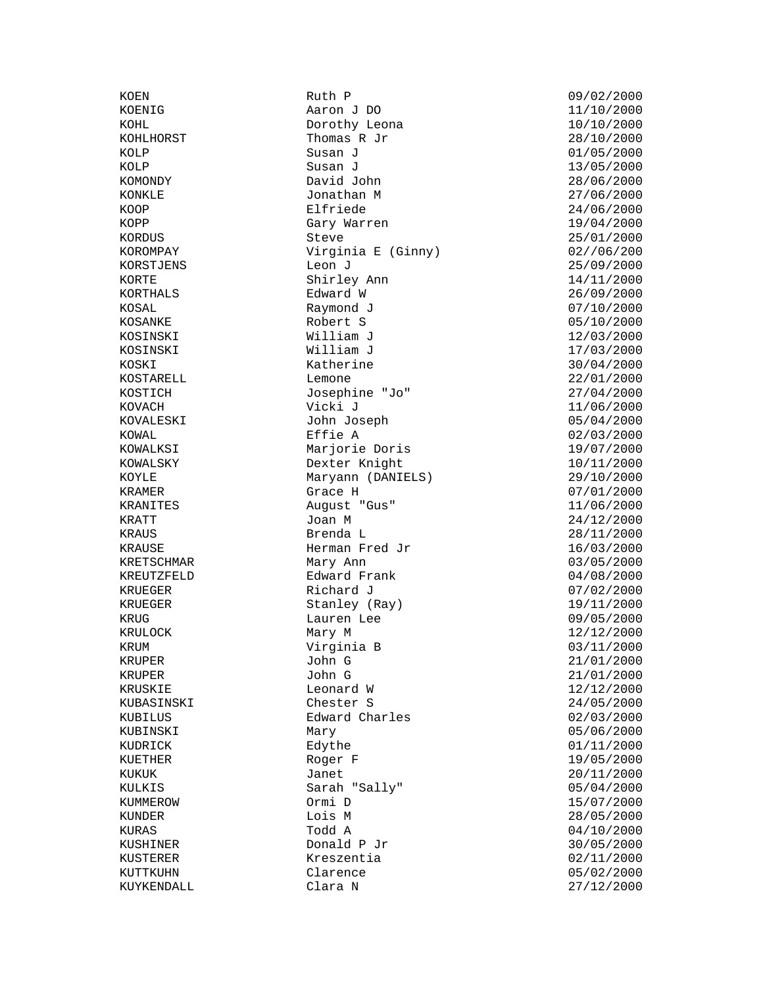KRUEGER Richard J

KOEN Ruth P 09/02/2000 Aaron J DO 11/10/2000 KOHL Dorothy Leona 10/10/2000 Thomas R Jr  $28/10/2000$ KOLP Susan J 01/05/2000 KOLP Susan J 13/05/2000 KOMONDY David John 28/06/2000 KONKLE Jonathan M 27/06/2000 KOOP Elfriede 24/06/2000 KOPP Gary Warren 19/04/2000 KORDUS Steve 25/01/2000 KOROMPAY **Virginia E** (Ginny) KORSTJENS Leon J 25/09/2000 KORTE Shirley Ann 14/11/2000 KOSAL Raymond J 07/10/2000 KOSANKE Robert S 05/10/2000 KOSINSKI William J 12/03/2000 KOSINSKI William J 17/03/2000 KOSKI Katherine 30/04/2000 KOSTARELL Lemone Lemone 22/01/2000 KOSTICH Josephine "Jo" 27/04/2000 KOVACH Vicki J 11/06/2000 KOVALESKI John Joseph 05/04/2000 KOWAL Effie A 02/03/2000 KOWALKSI Marjorie Doris KOWALSKY Dexter Knight 10/11/2000 KOYLE Maryann (DANIELS) 29/10/2000 KRAMER Grace H 07/01/2000 KRANITES August "Gus" 11/06/2000 EXATT Joan M 3000 Joan M 24/12/2000 XRAUS 28/11/2000 2001 Brenda L KRAUSE Herman Fred Jr 16/03/2000 KRETSCHMAR Mary Ann 1999 Mary 2000 Mary 2000 Mary 2000 Mary 2000 Mary 2000 Mary 2000 Mary 2000 Mary 2000 Mary 2000 Mary 2000 Mary 2000 Mary 2001 Mary 2001 Mary 2001 Mary 2001 Mary 2001 Mary 2001 Mary 2001 Mary 2001 Mary 20 KREUTZFELD Edward Frank 04/08/2000 KRUEGER Stanley (Ray) 19/11/2000 KRUG Lauren Lee 09/05/2000 KRULOCK Mary M 12/12/2000 KRUM Virginia B 03/11/2000 KRUPER John G 21/01/2000 KRUPER John G 21/01/2000 KRUSKIE 12/12/2000 Leonard W 12/12/2000 KUBASINSKI Chester S 24/05/2000 KUBILUS Edward Charles 02/03/2000 KUBINSKI Mary Mary 05/06/2000 KUDRICK Edythe Edythe 01/11/2000 KUETHER Roger F 19/05/2000 KUKUK Janet 20/11/2000 Sarah "Sally" KUMMEROW Ormi D 15/07/2000 KUNDER Lois M 28/05/2000 KURAS  $\qquad \qquad \qquad \text{ Todd A}$  04/10/2000 KUSHINER Donald P Jr 30/05/2000 KUSTERER Kreszentia 02/11/2000 KUTTKUHN Clarence 05/02/2000 KUYKENDALL Clara N 27/12/2000

 $26/09/2000$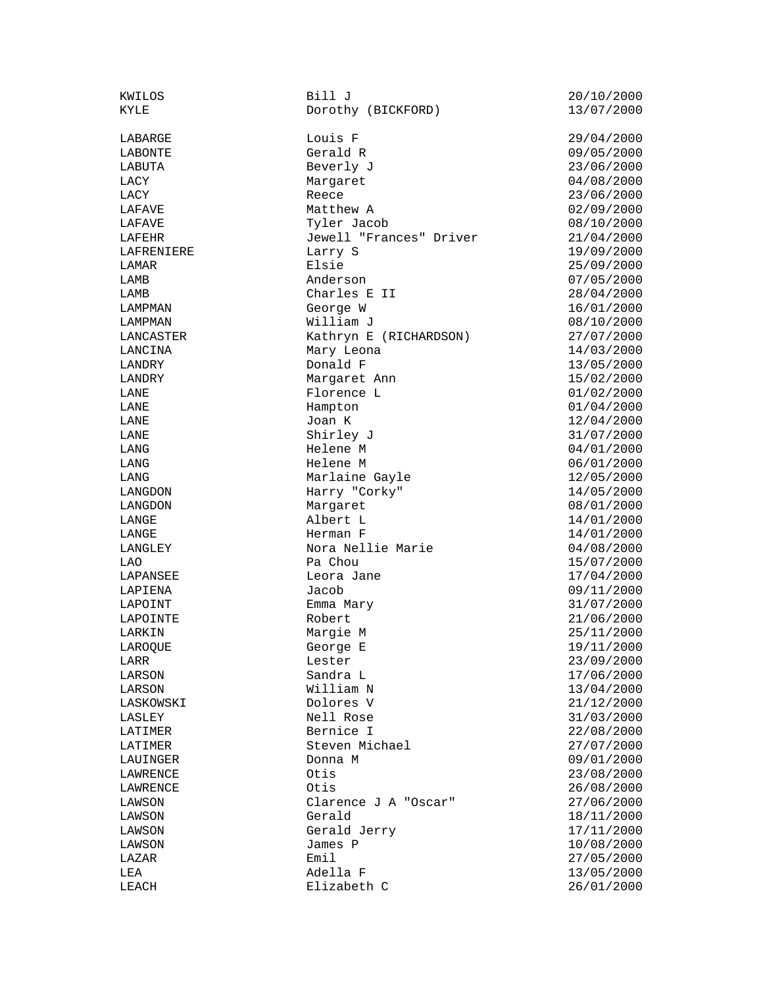| KMTTOR     |
|------------|
| KYLE       |
|            |
| LABARGE    |
| LABONTE    |
| LABUTA     |
|            |
| LACY       |
| LACY       |
| LAFAVE     |
| LAFAVE     |
| LAFEHR     |
| LAFRENIERE |
| LAMAR      |
| LAMB       |
| LAMB       |
|            |
| LAMPMAN    |
| LAMPMAN    |
| LANCASTER  |
| LANCINA    |
| LANDRY     |
| LANDRY     |
| LANE       |
| LANE       |
| LANE       |
| LANE       |
|            |
| LANG       |
| LANG       |
| LANG       |
| LANGDON    |
| LANGDON    |
| LANGE      |
| LANGE      |
| LANGLEY    |
| LAO        |
| LAPANSEE   |
|            |
| LAPIENA    |
| LAPOINT    |
| LAPOINTE   |
| LARKIN     |
| LAROQUE    |
| LARR       |
| LARSON     |
| LARSON     |
| LASKOWSKI  |
| LASLEY     |
|            |
| LATIMER    |
| LATIMER    |
| LAUINGER   |
| LAWRENCE   |
| LAWRENCE   |
| LAWSON     |
| LAWSON     |
| LAWSON     |
| LAWSON     |
|            |
| LAZAR      |
| LEA        |
| LEACH      |

KWILOS Bill J<br>
Bill J<br>
Dorothy (BICKFORD) 20/10/2000 13/07/2000 Dorothy (BICKFORD) Louis F 29/04/2000 Gerald R 09/05/2000 Beverly J 23/06/2000 Margaret 04/08/2000 Reece 23/06/2000 Matthew A 02/09/2000 Tyler Jacob 08/10/2000 Jewell "Frances" Driver 21/04/2000 Larry S 19/09/2000 Elsie 25/09/2000<br>Anderson 2000 2000 2000 2000 Charles E II George W 16/01/2000 LAMPMAN William J 08/10/2000 LANCASTER Kathryn E (RICHARDSON) 27/07/2000 Mary Leona 14/03/2000 Donald F 13/05/2000 Margaret Ann 15/02/2000 Florence L 01/02/2000 Hampton 01/04/2000 LANE Joan K 12/04/2000 LANE Shirley J 31/07/2000 LANG Helene M 04/01/2000 Helene M 06/01/2000 Marlaine Gayle 12/05/2000 Harry "Corky" 14/05/2000 Margaret 08/01/2000 Albert L<br>
Herman F<br>
14/01/2000<br>
14/01/2000 Nora Nellie Marie  $04/08/2000$ Pa Chou 15/07/2000 Leora Jane 17/04/2000  $Jacob$  09/11/2000 Emma Mary 31/07/2000 Robert 21/06/2000 Margie M 25/11/2000 George E 19/11/2000 Lester 23/09/2000 Sandra L<br>
William N 13/04/2000<br>
13/04/2000 Dolores V 21/12/2000 Nell Rose 31/03/2000 Bernice I 22/08/2000 Steven Michael 27/07/2000 Donna M 09/01/2000<br>Otis 23/08/2000 Otis 23/08/2000<br>Otis 26/08/2000 Clarence J A "Oscar" 27/06/2000 Gerald 18/11/2000<br>Gerald Jerry 17/11/2000 Gerald Jerry James P 10/08/2000 Emil 27/05/2000 Adella F 13/05/2000 Elizabeth C 26/01/2000

07/05/2000<br>28/04/2000 14/01/2000 13/04/2000 LAWRENCE Otis 26/08/2000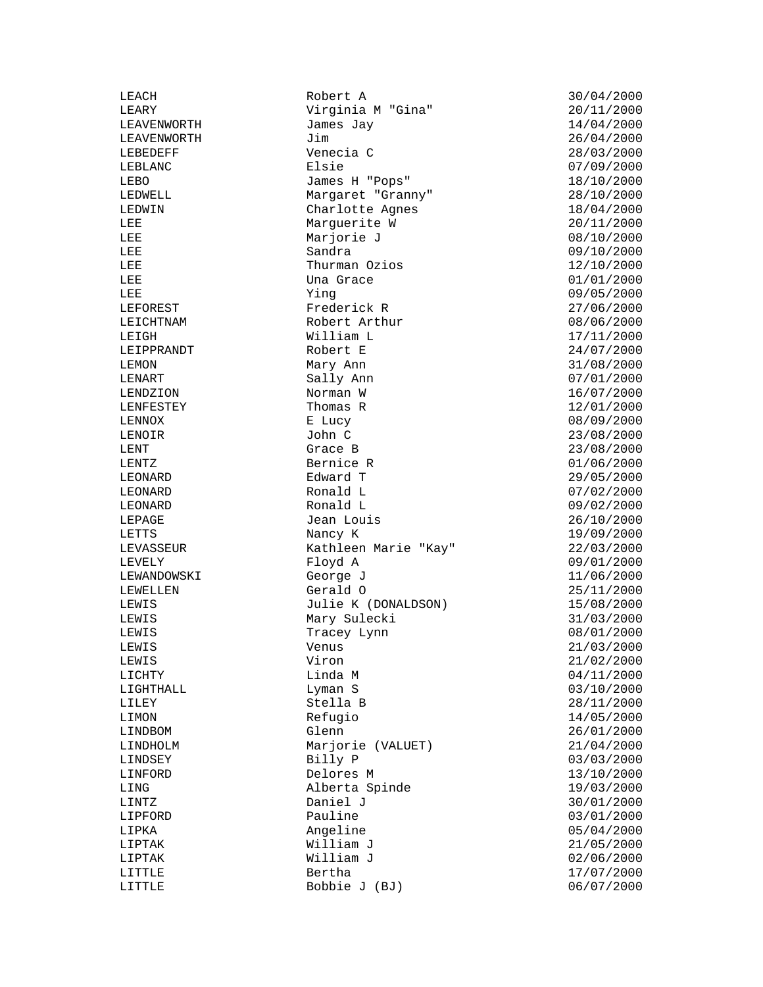LEIPPRANDT LIPKA Angeline<br>
LIPTAK William J

LEACH Robert A 30/04/2000 .........<br>Virginia M "Gina" LEAVENWORTH James Jay 14/04/2000 LEAVENWORTH Jim Jim Jim 26/04/2000<br>LEBEDEFF Venecia C 28/03/2000 LEBEDEFF Venecia C 28/03/2000 LEBLANC Elsie 07/09/2000 LEBO James H "Pops" 18/10/2000 LEDWELL Margaret "Granny" 28/10/2000 LEDWIN Charlotte Agnes 18/04/2000 LEE 1992 Marguerite W 30/11/2000 LEE Marjorie J 08/10/2000 LEE Sandra 09/10/2000 LEE Thurman Ozios 12/10/2000 LEE Una Grace 01/01/2000<br>
LEE Ying 09/05/2000<br>
LEFOREST Frederick R<br>
The Present Arthur<br>
Chart Arthur<br>
Constant Arthur<br>
Constant Of Canada (198/06/2000) LEE Ying 09/05/2000 LEFOREST Frederick R 27/06/2000 LEICHTNAM Robert Arthur 08/06/2000 LEIGH Milliam L<br>
LEIPPRANDT Robert E 17/11/2000 LEMON Mary Ann 31/08/2000 LENART Sally Ann 07/01/2000 LENDZION Norman W 16/07/2000 LENFESTEY Thomas R 12/01/2000 LENNOX  $E$  Lucy  $E$   $\frac{1}{2}$  E  $\frac{1}{2}$   $\frac{1}{2}$   $\frac{1}{2}$   $\frac{1}{2}$   $\frac{1}{2}$   $\frac{1}{2}$   $\frac{1}{2}$   $\frac{1}{2}$   $\frac{1}{2}$   $\frac{1}{2}$   $\frac{1}{2}$   $\frac{1}{2}$   $\frac{1}{2}$   $\frac{1}{2}$   $\frac{1}{2}$   $\frac{1}{2}$   $\frac{1}{2}$   $\frac{1}{2}$   $\frac{1}{2}$ LENOIR John C 23/08/2000 LENT Grace B 23/08/2000 LENTZ Bernice R 01/06/2000 LEONARD Edward T 29/05/2000 LEONARD Ronald L 07/02/2000 LEONARD Ronald L 09/02/2000 LEPAGE Jean Louis 26/10/2000 LETTS Nancy K 29/09/2000 LEVASSEUR Kathleen Marie "Kay" 22/03/2000 LEVELY Floyd A 09/01/2000 LEWANDOWSKI George J 11/06/2000 LEWELLEN Gerald O 25/11/2000 LEWIS Julie K (DONALDSON) LEWIS Mary Sulecki 31/03/2000 LEWIS Tracey Lynn 08/01/2000 LEWIS Venus 21/03/2000 LEWIS Viron 21/02/2000 LICHTY Linda M 04/11/2000 LIGHTHALL Lyman S 03/10/2000 LILEY Stella B 28/11/2000 LIMON Refugio 14/05/2000 LINDBOM Glenn 26/01/2000 LINDHOLM Marjorie (VALUET) 21/04/2000 LINDSEY Billy P 03/03/2000 LINFORD Delores M 13/10/2000<br>
LING 19/03/2000 1.1NG Alberta Spinde 19/03/2000 LINTZ Daniel J 30/01/2000 LIPFORD Pauline 03/01/2000 LIPTAK William J 21/05/2000 LIPTAK William J 02/06/2000 LITTLE Bertha 17/07/2000 Bobbie J (BJ) 06/07/2000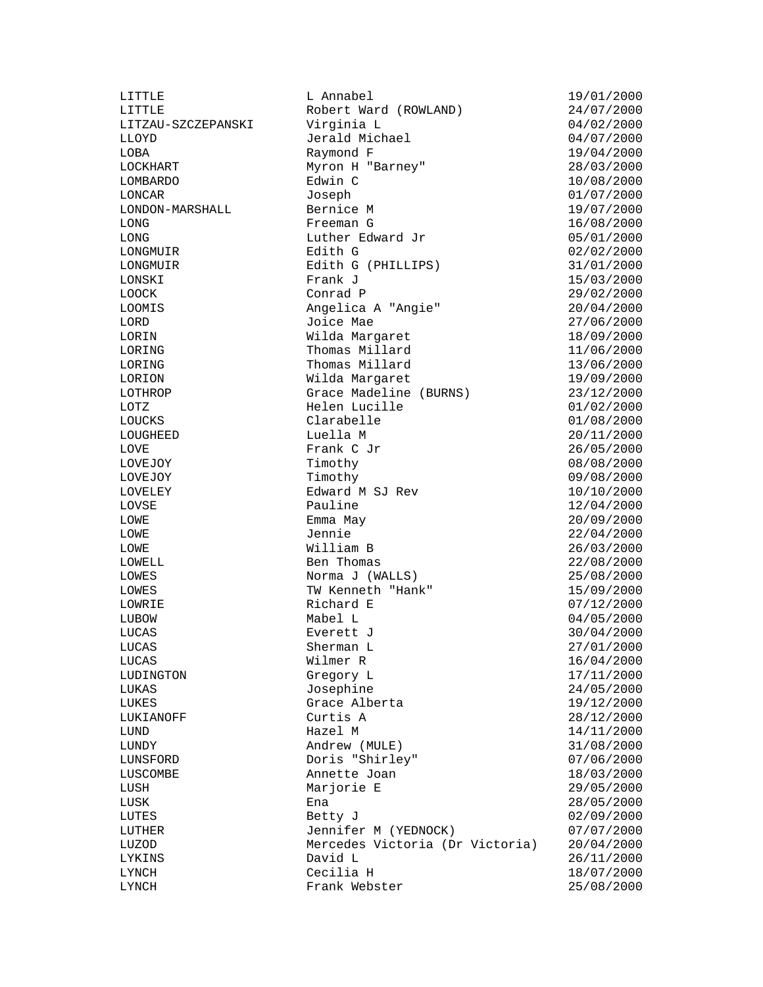LITTLE L Annabel 19/01/2000 Robert Ward (ROWLAND)<br>Virginia L LITZAU-SZCZEPANSKI Virginia L 04/02/2000 LLOYD Jerald Michael 04/07/2000 LOBA Raymond F 19/04/2000 LOCKHART Myron H "Barney" 28/03/2000 Edwin C 10/08/2000 LONCAR Joseph 01/07/2000 LONDON-MARSHALL Bernice M 19/07/2000 LONG Freeman G 16/08/2000 LONG Luther Edward Jr 05/01/2000 LONGMUIR Edith G 02/02/2000 LONGMUIR Edith G (PHILLIPS) 31/01/2000 LONSKI Frank J 15/03/2000 LOOCK Conrad P 29/02/2000<br>
LOOMIS Angelica A "Angie" 20/04/2000 Angelica A "Angie" 20/04/2000 LORD Joice Mae 27/06/2000 LORIN Wilda Margaret 18/09/2000<br>
LORING Thomas Millard 11/06/2000<br>
LORING Thomas Millard 13/06/2000 Thomas Millard 11/06/2000 LORING Thomas Millard 13/06/2000 LORION Wilda Margaret 19/09/2000 LOTHROP Grace Madeline (BURNS) 23/12/2000 Helen Lucille 01/02/2000 LOUCKS Clarabelle 01/08/2000<br>
LOUGHEED LOUGHEED LOUGHEED 20/11/2000 LOUGHEED Luella M 20/11/2000 LOVE Frank C Jr 26/05/2000 LOVEJOY Timothy 08/08/2000 LOVEJOY Timothy 09/08/2000 LOVELEY Edward M SJ Rev 10/10/2000 LOVSE Pauline 22/04/2000 LOWE Emma May 20/09/2000 LOWE Jennie 22/04/2000 William B 26/03/2000 LOWELL Ben Thomas 22/08/2000 LOWES Norma J (WALLS) 25/08/2000 LOWES TW Kenneth "Hank" 15/09/2000<br>
LOWRIE Richard E 07/12/2000 Richard E 07/12/2000 LUBOW Mabel L 04/05/2000 LUCAS Everett J 30/04/2000 LUCAS Sherman L 27/01/2000 LUCAS Wilmer R 16/04/2000 LUDINGTON Gregory L 17/11/2000 LUKAS Josephine 24/05/2000 LUKES Grace Alberta 19/12/2000 LUKIANOFF Curtis A 28/12/2000<br>
LUND Hazel M 14/11/2000  $LUND$   $Hazel$  M  $14/11/2000$ LUNDY Andrew (MULE) 31/08/2000 LUNSFORD Doris "Shirley" 07/06/2000 LUSCOMBE Annette Joan 18/03/2000 LUSH Marjorie E 29/05/2000 LUSK Ena 28/05/2000 LUTES Betty J 02/09/2000 Jennifer M (YEDNOCK) 07/07/2000 LUZOD Mercedes Victoria (Dr Victoria) 20/04/2000 LYKINS David L 26/11/2000 LYNCH Cecilia H 18/07/2000 Frank Webster 25/08/2000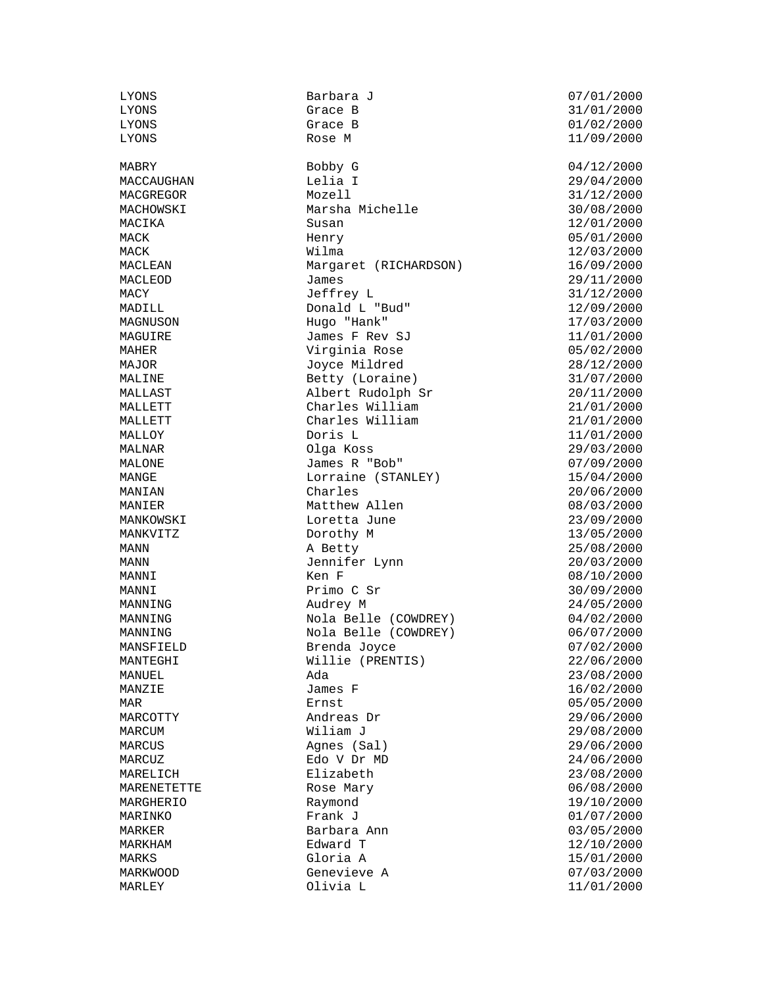MACY Jeffrey L 31/12/2000

LYONS Barbara J 07/01/2000 LYONS Grace B 01/02/2000 LYONS Rose M 11/09/2000 MABRY Bobby G 04/12/2000 MACCAUGHAN Lelia I 29/04/2000 MACGREGOR Mozell 31/12/2000 MACHOWSKI Marsha Michelle 30/08/2000 MACIKA Susan Susan 12/01/2000 MACK Henry 05/01/2000 MACK Wilma 12/03/2000 MACLEAN Margaret (RICHARDSON) 16/09/2000 MACLEOD James 29/11/2000 Donald L "Bud" 12/09/2000 MAGNUSON Hugo "Hank" 17/03/2000 Hugo "Hank" MAGUIRE James F Rev SJ 11/01/2000 Virginia Rose 05/02/2000 MAJOR Joyce Mildred 28/12/2000 MALINE Betty (Loraine) 31/07/2000 MALLAST Albert Rudolph Sr 20/11/2000 MALLETT Charles William 21/01/2000 MALLETT Charles William 21/01/2000 MALLOY Doris L 11/01/2000 MALNAR Olga Koss 29/03/2000 MALONE James R "Bob" 07/09/2000 MANGE 15/04/2000 Lorraine (STANLEY) 15/04/2000 MANIAN Charles 20/06/2000 MANIER Matthew Allen 208/03/2000 MANKOWSKI Loretta June 23/09/2000<br>MANKVITZ Dorothy M 23/05/2000 Dorothy M MANN A Betty 25/08/2000 MANN Jennifer Lynn 20/03/2000 MANNI Ken F 08/10/2000 Primo C Sr 30/09/2000 MANNING Audrey M 24/05/2000 MANNING Nola Belle (COWDREY) 04/02/2000 MANNING Nola Belle (COWDREY) 06/07/2000 MANSFIELD Brenda Joyce 07/02/2000 MANTEGHI Willie (PRENTIS) 22/06/2000 MANUEL Ada 23/08/2000 MANZIE James F 16/02/2000 MAR Ernst 05/05/2000 MARCOTTY Andreas Dr 29/06/2000 MARCUM Wiliam J 29/08/2000 MARCUS Agnes (Sal) 29/06/2000 MARCUZ Edo V Dr MD 24/06/2000 MARELICH Elizabeth 23/08/2000<br>MARENETETTE Rose Mary 2000 23/08/2000 MARENETETTE Rose Mary 06/08/2000 MARGHERIO Raymond 19/10/2000 MARINKO Frank J 01/07/2000 MARKER Barbara Ann 03/05/2000 MARKHAM Edward T 12/10/2000 MARKS Gloria A 15/01/2000 MARKWOOD Genevieve A 07/03/2000 Olivia L 11/01/2000

 $31/01/2000$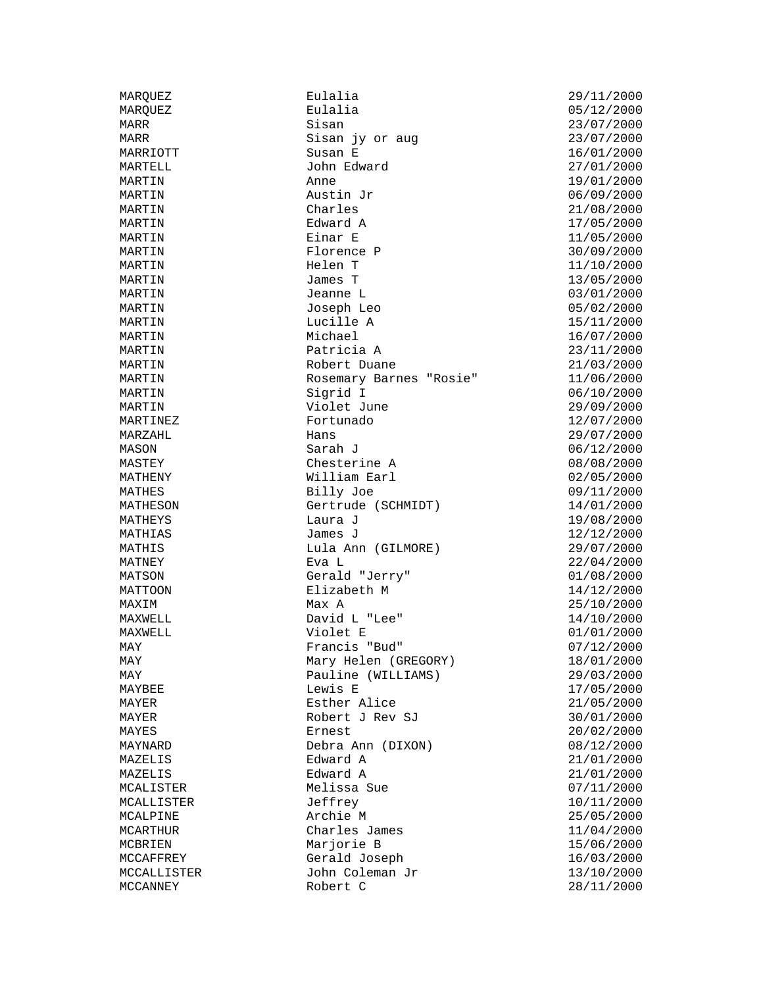| MARQUEZ     | Eulalia                                    | 29/11/2000               |
|-------------|--------------------------------------------|--------------------------|
| MARQUEZ     | Eulalia                                    | 05/12/2000               |
| MARR        | Sisan                                      | 23/07/2000               |
| MARR        | Sisan jy or aug                            | 23/07/2000               |
| MARRIOTT    | Susan E                                    | 16/01/2000               |
| MARTELL     | John Edward                                | 27/01/2000               |
| MARTIN      | Anne                                       | 19/01/2000               |
| MARTIN      | Austin Jr                                  | 06/09/2000               |
| MARTIN      | Charles                                    | 21/08/2000               |
| MARTIN      | Edward A                                   | 17/05/2000               |
| MARTIN      | Einar E                                    | 11/05/2000               |
| MARTIN      | Florence P                                 | 30/09/2000               |
| MARTIN      | Helen T                                    | 11/10/2000               |
| MARTIN      | James T                                    | 13/05/2000               |
| MARTIN      | Jeanne L                                   | 03/01/2000               |
| MARTIN      | Joseph Leo                                 | 05/02/2000               |
| MARTIN      | Lucille A                                  | 15/11/2000               |
| MARTIN      | Michael                                    | 16/07/2000               |
| MARTIN      | Patricia A                                 | 23/11/2000               |
| MARTIN      | Robert Duane                               | 21/03/2000               |
| MARTIN      | Rosemary Barnes "Rosie"                    | 11/06/2000               |
| MARTIN      | Sigrid I                                   | 06/10/2000               |
| MARTIN      | Violet June                                | 29/09/2000               |
| MARTINEZ    | Fortunado                                  | 12/07/2000               |
| MARZAHL     | Hans                                       | 29/07/2000               |
| MASON       | Sarah J                                    | 06/12/2000               |
| MASTEY      | Chesterine A                               | 08/08/2000               |
| MATHENY     | William Earl                               | 02/05/2000               |
| MATHES      | Billy Joe                                  | 09/11/2000               |
| MATHESON    | Gertrude (SCHMIDT)                         | 14/01/2000               |
| MATHEYS     | Laura J                                    | 19/08/2000               |
| MATHIAS     | James J                                    | 12/12/2000               |
| MATHIS      | Lula Ann (GILMORE)                         | 29/07/2000               |
| MATNEY      | Eva L                                      | 22/04/2000               |
| MATSON      | Gerald "Jerry"                             | 01/08/2000               |
| MATTOON     | Elizabeth M                                | 14/12/2000               |
| MAXIM       | Max A                                      | 25/10/2000               |
| MAXWELL     | David L "Lee"                              | 14/10/2000               |
| MAXWELL     | Violet E                                   | 01/01/2000               |
|             | Francis "Bud"                              | 07/12/2000               |
| MAY         |                                            | 18/01/2000               |
| MAY         | Mary Helen (GREGORY)<br>Pauline (WILLIAMS) |                          |
| MAY         | Lewis E                                    | 29/03/2000<br>17/05/2000 |
| MAYBEE      | Esther Alice                               |                          |
| MAYER       | Robert J Rev SJ                            | 21/05/2000               |
| MAYER       |                                            | 30/01/2000               |
| MAYES       | Ernest                                     | 20/02/2000<br>08/12/2000 |
| MAYNARD     | Debra Ann (DIXON)<br>Edward A              | 21/01/2000               |
| MAZELIS     |                                            |                          |
| MAZELIS     | Edward A                                   | 21/01/2000               |
| MCALISTER   | Melissa Sue                                | 07/11/2000               |
| MCALLISTER  | Jeffrey                                    | 10/11/2000               |
| MCALPINE    | Archie M                                   | 25/05/2000               |
| MCARTHUR    | Charles James                              | 11/04/2000               |
| MCBRIEN     | Marjorie B                                 | 15/06/2000               |
| MCCAFFREY   | Gerald Joseph                              | 16/03/2000               |
| MCCALLISTER | John Coleman Jr                            | 13/10/2000               |
| MCCANNEY    | Robert C                                   | 28/11/2000               |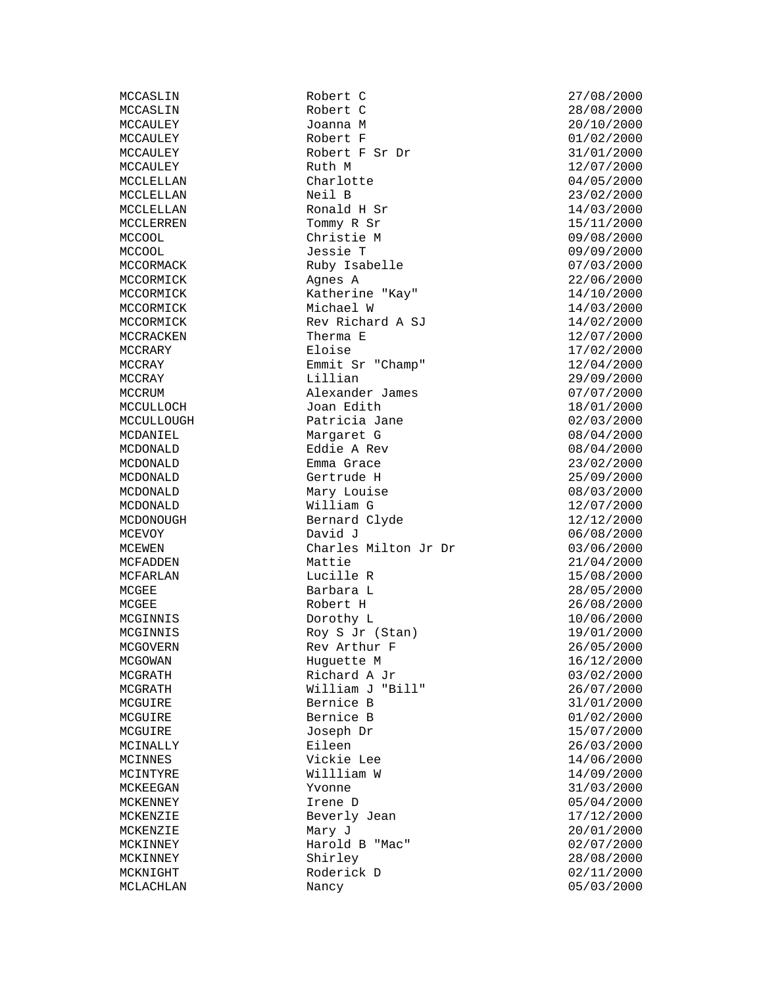MCLACHLAN Nancy Nancy 05/03/2000

MCCASLIN Robert C 27/08/2000 MCCAULEY Joanna M 20/10/2000 MCCAULEY Robert F 01/02/2000 Robert F Sr Dr 31/01/2000 MCCAULEY **Ruth M** 2/07/2000 MCCLELLAN Charlotte 04/05/2000 MCCLELLAN Neil B 23/02/2000 MCCLELLAN Ronald H Sr  $14/03/2000$ MCCLERREN Tommy R Sr 15/11/2000 MCCOOL Christie M 09/08/2000 MCCOOL Jessie T 09/09/2000 Ruby Isabelle 07/03/2000 MCCORMICK Agnes A 22/06/2000 Exatherine "Kay" 14/10/2000<br>Michael W 14/03/2000 MCCORMICK Michael W 14/03/2000<br>MCCORMICK Michael W 14/03/2000<br>MCCORMICK Rev Richard A SJ 14/02/2000 Rev Richard A  $SJ$  14/02/2000 MCCRACKEN Therma E 12/07/2000<br>MCCRARY Eloise Eloise 17/02/2000 MCCRARY Eloise 17/02/2000 MCCRAY Emmit Sr "Champ" 12/04/2000 MCCRAY Lillian 29/09/2000 MCCRUM Alexander James<br>MCCULLOCH Joan Edith MCCULLOCH Joan Edith 18/01/2000<br>MCCULLOUGH Patricia Jane 02/03/2000<br>MCCULLOUGH Mercent C MCCULLOUGH Patricia Jane 02/03/2000<br>MCDANIEL Margaret G 08/04/2000 Margaret G 08/04/2000 MCDONALD **Eddie A Rev 68/04/2000** Brown Brown Brown CONALD MCDONALD Emma Grace 23/02/2000 MCDONALD Gertrude H 25/09/2000 Mary Louise 08/03/2000 MCDONALD <br>
MCDONOUGH 
William G 12/07/2000<br>
MCDONOUGH Bernard Clyde 12/12/2000 MCDONOUGH Bernard Clyde 12/12/2000<br>MCEVOY David J David David David Deremine 12/06/08/2000 MCEWEN Charles Milton Jr Dr 03/06/2000 MCFADDEN Mattie 21/04/2000 MCFARLAN Lucille R 15/08/2000 MCGEE Barbara L 28/05/2000 MCGEE Robert H 26/08/2000<br>MCGINNIS Dorothy L 26/08/2000 Dorothy L  $10/06/2000$ MCGINNIS Roy S Jr (Stan) 19/01/2000 MCGOVERN Rev Arthur F 26/05/2000 MCGOWAN Huguette M 16/12/2000 MCGRATH Richard A Jr 03/02/2000 William J "Bill" 26/07/2000 MCGUIRE B 31/01/2000 MCGUIRE Bernice B 01/02/2000 MCGUIRE Joseph Dr 15/07/2000 MCINALLY Eileen 26/03/2000 MCINNES Vickie Lee 14/06/2000 MCINTYRE Willliam W  $14/09/2000$ <br>MCKEEGAN Yvonne W 14/09/2000 MCKENNEY Irene D 05/04/2000 Beverly Jean  $17/12/2000$  $MCKENZIE$  and  $Mary$   $J$  and  $20/01/2000$ MCKINNEY Harold B "Mac" 02/07/2000 MCKINNEY Shirley 28/08/2000 MCKNIGHT Roderick D 02/11/2000

MCCASLIN Robert C 28/08/2000  $06/08/2000$ 31/03/2000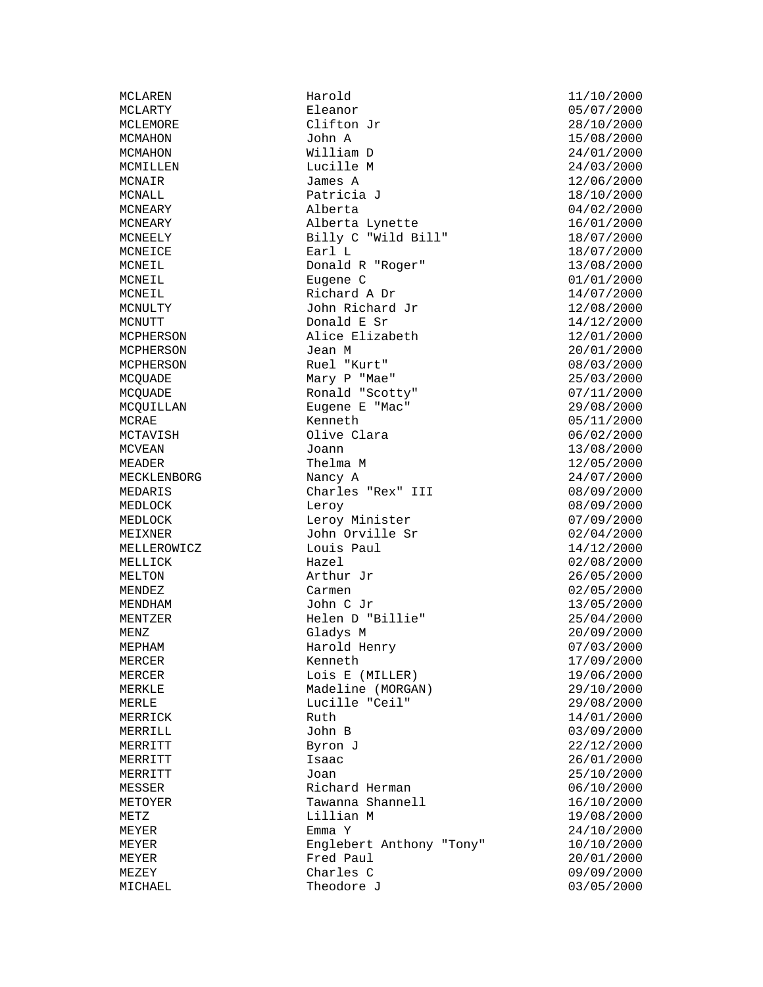MCPHERSON

MCLAREN Harold Harold 11/10/2000<br>MCLARTY Eleanor Eleanor 05/07/2000 MCLARTY Eleanor Eleanor (15/07/2000)<br>MCLEMORE Clifton Jr (28/10/2000) Clifton Jr<br>John A MCMAHON John A 15/08/2000<br>MCMAHON William D 24/01/2000 MCMAHON William D 24/01/2000 MCMILLEN Lucille M 24/03/2000 MCNAIR James A 12/06/2000 MCNALL **Patricia J** 18/10/2000 MCNEARY Alberta 04/02/2000 MCNEARY Alberta Lynette 16/01/2000 MCNEELY Billy C "Wild Bill" 18/07/2000 MCNEICE **Earl L** Earl L 18/07/2000 MCNEIL Donald R "Roger" 13/08/2000<br>MCNEIL Eugene C 201/01/2000 MCNEIL Eugene C 01/01/2000 MCNEIL Richard A Dr 14/07/2000 John Richard Jr<br>Donald E Sr MCNUTT Donald E Sr 14/12/2000<br>
MCPHERSON Alice Elizabeth 12/01/2000<br>
MCPHERSON Alice Elizabeth 12/01/2000 Alice Elizabeth 12/01/2000<br>Jean M 20/01/2000 MCPHERSON Ruel "Kurt" 08/03/2000 MCQUADE Mary P "Mae" 25/03/2000 MCQUADE Ronald "Scotty" 07/11/2000 MCQUILLAN Eugene E "Mac" 29/08/2000 MCQUADE Mary P "Mae" 25/03/2000<br>
MCQUADE Ronald "Scotty" 07/11/2000<br>
MCQUILLAN Eugene E "Mac" 29/08/2000<br>
MCRAE Kenneth 05/11/2000<br>
MCTAVISH Olive Clara 06/02/2000 MCTAVISH 01ive Clara 06/02/2000<br>MCVEAN Joann Joann 13/08/2000 MEADER Thelma M 12/05/2000 MECKLENBORG Nancy A 24/07/2000 MEDARIS Charles "Rex" III 08/09/2000 MEDLOCK Leroy Leroy 198/09/2000<br>MEDLOCK Leroy Minister 07/09/2000<br>MEIXNER John Orville Sr 02/04/2000 MEDLOCK Leroy Minister 07/09/2000 MEIXNER John Orville Sr<br>MELLEROWICZ Louis Paul Louis Paul  $14/12/2000$ MELLICK Hazel Hazel 02/08/2000 MELTON  $\begin{array}{ccc}\n\text{MELTON} \\
\text{MENDEZ}\n\end{array}$  26/05/2000 MENDEZ Carmen Carmen 02/05/2000<br>MENDHAM John C Jr 13/05/2000 MENDHAM John C Jr 13/05/2000 MENTZER Helen D "Billie" 25/04/2000 MENZ Gladys M 20/09/2000 MEPHAM Harold Henry 07/03/2000 MERCER Kenneth 17/09/2000 MERCER Lois E (MILLER) 19/06/2000 MERKLE Madeline (MORGAN) 29/10/2000 MERLE Lucille "Ceil" 29/08/2000 MERRICK  $14/01/2000$ MERRILL John B 03/09/2000 MERRITT Byron J 22/12/2000 MERRITT 15aac 15aac 26/01/2000 MERRITT Joan Joan 25/10/2000 MESSER Richard Herman 16/10/2000<br>METOYER Tawanna Shannell 16/10/2000 Tawanna Shannell 16/10/2000 METZ Lillian M 19/08/2000 MEYER Englebert Anthony "Tony" 10/10/2000 MEYER Fred Paul 20/01/2000 MEZEY Charles C 09/09/2000 Theodore J 03/05/2000

13/08/2000  $24/10/2000$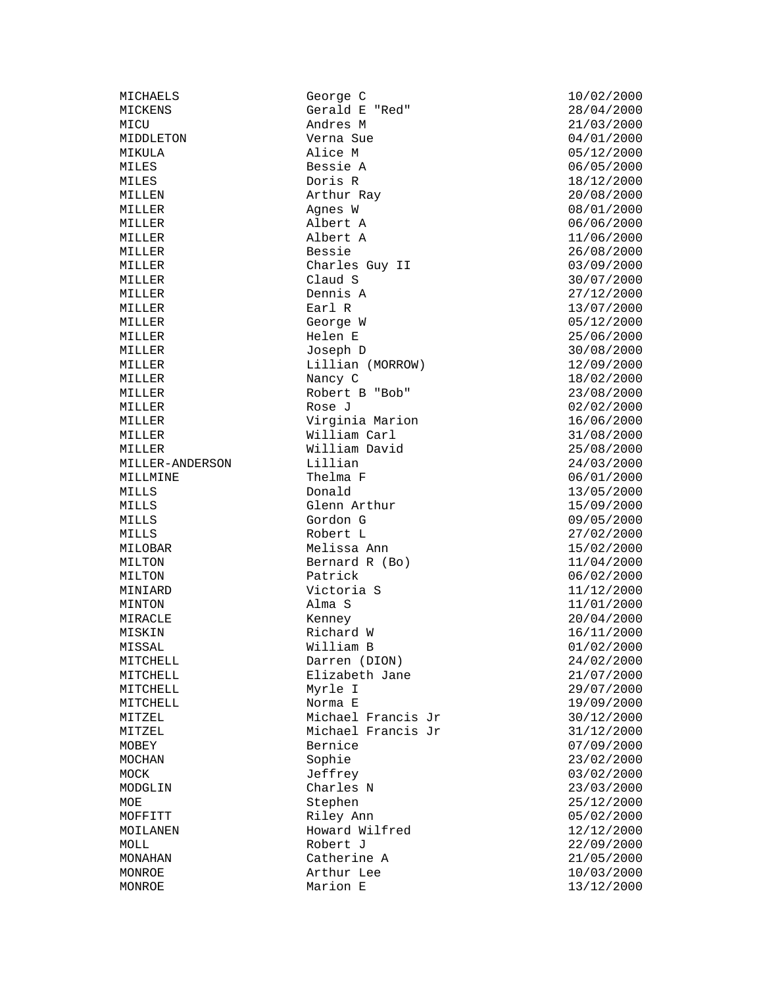MILLER William David

MICHAELS George C 10/02/2000 Gerald E "Red" MICU Andres M 21/03/2000 MIDDLETON Verna Sue 04/01/2000 MIKULA Alice M 05/12/2000 MILES Bessie A 06/05/2000 MILES Doris R 18/12/2000 MILLEN Arthur Ray 20/08/2000 MILLER Agnes W 08/01/2000 MILLER Albert A 06/06/2000 MILLER Albert A 11/06/2000 MILLER Bessie 26/08/2000 MILLER Charles Guy II 03/09/2000 MILLER Claud S 30/07/2000 Dennis A 27/12/2000<br>Earl R 13/07/2000 MILLER **Earl R** 13/07/2000 MILLER George W 05/12/2000 MILLER Helen E 25/06/2000 Joseph D 30/08/2000 MILLER Lillian (MORROW) 12/09/2000 MILLER Nancy C 18/02/2000 MILLER Robert B "Bob" 23/08/2000 MILLER Rose J 2000 Rose Rose S MILLER Virginia Marion 16/06/2000 MILLER William Carl 31/08/2000 MILLER-ANDERSON Lillian 24/03/2000 MILLMINE Thelma F 06/01/2000 MILLS Donald 13/05/2000 MILLS Glenn Arthur 15/09/2000 MILLS Gordon G 09/05/2000 Robert L MILOBAR 15/02/2000 Melissa Ann 15/02/2000 MILTON Bernard R (Bo) 11/04/2000 MILTON Patrick 06/02/2000 Victoria S MINTON Alma S 11/01/2000 MIRACLE Kenney 20/04/2000 MISKIN Richard W 16/11/2000 MISSAL William B 01/02/2000 MITCHELL Darren (DION) 24/02/2000 MITCHELL Elizabeth Jane 21/07/2000 MITCHELL Myrle I 29/07/2000 MITCHELL Norma E 19/09/2000 MITZEL Michael Francis Jr 30/12/2000 MITZEL Michael Francis Jr 31/12/2000 MOBEY Bernice 07/09/2000 MOCHAN Sophie 23/02/2000 MOCK Jeffrey 3/02/2000<br>MODGLIN Charles N 23/03/2000 Charles N 23/03/2000 MOE Stephen 25/12/2000 MOFFITT Riley Ann 05/02/2000 Howard Wilfred 12/12/2000 MOLL 22/09/2000 Robert J 22/09/2000 MONAHAN Catherine A 21/05/2000 MONROE Arthur Lee 10/03/2000 MONROE Marion E  $13/12/2000$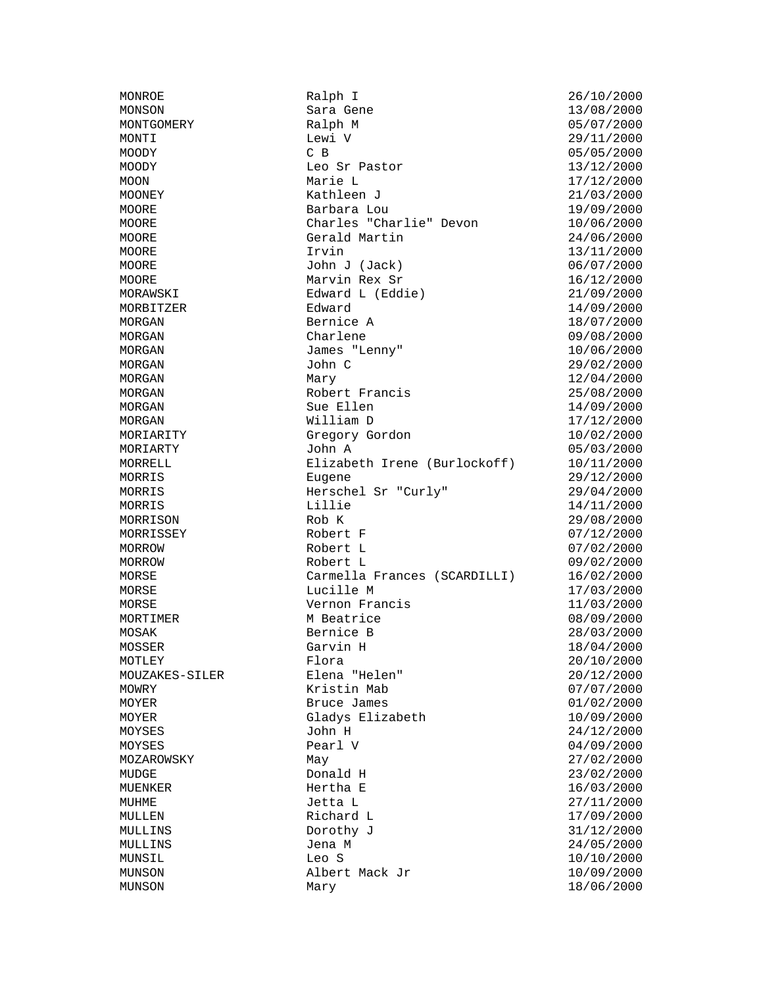MONROE Ralph I 26/10/2000 Sara Gene 13/08/2000 MONTGOMERY Ralph M 05/07/2000 MONTI Lewi V 29/11/2000<br>MOODY CB 05/05/2000 MOODY C B 05/05/2000 MOODY Leo Sr Pastor 13/12/2000 MOON Marie L 17/12/2000 MOONEY Kathleen J 21/03/2000 MOORE Barbara Lou 19/09/2000 MOORE Charles "Charlie" Devon 10/06/2000 MOORE Gerald Martin 24/06/2000 MOORE Irvin 13/11/2000 MOORE John J (Jack) 06/07/2000 MOORE Marvin Rex Sr 16/12/2000 MORAWSKI Edward L (Eddie) 21/09/2000 Edward 14/09/2000 MORGAN Bernice A 18/07/2000 MORGAN Charlene Charlene 09/08/2000<br>MORGAN James "Lenny" 10/06/2000 James "Lenny" 10/06/2000 MORGAN John C 29/02/2000 MORGAN Mary Mary 12/04/2000 MORGAN Robert Francis 25/08/2000 MORGAN Sue Ellen 14/09/2000 MORGAN William D 17/12/2000 MORIARITY Gregory Gordon 10/02/2000 MORIARTY John A 05/03/2000 MORRELL Elizabeth Irene (Burlockoff) 10/11/2000 MORRIS Eugene 29/12/2000 MORRIS Herschel Sr "Curly" 29/04/2000 MORRIS 14/11/2000 Lillie 14/11/2000 MORRISON Rob K 29/08/2000 Robert F MORROW Robert L 07/02/2000 MORROW Robert L 09/02/2000 MORSE Carmella Frances (SCARDILLI) 16/02/2000 MORSE Lucille M 17/03/2000 Vernon Francis 11/03/2000 MORTIMER M Beatrice 08/09/2000 MOSAK Bernice B 28/03/2000 MOSSER Garvin H 18/04/2000 MOTLEY Flora 20/10/2000 MOUZAKES-SILER Elena "Helen" 20/12/2000 Kristin Mab  $07/07/2000$ MOYER Bruce James 01/02/2000 MOYER Gladys Elizabeth 10/09/2000<br>MOYSES John H John H 24/12/2000 MOYSES John H 24/12/2000 MOYSES Pearl V 04/09/2000 MOZAROWSKY May 27/02/2000 MUDGE Donald H 23/02/2000 MUENKER Hertha E 16/03/2000 MUHME Jetta L 27/11/2000 MULLEN Richard L 17/09/2000 MULLINS Dorothy J 31/12/2000 MULLINS Jena M 34/05/2000 MUNSIL Leo S 10/10/2000 MUNSON Albert Mack Jr 10/09/2000 MUNSON Mary 18/06/2000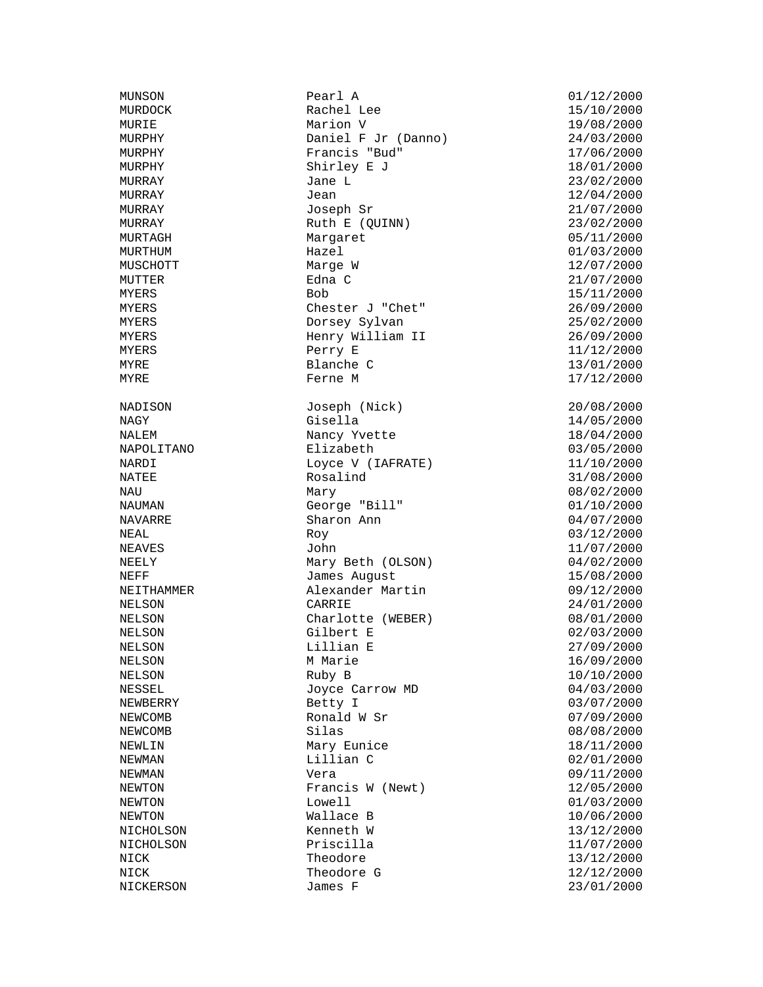NAPOLITANO Elizabeth

MUNSON Pearl A 01/12/2000 MURDOCK Rachel Lee 15/10/2000 MURIE Marion V 19/08/2000 MURPHY Daniel F Jr (Danno) 24/03/2000 MURPHY Francis "Bud" 17/06/2000 MURPHY 3hirley E J 18/01/2000 MURRAY Jane L 23/02/2000  $MURRAY$  and  $Jean$  is the contract of  $12/04/2000$ MURRAY Joseph Sr 21/07/2000 MURRAY Ruth E (OUINN) 23/02/2000 MURTAGH Margaret 05/11/2000<br>MURTHUM Hazel 12000 MURTHUM MARGER MURTHUM **Hazel** Hazel 01/03/2000 MUSCHOTT Marge W 12/07/2000 MUTTER Edna C 21/07/2000 MYERS 15/11/2000 Bob 15/11/2000 MYERS Chester J "Chet" 26/09/2000 MYERS Dorsey Sylvan 25/02/2000 MYERS Henry William II 26/09/2000 MYERS 2000 Perry E 2000 Perry E MYRE Blanche C 13/01/2000 MYRE Ferne M 17/12/2000 NADISON Joseph (Nick) 20/08/2000 NAGY Gisella 14/05/2000 NALEM 18/04/2000<br>NAPOLITANO Elizabeth Elizabeth 03/05/2000 NARDI Loyce V (IAFRATE) 11/10/2000 NATEE Rosalind 31/08/2000 NAU Mary 08/02/2000 NAUMAN George "Bill" 01/10/2000 NAVARRE Sharon Ann 04/07/2000<br>NEAL Roy Roy (03/12/2000  $Roy$  03/12/2000 NEAVES John John 11/07/2000 NEELY Mary Beth (OLSON) 04/02/2000 NEFF James August 15/08/2000 NEITHAMMER Alexander Martin 09/12/2000 NELSON CARRIE 24/01/2000 NELSON Charlotte (WEBER) 08/01/2000 NELSON Gilbert E 02/03/2000 NELSON Lillian E 27/09/2000 NELSON MARIE MARIE 16/09/2000 NELSON Ruby B 10/10/2000 Joyce Carrow MD 04/03/2000 NEWBERRY Betty I 03/07/2000 NEWCOMB Ronald W Sr 07/09/2000 NEWCOMB Silas 51 Silas 08/08/2000 NEWLIN Mary Eunice 18/11/2000 NEWMAN Lillian C 02/01/2000 NEWMAN Vera 09/11/2000 NEWTON Francis W (Newt) NEWTON Lowell 01/03/2000 NEWTON Wallace B 10/06/2000 NICHOLSON Kenneth W 13/12/2000 NICHOLSON Priscilla 11/07/2000 NICK Theodore 13/12/2000 NICK Theodore G 12/12/2000 NICKERSON James F 23/01/2000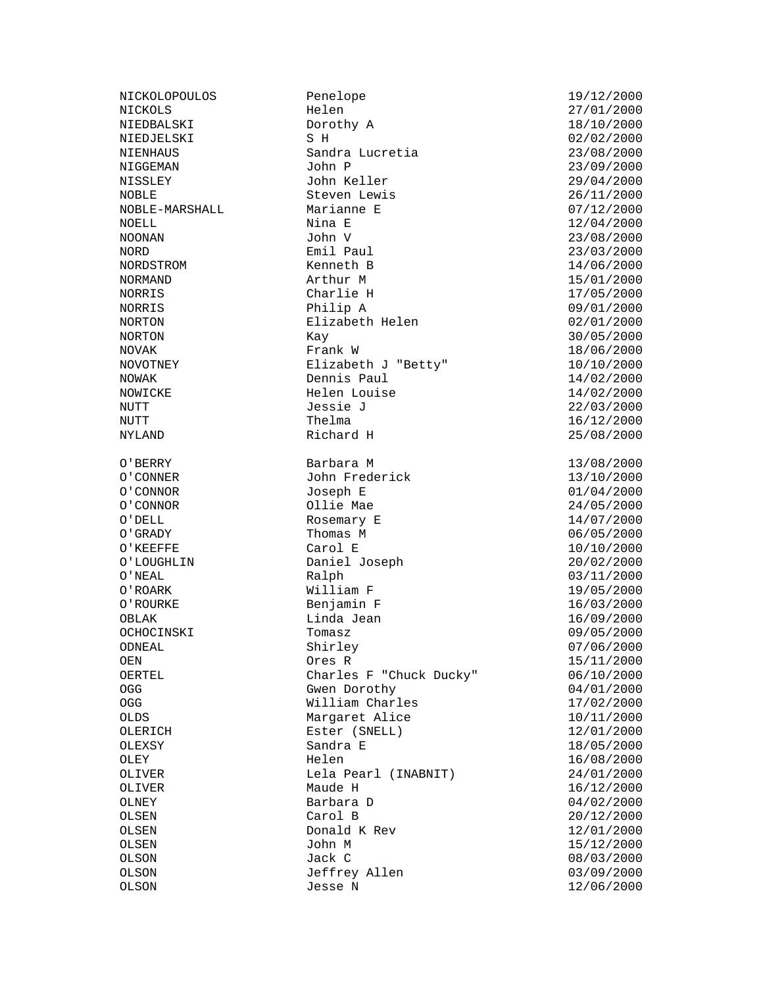NOWICKE Helen Louise O'ROARK William F<br>O'ROURKE 1979 Benjamin F

NICKOLOPOULOS Penelope 19/12/2000 NICKOLS Helen 27/01/2000 NIEDBALSKI Dorothy A 18/10/2000 NIEDJELSKI SH SH 02/02/2000<br>NIENHAUS Sandra Lucretia (23/08/2000) Sandra Lucretia 23/08/2000 NIGGEMAN John P 23/09/2000 NISSLEY John Keller 29/04/2000<br>29/04/2000 John Keller 2006 NOBLE Steven Lewis 26/11/2000 NOBLE-MARSHALL Marianne E 07/12/2000 NOELL Nina E 12/04/2000 NOONAN John V 23/08/2000 NORD **Emil Paul** 23/03/2000 NORDSTROM Kenneth B 14/06/2000 NORMAND Arthur M 15/01/2000 Charlie H NORRIS Philip A 09/01/2000 NORTON Elizabeth Helen 02/01/2000<br>NORTON Kay Kay 100RTON 30/05/2000 Kay 30/05/2000<br>Frank W 30/06/2000 18/06/2000 NOVAK Frank W 18/06/2000  $Elizabeth J$  "Betty"  $10/10/2000$ NOWAK Dennis Paul 14/02/2000 NUTT Jessie J 22/03/2000 NUTT 16/12/2000 Thelma 16/12/2000 NYLAND Richard H 25/08/2000 O'BERRY Barbara M 13/08/2000 O'CONNER John Frederick 13/10/2000 O'CONNOR Joseph E 01/04/2000 O'CONNOR Ollie Mae 24/05/2000 O'DELL Rosemary E 14/07/2000<br>
O'GRADY Thomas M 06/05/2000 Thomas M O'KEEFFE Carol E 10/10/2000<br>
O'LOUGHLIN Daniel Joseph 20/02/2000<br>
O'LOUGHLIN Daniel Joseph 20/02/2000 Daniel Joseph 20/02/2000 O'NEAL Ralph 03/11/2000 Benjamin F 16/03/2000 OBLAK Linda Jean 16/09/2000 OBLAK<br>OCHOCINSKI Tomasz 199/05/2000 ODNEAL Shirley 07/06/2000 OEN Ores R 15/11/2000 OERTEL Charles F "Chuck Ducky" 06/10/2000 OGG Gwen Dorothy 64/01/2000 OGG William Charles 17/02/2000 OLDS Margaret Alice 10/11/2000 OLERICH Ester (SNELL) 12/01/2000 OLEXSY Sandra E 18/05/2000 OLEY Helen 16/08/2000 OLIVER Lela Pearl (INABNIT) 24/01/2000 OLNEY Barbara D 04/02/2000 OLSEN Carol B 20/12/2000 Donald K Rev 12/01/2000 OLSEN John M 15/12/2000 OLSON Jack C 08/03/2000 OLSON Jeffrey Allen 03/09/2000 OLSON Jesse N 12/06/2000

 $16/12/2000$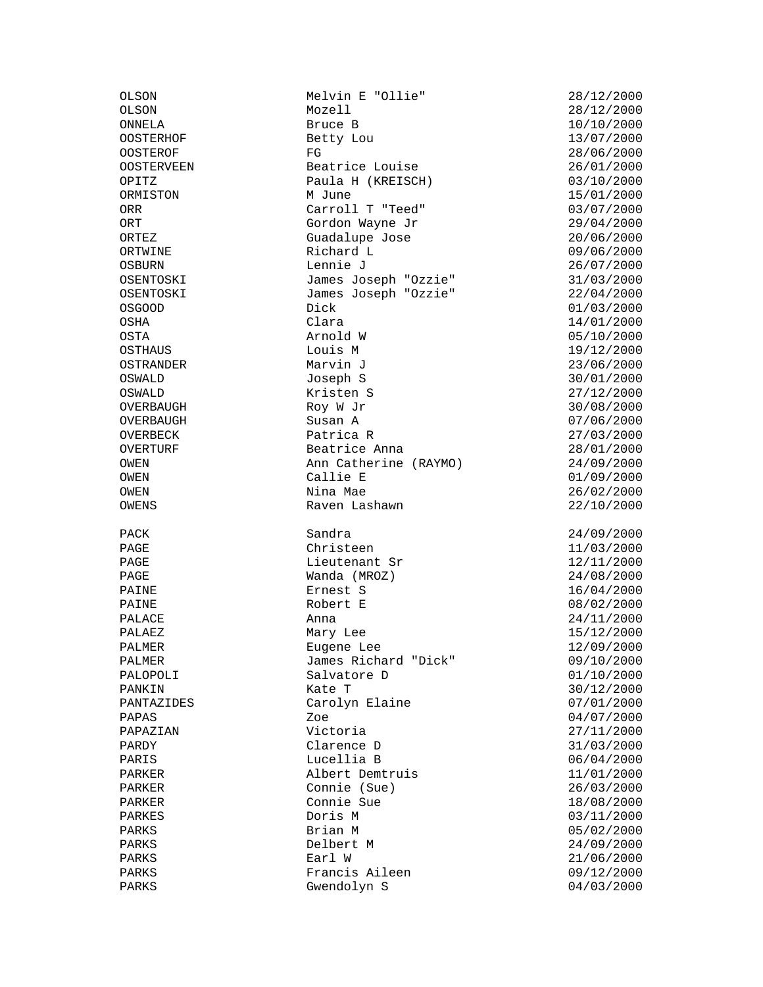OSWALD Kristen S 27/12/2000

OLSON Melvin E "Ollie" 28/12/2000 ONNELA Bruce B 10/10/2000 OOSTERHOF Betty Lou 13/07/2000 OOSTEROF FG 28/06/2000 OOSTERVEEN Beatrice Louise 26/01/2000 OPITZ Paula H (KREISCH) 03/10/2000 ORMISTON M June 15/01/2000 ORR Carroll T "Teed" 03/07/2000 ORT Gordon Wayne Jr 29/04/2000 ORTEZ Guadalupe Jose 20/06/2000 ORTWINE Richard L 09/06/2000 OSBURN Lennie J 26/07/2000 OSENTOSKI James Joseph "Ozzie" 31/03/2000 James Joseph "Ozzie"<br>Dick OSGOOD Dick 01/03/2000 OSHA Clara 14/01/2000 OSTA Arnold W 05/10/2000 OSTHAUS Louis M 19/12/2000 OSTRANDER Marvin J 23/06/2000 OSWALD Joseph S 30/01/2000 OVERBAUGH Roy W Jr 30/08/2000 OVERBAUGH Susan A<br>
OVERBECK Patrica R<br>
Patrica R<br>
27/03/2000 OVERBECK Datrica R 27/03/2000<br>
OVERTURF Beatrice Anna 28/01/2000 Beatrice Anna  $28/01/2000$ OWEN Ann Catherine (RAYMO) 24/09/2000 OWEN Callie E 01/09/2000 OWEN Nina Mae 26/02/2000 OWENS Raven Lashawn 22/10/2000 PACK 24/09/2000<br>PAGE 24/09/2000 Christeen 21/03/2000 Christeen 11/03/2000 PAGE 12/11/2000 Lieutenant Sr 12/11/2000 PAGE Wanda (MROZ) 24/08/2000 PAINE Ernest S 16/04/2000 PAINE Robert E 08/02/2000<br>PALACE Anna 24/11/2000 PALACE Anna 24/11/2000 PALAEZ Mary Lee 15/12/2000 PALMER Eugene Lee 12/09/2000 PALMER James Richard "Dick" 09/10/2000 PALOPOLI Salvatore D 01/10/2000 PANKIN Kate T 30/12/2000 Carolyn Elaine 07/01/2000 PAPAS Zoe 04/07/2000 PAPAZIAN Victoria 27/11/2000 PARDY Clarence D 31/03/2000 PARIS Lucellia B 06/04/2000 PARKER Albert Demtruis 11/01/2000 PARKER Connie (Sue) 26/03/2000 PARKER Connie Sue 18/08/2000<br>PARKES Doris M PARKES Doris M 03/11/2000 PARKS **Brian M** 05/02/2000 PARKS Delbert M 24/09/2000 PARKS 21/06/2000 Earl W 21/06/2000 PARKS Francis Aileen 199/12/2000<br>PARKS Gwendolyn S (1997-03/2000 Gwendolyn S 04/03/2000

 $28/12/2000$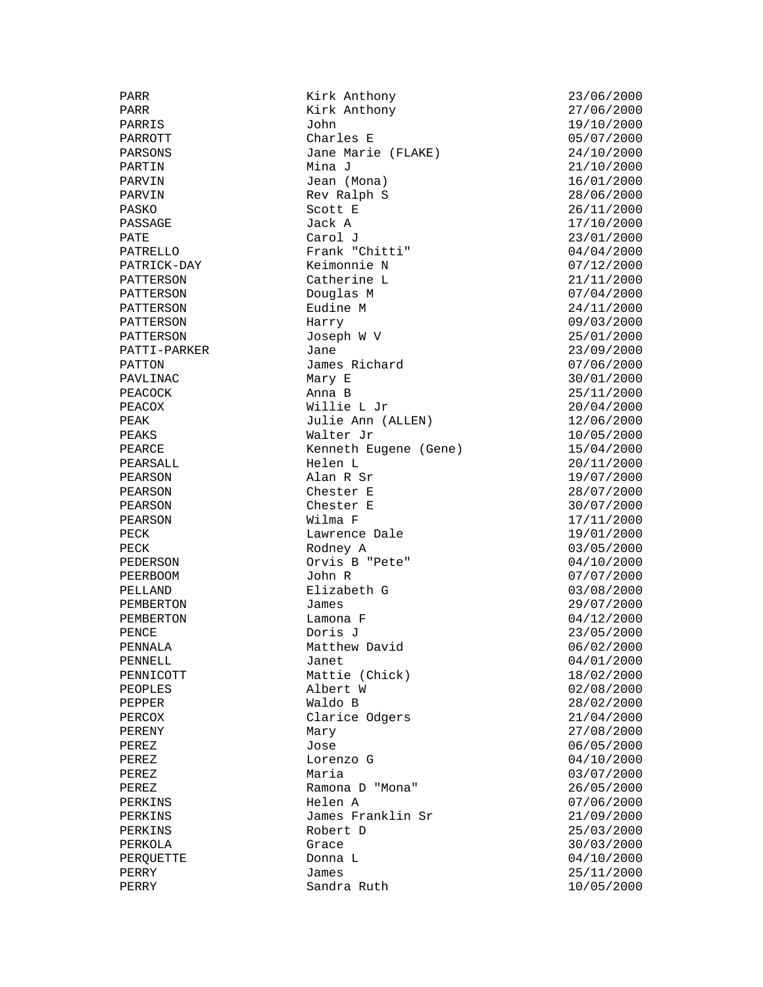PARR Research Mark Anthony 23/06/2000<br>PARR Research Mark Anthony 27/06/2000 Kirk Anthony<br>John PARRIS John 19/10/2000 PARROTT Charles E 05/07/2000<br>PARSONS Jane Marie (FLAKE) 24/10/2000 Jane Marie (FLAKE) 24/10/2000 PARTIN 1999 Mina J 21/10/2000 PARVIN Jean (Mona) 16/01/2000 Rev Ralph S 28/06/2000<br>Scott E 26/11/2000  $PASKO$  and  $ScoctE$   $26/11/2000$ PASSAGE Jack A 17/10/2000 PATE 23/01/2000 Carol J 23/01/2000 PATRELLO Frank "Chitti" 04/04/2000 PATRICK-DAY Keimonnie N 07/12/2000 PATTERSON Catherine L 21/11/2000<br>PATTERSON Douglas M 2000 07/04/2000 Douglas M<br>Eudine M PATTERSON Eudine M 24/11/2000 PATTERSON Harry 09/03/2000 PATTERSON Joseph W V 25/01/2000 PATTI-PARKER Jane Jane 23/09/2000 PATTON James Richard 07/06/2000 PAVLINAC Mary E 30/01/2000 PEACOCK Anna B 25/11/2000<br>PEACOX Willie L Jr 20/04/2000 Willie L Jr 20/04/2000 PEAK Julie Ann (ALLEN) 12/06/2000<br>Julie Ann (ALLEN) 12/06/2000 PEAKS Walter Jr 10/05/2000 PEARCE Kenneth Eugene (Gene) 15/04/2000 PEARSALL Helen L 20/11/2000 PEARSON Alan R Sr 19/07/2000 PEARSON Chester E 28/07/2000 PEARSON Chester E 30/07/2000 PEARSON Wilma F 17/11/2000 Lawrence Dale PECK Rodney A 03/05/2000<br>PEDERSON Orvis B "Pete" 04/10/2000 Orvis B "Pete" 04/10/2000 PEERBOOM John R 07/07/2000 PELLAND Elizabeth G 03/08/2000 PEMBERTON James 29/07/2000 PEMBERTON Lamona F 04/12/2000 PENCE Doris J 23/05/2000 Matthew David 06/02/2000 PENNELL Janet 04/01/2000 PENNICOTT Mattie (Chick) 18/02/2000 PEOPLES Albert W 02/08/2000 PEPPER Waldo B 28/02/2000 PERCOX Clarice Odgers 21/04/2000<br>PERENY Mary Mary 27/08/2000 PERENY Mary 27/08/2000 PEREZ Jose 06/05/2000 PEREZ Lorenzo G 04/10/2000 PEREZ Maria 03/07/2000 PEREZ Ramona D "Mona" 26/05/2000<br>PERKINS Helen A 07/06/2000 Helen A 07/06/2000 PERKINS James Franklin Sr 21/09/2000 PERKINS Robert D 25/03/2000 PERKOLA Grace 30/03/2000 PERQUETTE Donna L 04/10/2000 PERRY James 25/11/2000 Sandra Ruth 10/05/2000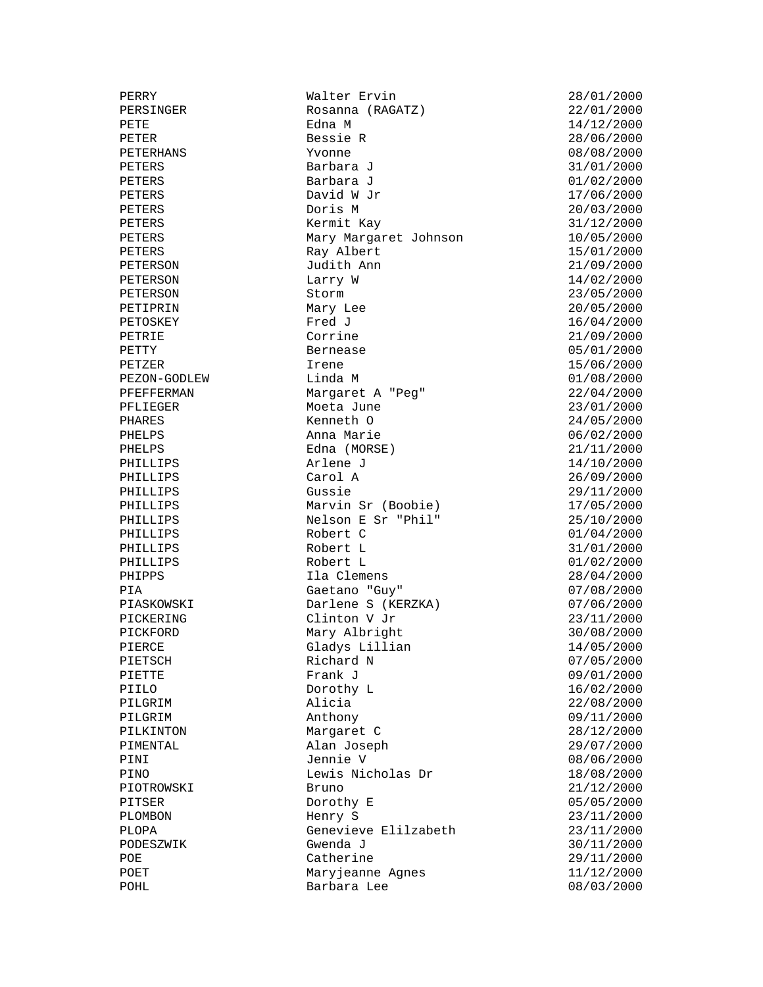PERRY Walter Ervin 28/01/2000 PERSINGER Rosanna (RAGATZ) 22/01/2000 PETE Edna M 14/12/2000 PETER Bessie R 28/06/2000 PETERHANS Yvonne 08/08/2000 PETERS Barbara J 31/01/2000 PETERS Barbara J 01/02/2000 PETERS David W Jr 17/06/2000 PETERS Doris M 20/03/2000 PETERS David W Jr<br>
PETERS Doris M 20/03/2000<br>
PETERS Kermit Kay 31/12/2000<br>
PETERS Mary Margaret Johnson 10/05/2000 PETERS Mary Margaret Johnson 10/05/2000 PETERS Ray Albert 15/01/2000 PETERSON Judith Ann 21/09/2000 PETERSON Larry W 14/02/2000 PETERSON Storm 23/05/2000 PETIPRIN Mary Lee 20/05/2000 PETOSKEY Fred J<br>PETRIE Corrine 21/09/2000 PETRIE Corrine Corrine 21/09/2000<br>PETTY Bernease 05/01/2000 PETTY Bernease 05/01/2000 PETZER Irene 15/06/2000 PEZON-GODLEW Linda M<br>
PERFERMAN Margaret A "Peg" 22/04/2000 PFEFFERMAN Margaret A "Peg" 22/04/2000 PFLIEGER Moeta June 23/01/2000 PHARES Kenneth O 24/05/2000 PHELPS Anna Marie 06/02/2000 PHELPS Edna (MORSE) 21/11/2000 PHILLIPS Arlene J 14/10/2000 PHILLIPS Carol A 26/09/2000 PHILLIPS Gussie 29/11/2000 PHILLIPS Marvin Sr (Boobie) 17/05/2000 PHILLIPS Nelson E Sr "Phil" 25/10/2000 PHILLIPS Robert C 01/04/2000 PHILLIPS Robert L 31/01/2000 PHILLIPS Robert L 01/02/2000 PHIPPS Ila Clemens 28/04/2000 PIA Gaetano "Guy" 07/08/2000 PIASKOWSKI Darlene S (KERZKA) 07/06/2000 PICKERING Clinton V Jr 23/11/2000 PICKFORD Mary Albright 30/08/2000 PIERCE Gladys Lillian 14/05/2000 PIETSCH Richard N component COV Research COV Richard N component COV 07/05/2000 PIETTE Frank J 09/01/2000 PIILO Dorothy L 16/02/2000 PILGRIM Alicia 22/08/2000 PILGRIM Anthony 09/11/2000 PILKINTON Margaret C 28/12/2000 PIMENTAL Alan Joseph 29/07/2000 PINI Jennie V 08/06/2000 PINO Lewis Nicholas Dr 18/08/2000 PIOTROWSKI Bruno Bruno 21/12/2000<br>PITSER Dorothy E 05/05/2000 Pranch<br>Dorothy E 05/05/2000<br>Henry S 23/11/2000 PLOMBON Henry S 23/11/2000 PLOPA Genevieve Elilzabeth 23/11/2000<br>PODESZWIK Gwenda J 30/11/2000 Gwenda J 30/11/2000 POE Catherine 29/11/2000 POET Maryjeanne Agnes 11/12/2000<br>POHL Barbara Lee 08/03/2000 Barbara Lee 08/03/2000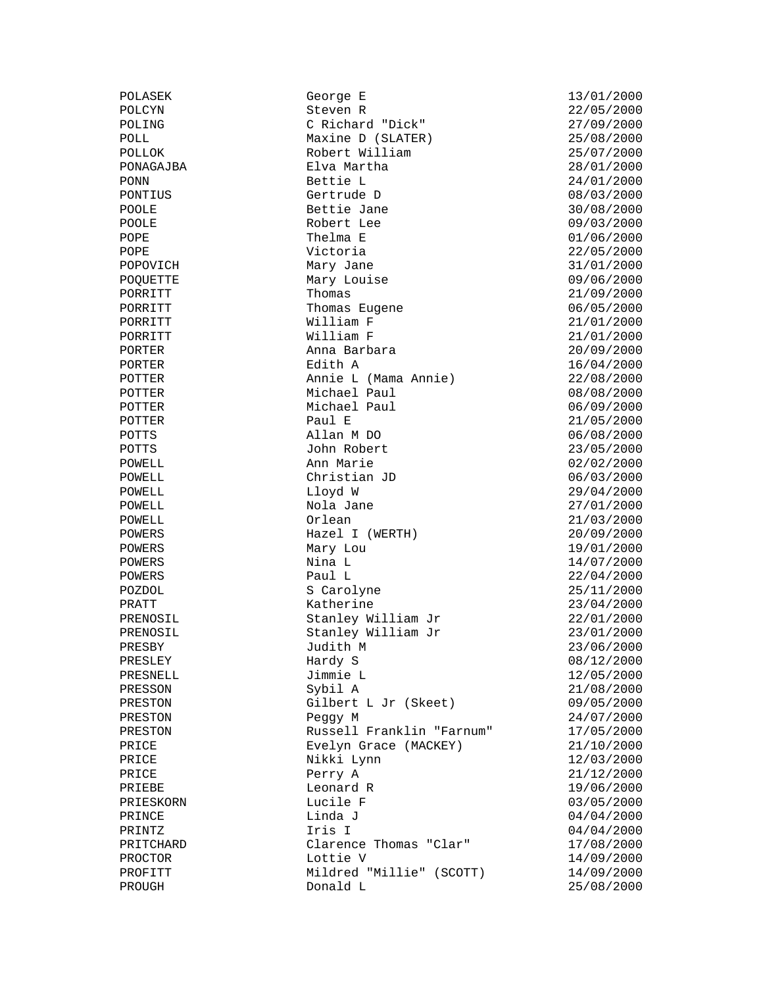POLASEK George E 13/01/2000<br>POLCYN Steven R 22/05/2000 POLCYN Steven R 22/05/2000 POLING C Richard "Dick" 27/09/2000 POLL Maxine D (SLATER) 25/08/2000 POLLOK Robert William 25/07/2000<br>PONAGAJBA Elva Martha 28/01/2000<br>PONAGAJBA Elva Martha 28/01/2000  $E$ lva Martha  $28/01/2000$ PONN Bettie L 24/01/2000 PONTIUS Gertrude D 08/03/2000 POOLE Bettie Jane 30/08/2000 POOLE Robert Lee 09/03/2000 POPE Thelma E 01/06/2000 POPE Victoria 22/05/2000<br>
POPOVICH Mary Jane 31/01/2000<br>
POQUETTE Mary Louise 09/06/2000 POPOVICH Mary Jane 31/01/2000 POQUETTE Mary Louise 09/06/2000 PORRITT Thomas 21/09/2000 PORRITT 19972000<br>
PORRITT Thomas Eugene 19972000<br>
PORRITT Milliam F 21/01/2000<br>
PORRITT Milliam F 21/01/2000  $\text{William F}$  21/01/2000 PORRITT William F 21/01/2000 PORTER Anna Barbara 20/09/2000 PORTER Edith A 16/04/2000 POTTER Annie L (Mama Annie) 22/08/2000 POTTER Michael Paul 1997 Michael Paul 1997 108/08/2000<br>POTTER Michael Paul 1997 106/09/2000 Michael Paul 06/09/2000 POTTER 21/05/2000 Paul E POTTS Allan M DO 06/08/2000 POTTS John Robert 23/05/2000 POWELL Ann Marie 02/02/2000 POWELL Christian JD 06/03/2000 POWELL 129/04/2000 Lloyd W 29/04/2000 POWELL Nola Jane 27/01/2000 POWELL Nola Jane 27/01/2000<br>
POWELL Orlean 21/03/2000<br>
POWERS Hazel I (WERTH) 20/09/2000<br>
POWERS Mary Lou 19/01/2000 Hazel I (WERTH) Mary Lou 19/01/2000 POWERS Nina L 14/07/2000 POWERS Paul L 22/04/2000 POZDOL S Carolyne 25/11/2000 PRATT Katherine 23/04/2000 PRENOSIL Stanley William Jr 22/01/2000 PRENOSIL Stanley William Jr 23/01/2000 PRESBY Judith M 23/06/2000 PRESLEY **Hardy S** 18/12/2000 PRESNELL Jimmie L 12/05/2000 PRESSON Sybil A 21/08/2000 PRESTON Gilbert L Jr (Skeet) 09/05/2000 PRESTON PEGGY M 24/07/2000<br>PRESTON PEGGY M 24/07/2000<br>PRESTON Russell Franklin "Farnum" 17/05/2000 Russell Franklin "Farnum" 17/05/2000 PRICE Evelyn Grace (MACKEY) 21/10/2000 PRICE Nikki Lynn 12/03/2000 PRICE Perry A 21/12/2000<br>PRIEBE Leonard R 19/06/2000 PRIEBE Leonard R 19/06/2000<br>PRIESKORN Lucile F 03/05/2000<br>Contract Prince Contract Contract Contract Contract Contract Contract Contract Contract Contract Contract Contract Contract Contract Contract Contract Contract Cont PRIESKORN Lucile F 03/05/2000 PRINCE Linda J 04/04/2000 PRINTZ Iris I 04/04/2000 PRITCHARD Clarence Thomas "Clar" 17/08/2000 PROCTOR Lottie V 14/09/2000 PROFITT Mildred "Millie" (SCOTT) 14/09/2000<br>PROUGH Donald L 25/08/2000 PROUGH Donald L 25/08/2000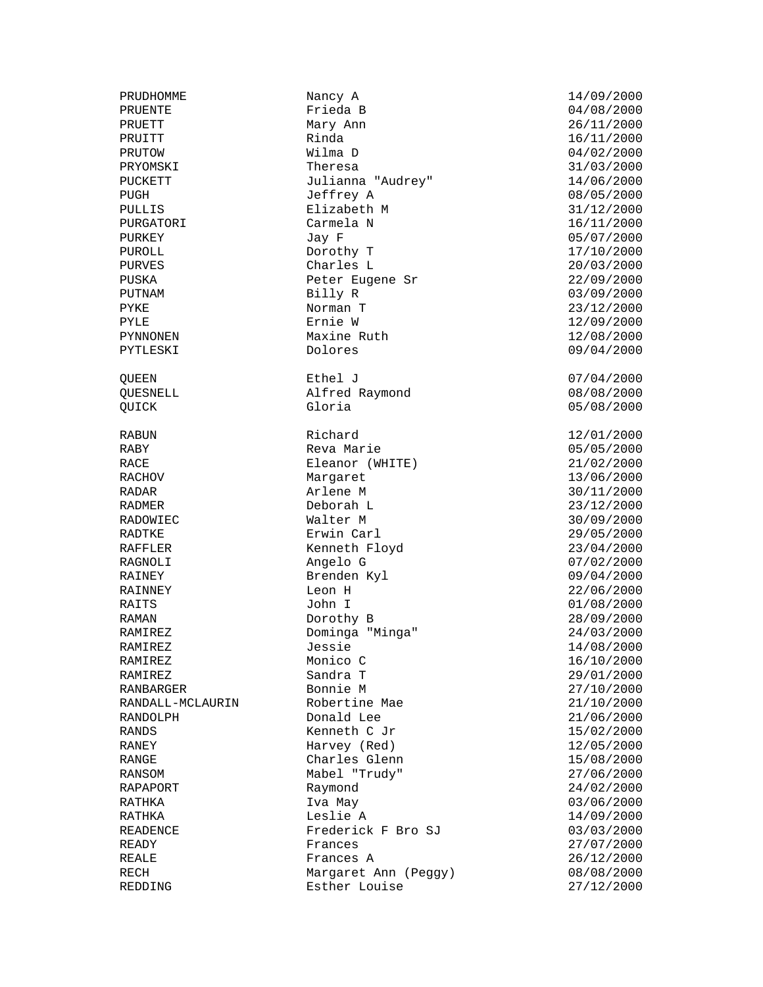PRUDHOMME Nancy A 14/09/2000<br>PRUENTE Frieda B 14/08/2000 PRUETT Mary Ann 26/11/2000 PRUITT Rinda 16/11/2000 PRUTOW Wilma D 04/02/2000 PRYOMSKI Theresa 31/03/2000 PUCKETT Julianna "Audrey" 14/06/2000 PUGH Jeffrey A 08/05/2000 PULLIS Elizabeth M 31/12/2000 PURGATORI Carmela N 16/11/2000 PURKEY Jay F 05/07/2000 PUROLL Dorothy T 17/10/2000 PURVES Charles L 20/03/2000 PUSKA Peter Eugene Sr 22/09/2000 PUTNAM Billy R 03/09/2000 Norman T 23/12/2000<br>
Pernie W 23/09/2000 PYLE Ernie W 12/09/2000 PYNNONEN Maxine Ruth 12/08/2000<br>PYTLESKI Dolores 109/04/2000 OUEEN Ethel J 07/04/2000 QUESNELL Alfred Raymond 08/08/2000 QUICK Gloria 05/08/2000 RABUN Richard 12/01/2000 RABY Reva Marie 1996 (05/05/2000) Reva Marie 1997 RACE Eleanor (WHITE) 21/02/2000 RACHOV Margaret 13/06/2000 RADAR Arlene M 30/11/2000 RADMER Deborah L 23/12/2000 RADOWIEC Walter M 30/09/2000 Erwin Carl RAFFLER Kenneth Floyd 23/04/2000 Angelo G 07/02/2000 RAINEY Brenden Kyl 09/04/2000 RAITS John I 01/08/2000 RAMAN Dorothy B 28/09/2000 RAMIREZ Dominga "Minga" 24/03/2000 RAMIREZ Jessie Jessie 14/08/2000 RAMIREZ Monico C 16/10/2000 RAMIREZ Sandra T 29/01/2000 RANBARGER Bonnie M 27/10/2000 RANDALL-MCLAURIN Robertine Mae 21/10/2000 RANDOLPH Donald Lee 21/06/2000 RANDS Kenneth C Jr 15/02/2000 Harvey (Red) 12/05/2000 RANGE Charles Glenn 15/08/2000 RANSOM Mabel "Trudy" 27/06/2000<br>RAPAPORT Raymond 24/02/2000 Raymond RATHKA Iva May 03/06/2000 RATHKA Leslie A 14/09/2000 Frederick F Bro SJ 03/03/2000 READY **Frances 27/07/2000** REALE **Frances A** 26/12/2000 RECH Margaret Ann (Peggy) 08/08/2000<br>REDDING Esther Louise 1997 27/12/2000  $Esther$  Louise  $27/12/2000$ 

 $04/08/2000$ 09/04/2000  $22/06/2000$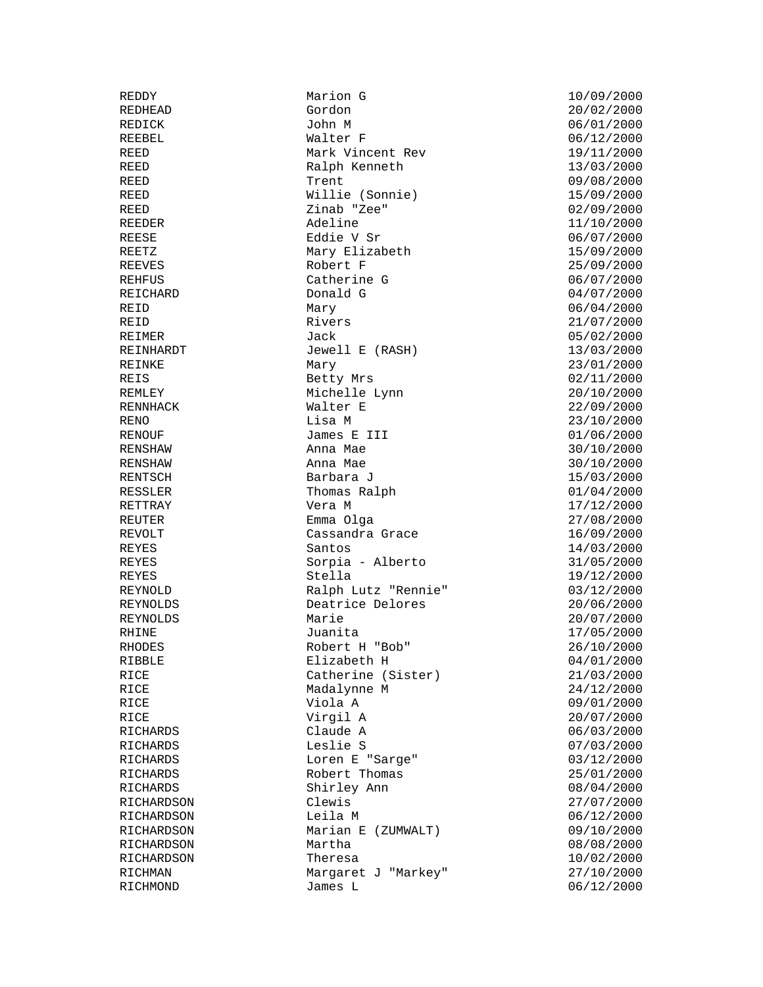REDDY Marion G 10/09/2000 REDICK John M 06/01/2000 REEBEL Walter F 06/12/2000 REED 19/11/2000 REED Ralph Kenneth 13/03/2000 REED 12000 Trent 12000 Trent 12000 Trent 12000 Trent 12000 Trent 12000 Trent 12000 Trent 12000 Trent 12000 Tre REED Willie (Sonnie) 15/09/2000<br>REED 7inab "Zee" 16/09/2000 REED Zinab "Zee" 02/09/2000 REEDER Adeline 11/10/2000 REESE Eddie V Sr 06/07/2000 REETZ Mary Elizabeth 15/09/2000 REEVES Robert F 25/09/2000 REHFUS Catherine G 06/07/2000 Donald G<br>Mary REID Mary Mary 06/04/2000 REID Rivers Rivers 21/07/2000<br>REIMER Jack Jack 05/02/2000 REIMER Jack 05/02/2000 Jewell E (RASH) 13/03/2000 REINKE Mary Mary 23/01/2000 REIS Betty Mrs 202/11/2000 REMLEY Michelle Lynn 20/10/2000 REMIER<br>RENNHACK Walter E 22/09/2000 RENO Lisa M 23/10/2000 RENOUF James E III 01/06/2000 RENSHAW Anna Mae RENSHAW Anna Mae 30/10/2000 RENTSCH Barbara J 15/03/2000 RESSLER Thomas Ralph 01/04/2000 RETTRAY **Vera** M 17/12/2000 REUTER Emma Olga 27/08/2000<br>REVOLT Cassandra Grace 16/09/2000 Cassandra Grace REYES Santos Santos 14/03/2000 REYES Sorpia - Alberto 31/05/2000 REYES Stella 19/12/2000 REYNOLD Ralph Lutz "Rennie"<br>REYNOLDS Deatrice Delores Deatrice Delores 20/06/2000 REYNOLDS Marie 20/07/2000 RHINE Juanita 17/05/2000 Robert H "Bob" 26/10/2000 RIBBLE Elizabeth H 04/01/2000 RICE Catherine (Sister) 21/03/2000 RICE Madalynne M 24/12/2000 RICE Viola A 09/01/2000 RICE Virgil A 20/07/2000 RICHARDS Claude A 06/03/2000<br>RICHARDS Leslie S 07/03/2000 RICHARDS Leslie S 07/03/2000 RICHARDS Loren E "Sarge" 03/12/2000 RICHARDS Robert Thomas 25/01/2000 RICHARDS Shirley Ann RICHARDSON Clewis Clewis 27/07/2000<br>RICHARDSON Leila M 06/12/2000 RICHARDSON Leila M 06/12/2000  $\text{Marian} \quad E \quad \text{(ZUMWALT)}$  09/10/2000 RICHARDSON Martha 1999/08/2000 Martha 10/02/2000 Martha 10/02/2000 RICHARDSON Theresa 10/02/2000 RICHMAN Margaret J "Markey" 27/10/2000 RICHMOND James L 06/12/2000

REDHEAD Gordon 20/02/2000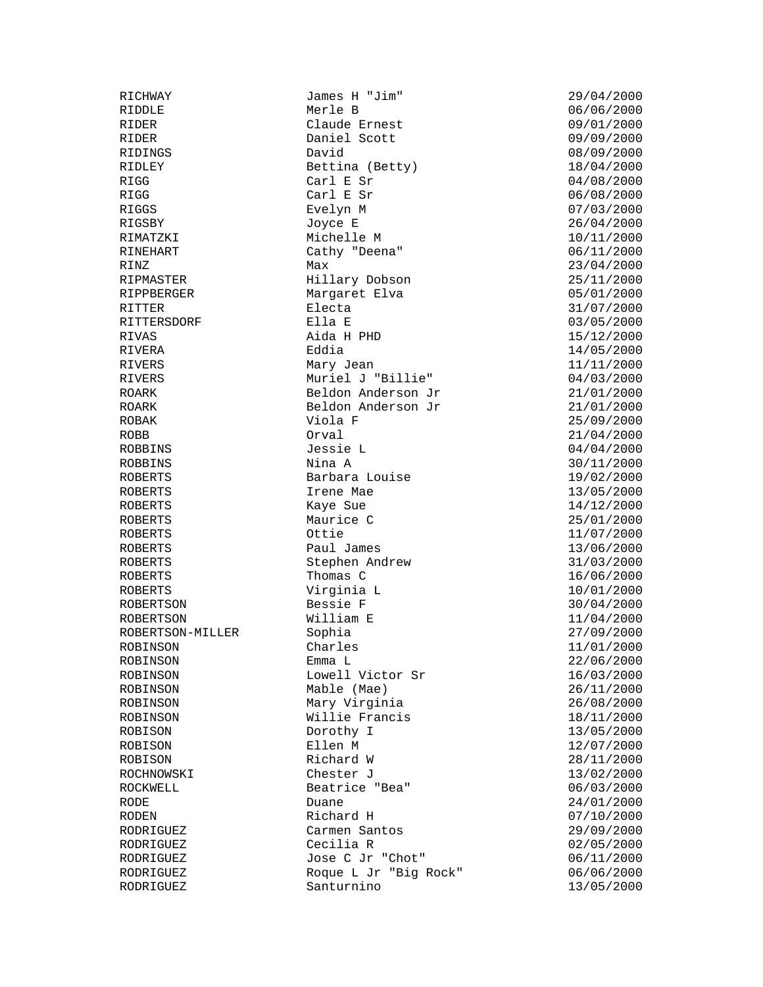RICHWAY James H "Jim" 29/04/2000 RIDDLE Merle B 06/06/2000 RIDER Claude Ernest 09/01/2000 RIDER Daniel Scott 09/09/2000<br>RIDINGS David David 08/09/2000 RIDINGS David David 2007 2000 RIDLEY Bettina (Betty) 18/04/2000 RIGG Carl E Sr 04/08/2000 RIGG Carl E Sr 06/08/2000 RIGGS Evelyn M 67/03/2000<br>RIGSBY Joyce E 26/04/2000 RIGSBY Joyce E 26/04/2000 Michelle M 10/11/2000 RINEHART Cathy "Deena" 06/11/2000 RINZ 23/04/2000 Max 23/04/2000 RIPMASTER Hillary Dobson 25/11/2000 RIPPBERGER Margaret Elva 05/01/2000 RITTER Electa 31/07/2000 RITTERSDORF Ella E 03/05/2000 RIVAS Aida H PHD 15/12/2000 RIVERA Eddia 14/05/2000 RIVERS Mary Jean 11/11/2000 RIVERS Muriel J "Billie" 04/03/2000 ROARK Beldon Anderson Jr 21/01/2000 ROARK Beldon Anderson Jr 21/01/2000<br>ROBAK Viola F 25/09/2000 Viola F 25/09/2000 ROBB Orval 21/04/2000 ROBBINS Jessie L 04/04/2000 ROBBINS Nina A 30/11/2000 Barbara Louise 19/02/2000 ROBERTS Irene Mae 13/05/2000 Kaye Sue 14/12/2000 ROBERTS Maurice C<br>ROBERTS 0ttie 11/07/2000 ROBERTS Paul James 13/06/2000 ROBERTS Stephen Andrew 31/03/2000 ROBERTS Thomas C 16/06/2000 ROBERTS Virginia L 10/01/2000 ROBERTSON Bessie F 30/04/2000 ROBERISON<br>ROBERTSON Milliam E 11/04/2000<br>ROBERTSON-MILLER Sophia Sophia 27/09/2000 ROBERTSON-MILLER Sophia 27/09/2000 ROBINSON Charles 2009 Charles 2009 Charles 2009 Charles 2009 2009 2009 2009 2012 ROBINSON **Emma** L 22/06/2000 ROBINSON Lowell Victor Sr 16/03/2000<br>ROBINSON Mable (Mae) 26/11/2000 ROBINSON Mable (Mae) 26/11/2000<br>ROBINSON Mary Virginia 26/08/2000 Mary Virginia  $26/08/2000$ ROBINSON Willie Francis 18/11/2000<br>ROBISON Dorothy I 13/05/2000 Porothy I 13/05/2000<br>
Ellen M 12/07/2000 ROBISON Ellen M 12/07/2000 ROBISON Richard W 28/11/2000 ROCHNOWSKI Chester J 13/02/2000 ROCKWELL Beatrice "Bea" 06/03/2000 RODE 24/01/2000 Duane 24/01/2000 RODEN RIchard H 07/10/2000<br>RODRIGUEZ Carmen Santos 29/09/2000 Carmen Santos 29/09/2000 RODRIGUEZ Cecilia R 02/05/2000 RODRIGUEZ Jose C Jr "Chot" 06/11/2000 RODRIGUEZ ROQUE L Jr "Big Rock" 06/06/2000 RODRIGUEZ Santurnino 13/05/2000<br>RODRIGUEZ Santurnino 13/05/2000

ROBERTS Ottie 11/07/2000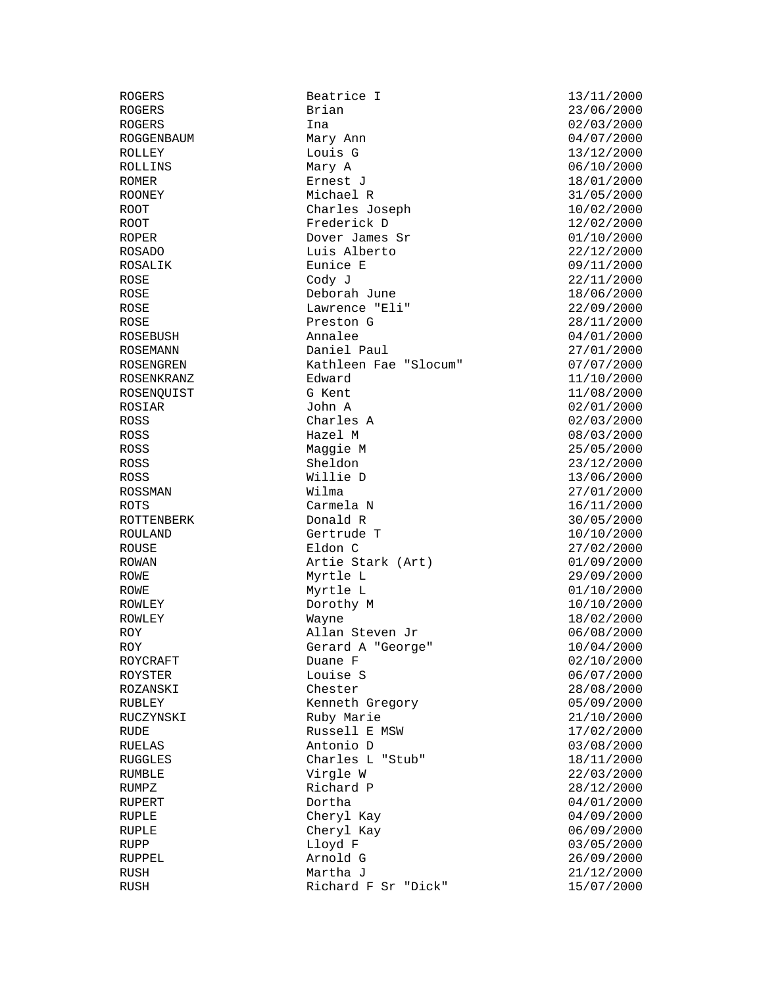ROGERS **Brian** Brian 23/06/2000 ROGERS 1na 1.1 and 1.1 and 1.2 and 1.2 and 1.2 and 1.2 and 1.2 and 1.2 and 1.2 and 1.2 and 1.2 and 1.2 and 1.2 and 1.2 and 1.2 and 1.2 and 1.2 and 1.2 and 1.2 and 1.2 and 1.2 and 1.2 and 1.2 and 1.2 and 1.2 and 1.2 and 1.2 ROGGENBAUM Mary Ann 1996 (1977)<br>ROLLEY Louis G 13/12/2000 Louis G 13/12/2000 ROLLINS Mary A 06/10/2000 ROMER Ernest J 18/01/2000 ROONEY Michael R 31/05/2000 ROOT Charles Joseph 10/02/2000 ROOT Frederick D 12/02/2000 ROPER Dover James Sr 01/10/2000 ROSADO Luis Alberto 22/12/2000  $\begin{array}{cccc}\n\verb|ROSALIK|& \verb|Eunice E|& \verb|09/11/2000|& \verb|09/11/2000|& \verb|09/11/2000|& \verb|09/11/2000|& \verb|09/11/2000|& \verb|09/11/2000|& \verb|09/11/2000|& \verb|09/11/2000|& \end{array}$ ROSE Cody J 22/11/2000 Deborah June ROSE Lawrence "Eli" 22/09/2000 ROSE 28/11/2000 Preston G 28/11/2000 ROSEBUSH Annalee 04/01/2000 ROSEMANN Daniel Paul 27/01/2000 ROSENGREN Kathleen Fae "Slocum" 07/07/2000 ROSENKRANZ Edward Edward 11/10/2000 ROSENQUIST G Kent 11/08/2000 ROSIAR John A 02/01/2000 ROSS Charles A 02/03/2000 ROSS Hazel M 08/03/2000 ROSS Maggie M 25/05/2000 ROSS Sheldon 23/12/2000 ROSS ROSS Willie D 13/06/2000<br>ROSSMAN Wilma Wilma 27/01/2000 Wilma 27/01/2000 ROTS Carmela N 16/11/2000 ROTTENBERK Donald R 30/05/2000<br>ROULAND Gertrude T 10/10/2000 Gertrude T ROUSE Eldon C 27/02/2000 ROWAN **Artie Stark (Art)** 01/09/2000 ROWE Myrtle L 29/09/2000 ROWE Myrtle L 01/10/2000 Dorothy M 10/10/2000 ROWLEY Wayne Wayne 18/02/2000 ROY **Allan Steven Jr** 06/08/2000 ROY Gerard A "George" 10/04/2000 ROYCRAFT Duane F 02/10/2000 ROYSTER Louise S 06/07/2000 ROZANSKI Chester 28/08/2000 RUBLEY Kenneth Gregory 05/09/2000 RUCZYNSKI Ruby Marie 21/10/2000 RUDE RUSSell E MSW RUELAS Antonio D 03/08/2000 RUGGLES Charles L "Stub" 18/11/2000 RUMBLE Virgle W 22/03/2000 RUMPZ Richard P 28/12/2000 RUPERT Dortha Dortha 04/01/2000 RUPLE Cheryl Kay Cheryl Cheryl Kay 04/09/2000 RUPLE Cheryl Kay Cheryl Kay 06/09/2000 RUPP 1999 Lloyd F 1999 Lloyd F 03/05/2000 RUPPEL Arnold G 26/09/2000 RUSH Martha J 21/12/2000 RUSH RIChard F Sr "Dick" 15/07/2000

ROGERS Beatrice I 13/11/2000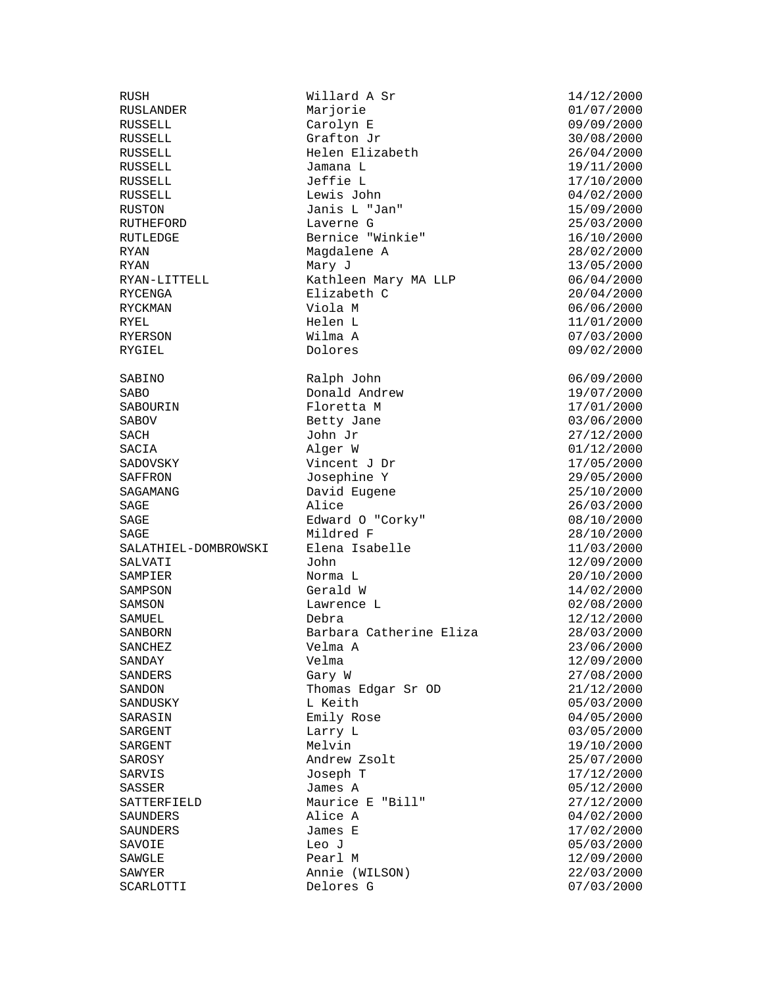RUSLANDER Marjorie<br>RUSSELL Carolyn E SABO Donald Andrew SABOURIN Ploretta M SAGE Mildred F<br>SALATHIEL-DOMBROWSKI Elena Isab

RUSH Millard A Sr 14/12/2000<br>RUSLANDER Marjorie 16/07/2000 RUSSELL Carolyn E 09/09/2000<br>RUSSELL Grafton Jr 30/08/2000 RUSSELL Grafton Jr 30/08/2000<br>RUSSELL Helen Elizabeth 26/04/2000 Helen Elizabeth 26/04/2000 RUSSELL Jamana L 19/11/2000 RUSSELL Jeffie L 17/10/2000 RUSSELL Lewis John 04/02/2000 RUSTON Janis L "Jan" 15/09/2000 RUTHEFORD Laverne G 25/03/2000 Bernice "Winkie" 16/10/2000 RYAN Magdalene A 28/02/2000 RYAN RYAN Mary J<br>RYAN-LITTELL Kathleen Mary MA LLP (13/05/2000) RYAN-LITTELL Kathleen Mary MA LLP 06/04/2000 Elizabeth C<br>Viola M RYCKMAN Viola M 06/06/2000 RYEL Helen L 11/01/2000 RYERSON Wilma A 07/03/2000 SABINO Ralph John 06/09/2000 Floretta M 17/01/2000 SABOV Betty Jane 03/06/2000 SACH John Jr 27/12/2000 SACIA Alger W 01/12/2000 SADOVSKY Vincent J Dr 17/05/2000 Josephine Y 29/05/2000 SAGAMANG David Eugene 25/10/2000 SAGE 26/03/2000 Alice 26/03/2000 SAGE Edward O "Corky" 08/10/2000 Elena Isabelle 11/03/2000 SALVATI John 12/09/2000 SAMPIER Norma L 20/10/2000 SAMSON Lawrence L 02/08/2000 SAMUEL Debra Debra 12/12/2000 SANBORN Barbara Catherine Eliza 28/03/2000<br>SANCHEZ Velma A 23/06/2000 Velma A 23/06/2000 SANDAY Velma  $V$ elma 12/09/2000 SANDERS Gary W 37/08/2000 SANDON Thomas Edgar Sr OD 21/12/2000<br>SANDUSKY Likeith 05/03/2000 SANDUSKY L Keith 05/03/2000 SARASIN Emily Rose 04/05/2000 SARGENT Larry Learning Larry Larry Larry Larry Larry Larry Larry Larry Larry Larry Larry Larry Larry Larry Larry Larry Larry Larry Larry Larry Larry Larry Larry Larry Larry Larry Larry Larry Larry Larry Larry Larry Larry L SARGENT Melvin Melvin Melvin 19/10/2000 SAROSY Andrew Zsolt 25/07/2000 SARVIS Joseph T 17/12/2000 SASSER James A 05/12/2000<br>SATTERFIELD Maurice E "Bill" 27/12/2000 Maurice E "Bill" 27/12/2000 SAUNDERS Alice A 04/02/2000 SAUNDERS James E 17/02/2000 SAVOIE Leo J 05/03/2000 SAWGLE Pearl M 12/09/2000 Annie (WILSON) 22/03/2000<br>Delores G 27/03/2000 SCARLOTTI Delores G 07/03/2000

09/02/2000 14/02/2000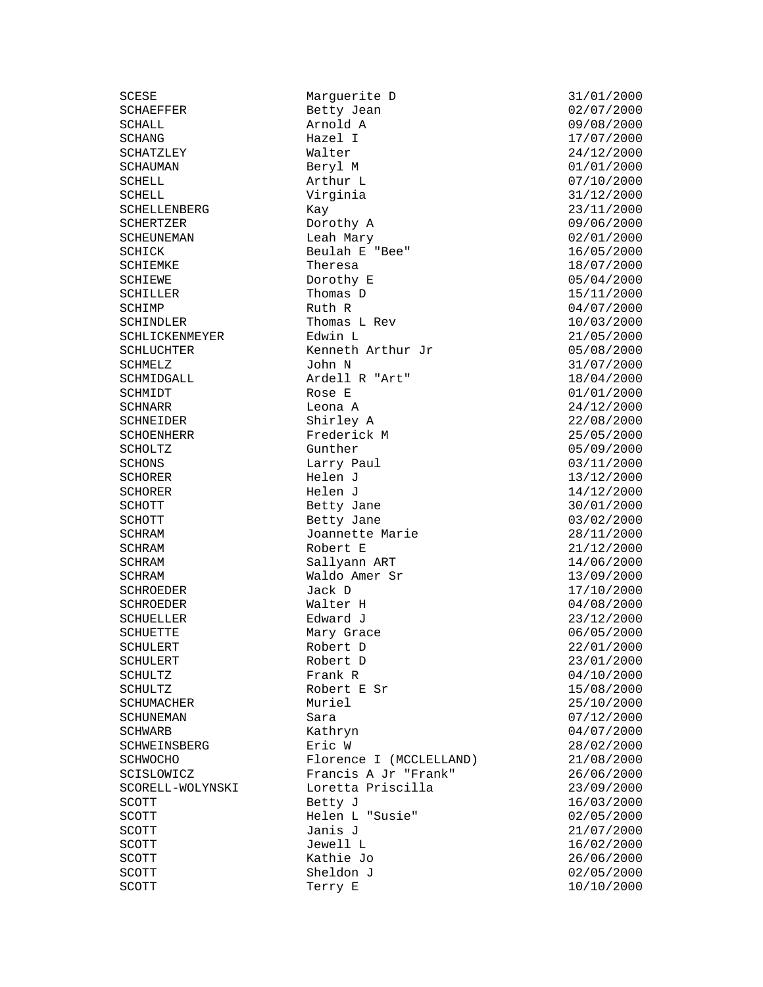SCHOLTZ Gunther SCHROEDER Jack D<br>SCHROEDER Walter H

SCESE Marguerite D<br>
SCHAEFFER
SCHAEFFER
SCHAEFFER
SCHAEFFER
SCHAEFFER
SCHAEFFER
SCHAEFFER
SCHAEFFER
SCHAEFFER
SCHAEFFER
SCHAEFFER
SCHAEFFER
SCHAEFFER
SCHAEFFER
SCHAEFFER
SCHAEFFER
SCHAEFFER
SCHAEFFER
SCHAEFFER
SCHAEFFER
SC Betty Jean SCHALL Arnold A 09/08/2000 SCHANG Hazel I 17/07/2000 SCHATZLEY Walter Walter 24/12/2000 SCHAUMAN Beryl M 61/01/2000 SCHAUMAN<br>SCHELL Arthur L<br>Arthur L<br>21/12/2000 SCHELL Virginia 31/12/2000 SCHELLENBERG Kay 23/11/2000 SCHERTZER Dorothy A 09/06/2000 SCHEUNEMAN Leah Mary 02/01/2000 SCHICK Beulah E "Bee" 16/05/2000 SCHIEMKE Theresa 18/07/2000 SCHIEWE Dorothy E 05/04/2000 Thomas D 15/11/2000<br>Ruth R 15/07/2000  $SCHIMP$  Ruth R  $04/07/2000$ SCHINDLER Thomas L Rev 10/03/2000 SCHLICKENMEYER Edwin L 21/05/2000 Kenneth Arthur Jr 05/08/2000 SCHMELZ John N 31/07/2000 SCHMIDGALL **Ardell R** "Art" 18/04/2000 SCHMIDT Rose E 01/01/2000 SCHNARR Leona A 24/12/2000 SCHNEIDER Shirley A 22/08/2000<br>SCHOENHERR Frederick M 25/05/2000 Frederick M 25/05/2000<br>Gunther 05/09/2000 SCHONS Larry Paul 03/11/2000 SCHORER Helen J 13/12/2000 SCHORER Helen J 14/12/2000 SCHOTT SCHOTT Betty Jane 30/01/2000<br>SCHOTT Betty Jane 03/02/2000 SCHOTT Betty Jane 03/02/2000 SCHRAM Joannette Marie<br>
28/11/2001 SCHRAM Robert E Robert E 21/12/2000 SCHRAM Sallyann ART 14/06/2000 SCHRAM Waldo Amer Sr 13/09/2000 SCHROEDER Walter H 04/08/2000<br>SCHUELLER Edward J 23/12/2000 SCHUELLER Edward J 23/12/2000 Mary Grace 06/05/2000 SCHULERT Robert D 22/01/2000 SCHULERT Robert D 23/01/2000 SCHULTZ Frank R 04/10/2000 Robert E Sr 15/08/2000<br>
Muriel 25/10/2000 SCHUMACHER Muriel 25/10/2000 SCHUNEMAN Sara 07/12/2000 SCHWARB Kathryn (1997/2000) SCHWEINSBERG Eric W<br>
SCHWOCHO Florence I (MCCLELLAND) 21/08/2000<br>
SCISLOWICZ Francis A Jr "Frank" 26/06/2000 Florence I (MCCLELLAND) 21/08/2000 SCISLOWICZ Francis A Jr "Frank" 26/06/2000 Loretta Priscilla SCOTT Betty J and Betty Section 2000 Betty Day 2000 SCOTT Helen L "Susie" 02/05/2000 SCOTT 31/07/2000 Janis J 31/07/2000 SCOTT Jewell L 16/02/2000 SCOTT Kathie Jo 26/06/2000 SCOTT Sheldon J 02/05/2000  $SCOTT$  Terry E  $10/10/2000$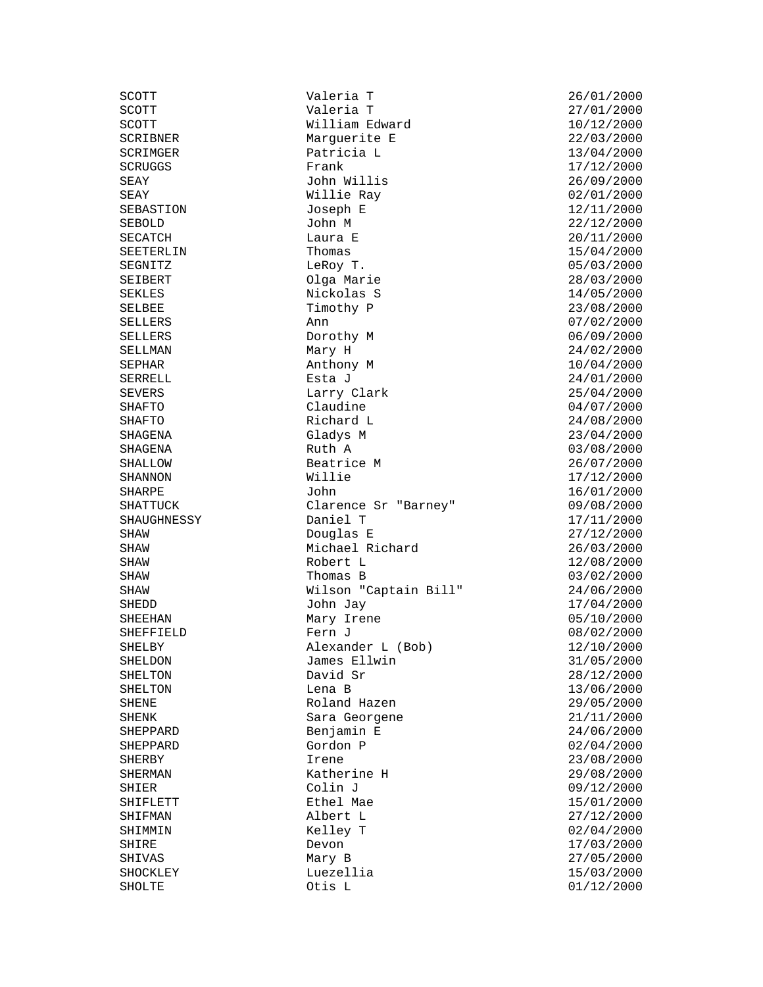SEKLES Nickolas S<br>SELBEE Timothy P

SCOTT Valeria T 26/01/2000 SCOTT William Edward 10/12/2000 SCRIBNER Marguerite E 22/03/2000 SCRIMGER Patricia L 13/04/2000 SCRUGGS Frank 17/12/2000 SEAY John Willis 26/09/2000 SEAY Willie Ray 02/01/2000 SEBASTION Joseph E 12/11/2000 SEBOLD John M 22/12/2000 SECATCH Laura E 20/11/2000 SEETERLIN Thomas 15/04/2000 SEGNITZ LeRoy T. 05/03/2000 SEIBERT Olga Marie 28/03/2000 SELLERS Ann 07/02/2000 SELLERS Dorothy M 06/09/2000 Mary H 24/02/2000 SEPHAR **Anthony M** 10/04/2000 SERRELL Esta J<br>
Esta J<br>
24/01/2000 SEVERS Larry Clark 25/04/2000 SHAFTO Claudine Claudine 04/07/2000 SHAFTO Richard L 24/08/2000 SHAGENA Gladys M 23/04/2000 SHAGENA Ruth A 03/08/2000 SHALLOW Beatrice M 26/07/2000 SHANNON Willie 17/12/2000 SHARPE John 16/01/2000  $Cl$ arence Sr "Barney"  $09/08/2000$ SHAUGHNESSY Daniel T<br>SHAW Douglas E 17/11/2000 Douglas E SHAW **Michael Richard** 26/03/2000 SHAW Robert L 12/08/2000 SHAW Thomas B 03/02/2000 Wilson "Captain Bill" 24/06/2000 SHEDD John Jay 17/04/2000 SHEEHAN Mary Irene 05/10/2000 SHEFFIELD **Fern** J 08/02/2000 SHELBY Alexander L (Bob) 12/10/2000 SHELDON James Ellwin 31/05/2000 SHELTON David Sr 28/12/2000 SHELTON Lena B 13/06/2000 SHENE Roland Hazen 29/05/2000 SHENK SHENK Sara Georgene 21/11/2000 SHEPPARD Benjamin E 24/06/2000 SHEPPARD Gordon P 02/04/2000 SHERBY Irene 1. 23/08/2000 SHERMAN Katherine H 29/08/2000 SHIER Colin J 09/12/2000 SHIFLETT Ethel Mae 15/01/2000 SHIFMAN Albert L 27/12/2000 SHIRE 17/03/2000 Devon **Devon** 27/03/2000 SHIVAS Mary B 27/05/2000 SHOCKLEY Luezellia 15/03/2000

 $27/01/2000$  $23/08/2000$  $02/04/2000$  $01/12/2000$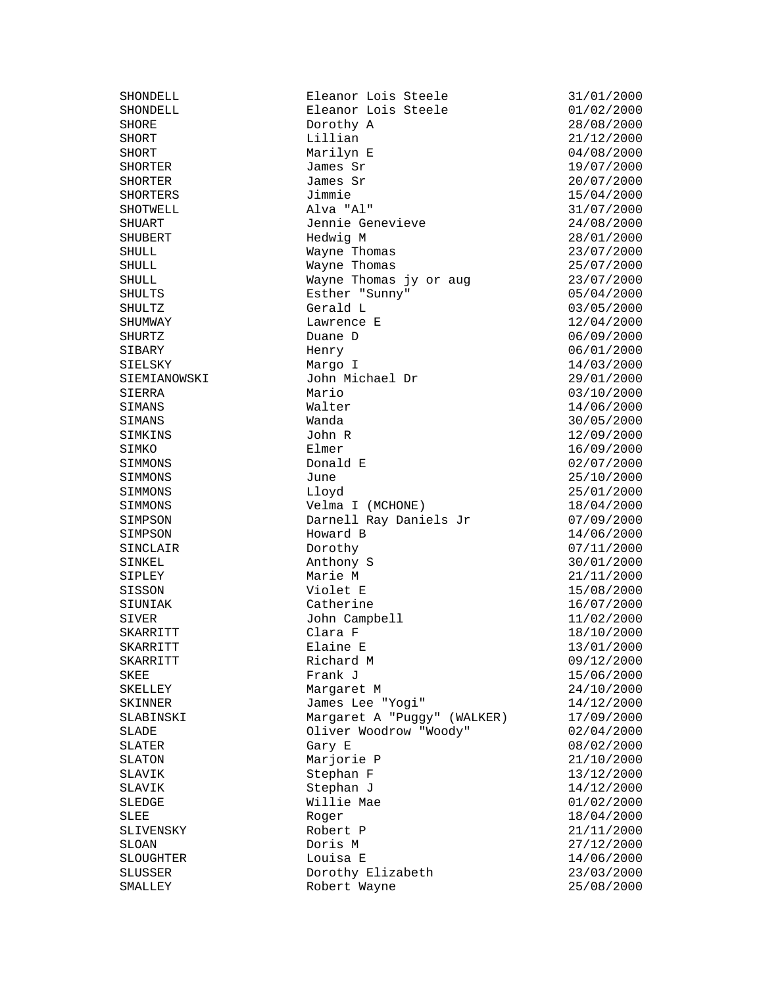SISSON<br>SIUNIAK

SHONDELL Eleanor Lois Steele 31/01/2000 SHONDELL **Eleanor Lois Steele** 01/02/2000 SHORE Dorothy A 28/08/2000 SHORT 1.1111an 1.1111an 21/12/2000 SHORT Marilyn E 04/08/2000 SHORTER James Sr 19/07/2000 SHORTER James Sr 20/07/2000 SHORTERS Jimmie 15/04/2000 SHOTWELL Alva "Al" 31/07/2000 SHUART Jennie Genevieve 24/08/2000 SHUBERT Hedwig M 28/01/2000 SHULL Wayne Thomas 23/07/2000 SHULL Wayne Thomas 25/07/2000 SHULL Wayne Thomas jy or aug  $23/07/2000$ <br>SHULTS Esther "Sunny" 05/04/2000 SHULTS Esther "Sunny" 05/04/2000 SHULTZ Gerald L 03/05/2000 External Duane D definition of the USD of the USD of the USD of the USD of the USD of the USD of the USD of the U<br>Shumman D definition of the USD of the USD of the USD of the USD of the USD of the USD of the USD of the USD SHURTZ Duane D 06/09/2000 SIBARY Henry 06/01/2000 SIELSKY Margo I 14/03/2000 SIEMIANOWSKI John Michael Dr 29/01/2000 SIERRA Mario 03/10/2000 SIMANS Walter Walter 14/06/2000 SIMANS Wanda 30/05/2000 John R 12/09/2000<br>Elmer 16/09/2000 SIMKO Elmer Elmer 16/09/2000 SIMMONS Donald E 02/07/2000 SIMMONS June 25/10/2000 SIMMONS Lloyd 25/01/2000 Velma I (MCHONE) 18/04/2000 SIMPSON Darnell Ray Daniels Jr 07/09/2000<br>SIMPSON Howard B developed by 14/06/2000 Howard B<br>Dorothy SINCLAIR Dorothy Dorothy 07/11/2000 SINKEL 30/01/2000 Anthony S SIPLEY Marie M 21/11/2000<br>SISSON Violet E 15/08/2000 SIUNIAK Catherine 16/07/2000 SIVER John Campbell 11/02/2000 SKARRITT Clara F 18/10/2000<br>SKARRITT Elaine E 13/01/2000 SKARRITT Richard M 09/12/2000 SKEE Frank J<br>
SKELLEY Frank J<br>
Margaret M<br>
James Lee "Yogi" 14/19/2000<br>
SKINNER James Lee "Yogi" 14/19/2000 SKELLEY Margaret M 24/10/2000 SKINNER James Lee "Yogi" 14/12/2000 SLABINSKI Margaret A "Puggy" (WALKER) 17/09/2000 SLADE Oliver Woodrow "Woody" 02/04/2000 SLATER Gary E 08/02/2000 SLATON Marjorie P 21/10/2000 SLAVIK Stephan F 13/12/2000<br>SLAVIK Stephan J 14/12/2000 Stephan J 14/12/2000 SLEDGE Willie Mae 01/02/2000<br>SLEE Roger Roger 18/04/2000 SLEE 18/04/2000<br>SLIVENSKY Robert P 18/04/2000 21/11/2000 SLIVENSKY Robert P 21/11/2000 Doris M 27/12/2000 SLOUGHTER Louisa E 14/06/2000 SLUSSER Dorothy Elizabeth 23/03/2000 SMALLEY Robert Wayne 25/08/2000

SKARRITT Elaine E 13/01/2000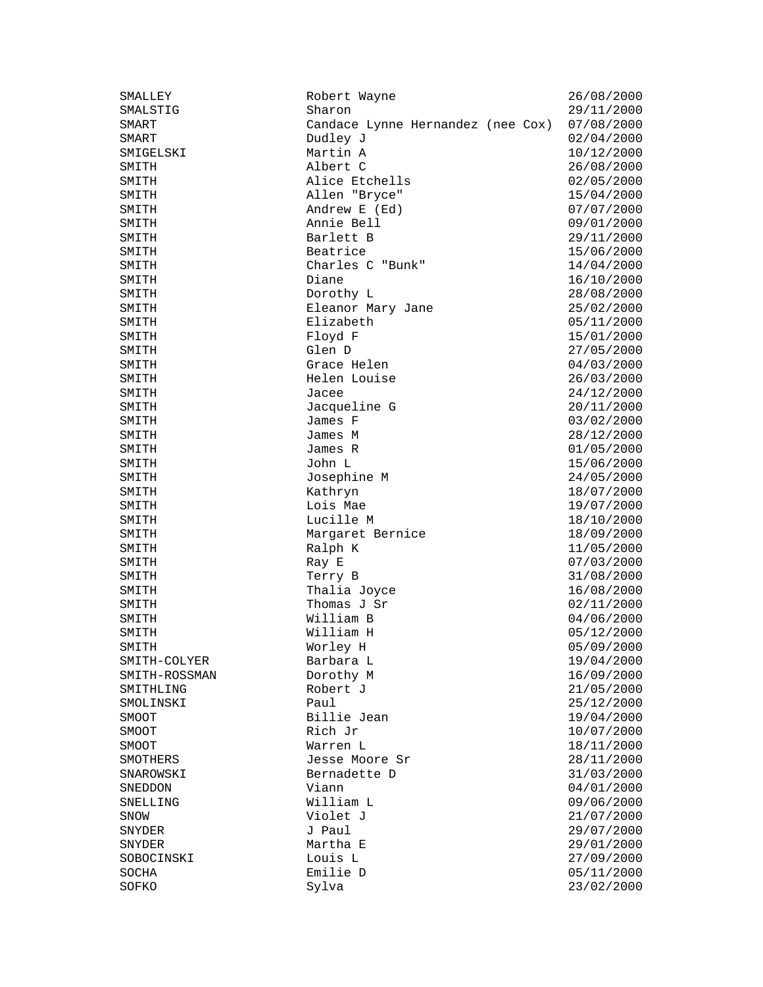| SMALLEY       | Robert Wayne                      | 26/08/2000 |
|---------------|-----------------------------------|------------|
| SMALSTIG      | Sharon                            | 29/11/2000 |
| SMART         | Candace Lynne Hernandez (nee Cox) | 07/08/2000 |
| SMART         | Dudley J                          | 02/04/2000 |
| SMIGELSKI     | Martin A                          | 10/12/2000 |
| SMITH         | Albert C                          | 26/08/2000 |
| SMITH         | Alice Etchells                    | 02/05/2000 |
| SMITH         | Allen "Bryce"                     | 15/04/2000 |
| SMITH         | Andrew E (Ed)                     | 07/07/2000 |
| SMITH         | Annie Bell                        | 09/01/2000 |
| SMITH         | Barlett B                         | 29/11/2000 |
| SMITH         | Beatrice                          | 15/06/2000 |
| SMITH         | Charles C "Bunk"                  | 14/04/2000 |
| SMITH         | Diane                             | 16/10/2000 |
| SMITH         | Dorothy L                         | 28/08/2000 |
| SMITH         | Eleanor Mary Jane                 | 25/02/2000 |
| SMITH         | Elizabeth                         | 05/11/2000 |
| SMITH         | Floyd F                           | 15/01/2000 |
| SMITH         | Glen D                            | 27/05/2000 |
| SMITH         | Grace Helen                       | 04/03/2000 |
| SMITH         | Helen Louise                      | 26/03/2000 |
| SMITH         | Jacee                             | 24/12/2000 |
| SMITH         | Jacqueline G                      | 20/11/2000 |
| SMITH         | James F                           | 03/02/2000 |
| SMITH         | James M                           | 28/12/2000 |
| SMITH         | James R                           | 01/05/2000 |
| SMITH         | John L                            | 15/06/2000 |
| SMITH         | Josephine M                       | 24/05/2000 |
| SMITH         | Kathryn                           | 18/07/2000 |
| SMITH         | Lois Mae                          | 19/07/2000 |
| SMITH         | Lucille M                         | 18/10/2000 |
| SMITH         | Margaret Bernice                  | 18/09/2000 |
| SMITH         | Ralph K                           | 11/05/2000 |
| SMITH         | Ray E                             | 07/03/2000 |
| SMITH         | Terry B                           | 31/08/2000 |
| SMITH         | Thalia Joyce                      | 16/08/2000 |
| SMITH         | Thomas J Sr                       | 02/11/2000 |
| SMITH         | William B                         | 04/06/2000 |
| SMITH         | William H                         | 05/12/2000 |
| SMITH         | Worley H                          | 05/09/2000 |
| SMITH-COLYER  | Barbara L                         | 19/04/2000 |
| SMITH-ROSSMAN | Dorothy M                         | 16/09/2000 |
| SMITHLING     | Robert J                          | 21/05/2000 |
| SMOLINSKI     | Paul                              | 25/12/2000 |
| SMOOT         | Billie Jean                       | 19/04/2000 |
| SMOOT         | Rich Jr                           | 10/07/2000 |
| SMOOT         | Warren L                          | 18/11/2000 |
| SMOTHERS      | Jesse Moore Sr                    | 28/11/2000 |
| SNAROWSKI     | Bernadette D                      | 31/03/2000 |
| SNEDDON       | Viann                             | 04/01/2000 |
| SNELLING      | William L                         | 09/06/2000 |
| SNOW          | Violet J                          | 21/07/2000 |
| SNYDER        | J Paul                            | 29/07/2000 |
| SNYDER        | Martha E                          | 29/01/2000 |
| SOBOCINSKI    | Louis L                           | 27/09/2000 |
| SOCHA         | Emilie D                          | 05/11/2000 |
| SOFKO         | Sylva                             | 23/02/2000 |
|               |                                   |            |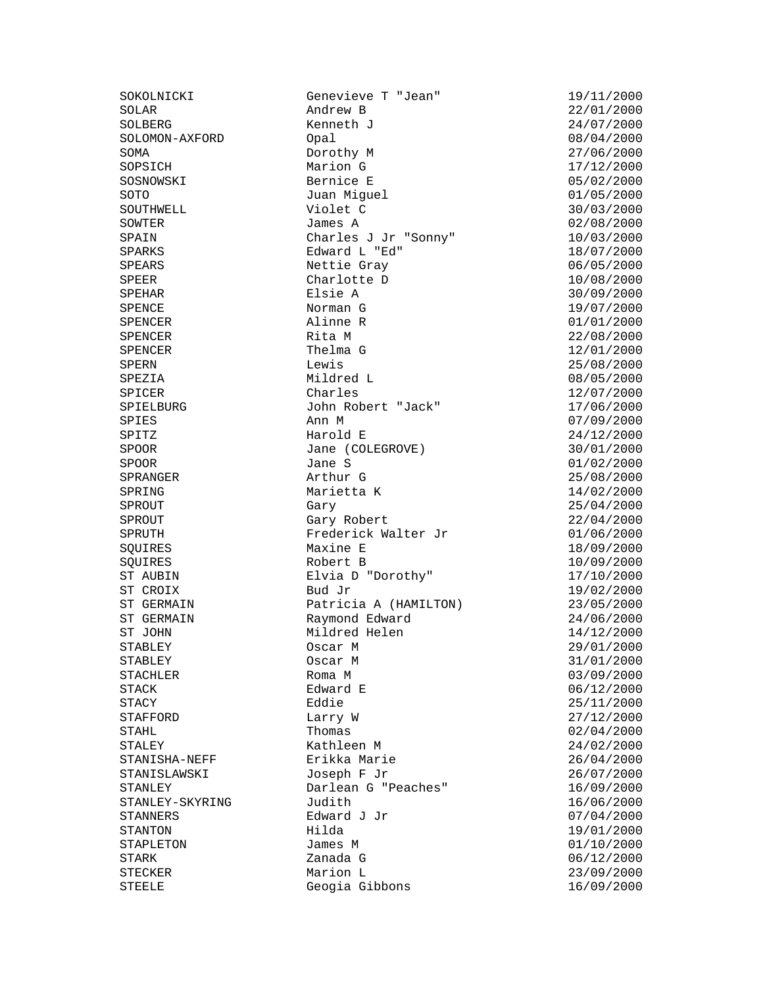SOKOLNICKI Genevieve T "Jean" 19/11/2000<br>SOLAR Andrew B 22/01/2000 SOLBERG Kenneth J 24/07/2000 SOLOMON-AXFORD Opal 08/04/2000 SOMA Dorothy M 27/06/2000 SOPSICH Marion G<br>
Marion G<br>
Bernice E<br>
O5/02/2000 SOSNOWSKI Bernice E 05/02/2000 SOTO Juan Miguel 01/05/2000 SOUTHWELL Violet C 30/03/2000 SOWTER James A 02/08/2000 SPAIN Charles J Jr "Sonny" 10/03/2000 SPARKS Edward L "Ed" 18/07/2000 SPEARS Nettie Gray 10/05/2000<br>SPEER Charlotte D 10/08/2000 SPEER Charlotte D 10/08/2000 SPEHAR Elsie A 30/09/2000 SPENCE Norman G 19/07/2000 SPENCER Alinne R 01/01/2000 SPENCER Rita M 22/08/2000 SPENCER Thelma G 12/01/2000 SPERN Lewis 25/08/2000 SPEZIA Mildred L 08/05/2000 SPICER Charles Charles 212/07/2000 John Robert "Jack" 17/06/2000 SPIES Ann M 07/09/2000 SPITZ Harold E 24/12/2000 Jane (COLEGROVE) 30/01/2000 SPOOR Jane S 01/02/2000 SPRANGER Arthur G 25/08/2000 SPRING Marietta K 14/02/2000 SPROUT Gary Gary 25/04/2000 SPROUT Gary Robert Care Constanting Constanting Constanting Constanting Constanting Constanting Constanting Co<br>SPRUTH Frederick Walter Jr (01/06/2000) Frederick Walter Jr Maxine E 18/09/2000 SQUIRES Robert B 10/09/2000 Elvia D "Dorothy"  $17/10/2000$ <br>Bud Jr  $19/02/2000$ ST CROIX Bud Jr 19/02/2000 ST GERMAIN Patricia A (HAMILTON) 23/05/2000 ST GERMAIN Raymond Edward 24/06/2000 ST JOHN Mildred Helen 14/12/2000 STABLEY Oscar M 29/01/2000 STABLEY Oscar M 31/01/2000 STACHLER Roma M 03/09/2000 STACK Edward E 06/12/2000 STACY Eddie 25/11/2000 STAFFORD Larry W 27/12/2000<br>STAHL Thomas 1.0 27/12/2000 STAHL Thomas 102/04/2000<br>STALEY Kathleen M 24/02/2000 STALEY Kathleen M 24/02/2000 STANISHA-NEFF Erikka Marie 26/04/2000 STANISLAWSKI Joseph F Jr 26/07/2000 STANLEY Darlean G "Peaches" 16/09/2000 STANLEY-SKYRING Judith Judith 16/06/2000 STANNERS Edward J Jr (17/04/2000 STANTON) STANTON Hilda STANTON Hilda 19/01/2000 STAPLETON James M James M 01/10/2000 STARK Zanada G 06/12/2000 STECKER Marion L 23/09/2000 Geogia Gibbons 16/09/2000

 $22/01/2000$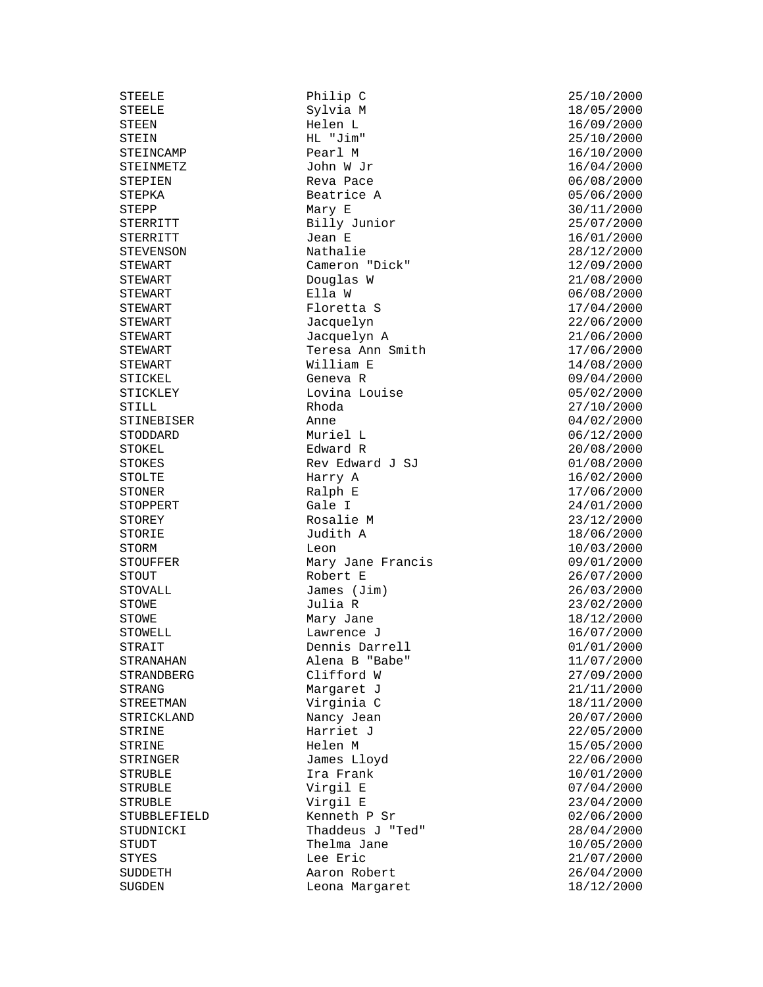STOVALL James (Jim)<br>STOWE Julia R STRUBLE<br>The contract expectation

STEELE Philip C 25/10/2000 Sylvia M 18/05/2000<br>Helen L 16/09/2000 STEEN Helen L 16/09/2000 STEIN HL "Jim" 25/10/2000<br>STEINCAMP Pearl M 26/10/2000 STEINCAMP Pearl M 16/10/2000 STEINMETZ John W Jr 16/04/2000 STEPIEN Reva Pace 06/08/2000<br>STEPKA Beatrice A 05/06/2000 Beatrice A 05/06/2000 STEPP Mary E Mary E 30/11/2000<br>STERRITT Billy Junior 25/07/2000 Billy Junior 25/07/2000 STERRITT Jean E 16/01/2000 STEVENSON Nathalie 28/12/2000 STEWART Cameron "Dick" 12/09/2000<br>STEWART Douglas W 21/08/2000 STEWART Douglas W 21/08/2000 STEWART Ella W 06/08/2000  $Floretta S$  17/04/2000 STEWART Jacquelyn Jacquelyn 22/06/2000 STEWART Jacquelyn A 21/06/2000 Teresa Ann Smith 17/06/2000 STEWART William E 14/08/2000 STICKEL Geneva R 09/04/2000 STICKLEY Lovina Louise 05/02/2000 STILL Rhoda 27/10/2000 STINEBISER Anne 04/02/2000 STODDARD Muriel L 06/12/2000 STOKEL Edward R 20/08/2000 STOKES Rev Edward J SJ 01/08/2000 STOLTE Harry A 16/02/2000 STONER Ralph E 17/06/2000 STOPPERT Gale I 24/01/2000 STOREY Rosalie M 23/12/2000 Judith A<br>Leon STORM Leon Leon 10/03/2000 STOUFFER Mary Jane Francis 09/01/2000 STOUT Robert E 26/07/2000  $J$ ulia R  $J$  23/02/2000 STOWE Mary Jane 18/12/2000<br>STOWELL Lawrence J 16/07/2000 STOWELL Lawrence J 16/07/2000 STRAIT Dennis Darrell 01/01/2000 STRANAHAN Alena B "Babe" 11/07/2000 STRANDBERG Clifford W 27/09/2000 STRANG Margaret J<br>
STREETMAN Virginia C 18/11/2000 Virginia C  $18/11/2000$ STRICKLAND Nancy Jean 20/07/2000<br>STRINE 122/05/2000 Harriet J Harriet J 22/05/2000<br>Helen M 23/05/2000 STRINE THE Helen M 15/05/2000 STRINGER James Lloyd 22/06/2000 STRUBLE Ira Frank 10/01/2000 STRUBLE **Virgil E** 23/04/2000 STUBBLEFIELD Kenneth P Sr 02/06/2000  $\frac{1}{28/04/2000}$ STUDT Thelma Jane 10/05/2000 STYES Lee Eric 21/07/2000 SUDDETH Aaron Robert 26/04/2000 SUGDEN Leona Margaret 18/12/2000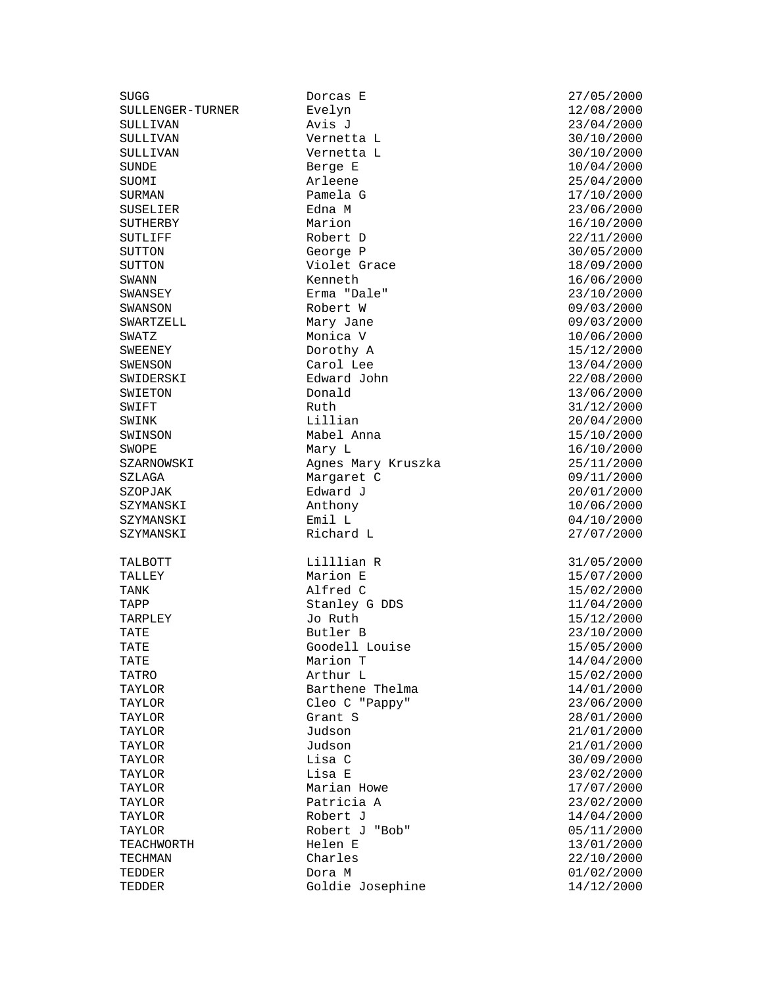SULLENGER-TURNER Evelyn

SUGG Dorcas E 27/05/2000 SULLIVAN Avis J 23/04/2000 SULLIVAN Vernetta L 30/10/2000 Vernetta L 30/10/2000 SUNDE Berge E 10/04/2000 SUOMI Arleene 25/04/2000 SURMAN Pamela G 17/10/2000 SUSELIER Edna M 23/06/2000 SUTHERBY Marion 16/10/2000 SUTLIFF Robert D 22/11/2000 SUTTON George P 30/05/2000 SUTTON Violet Grace 18/09/2000 SWANN Kenneth 16/06/2000 Erma "Dale" SWANSON Robert W 09/03/2000 SWARTZELL Mary Jane 09/03/2000 SWATZ Monica V 10/06/2000 Dorothy A 15/12/2000 SWENSON Carol Lee 13/04/2000 SWIDERSKI Edward John 22/08/2000 SWIETON Donald 13/06/2000 SWIFT Ruth Ruth 31/12/2000 SWINK Lillian 20/04/2000 SWINSON Mabel Anna 15/10/2000 SWOPE Mary L 16/10/2000 SZARNOWSKI Agnes Mary Kruszka 25/11/2000 SZLAGA Margaret C 09/11/2000 SZOPJAK Edward J 20/01/2000 SZYMANSKI Anthony 10/06/2000 SZYMANSKI Emil L 04/10/2000 TALBOTT Lilllian R 31/05/2000 TALLEY Marion E 15/07/2000 TAPP Stanley G DDS 11/04/2000<br>TARPLEY Jo Ruth 15/12/2000 TARPLEY Jo Ruth 15/12/2000 TATE Butler B 23/10/2000 Goodell Louise 15/05/2000 TATE 14/04/2000 Marion T TATRO Arthur L 15/02/2000 TAYLOR Barthene Thelma 14/01/2000 TAYLOR Cleo C "Pappy" 23/06/2000 TAYLOR Grant S 28/01/2000 TAYLOR Judson 21/01/2000 TAYLOR Judson 31/01/2000 TAYLOR Lisa C 30/09/2000 TAYLOR Lisa E 23/02/2000 Marian Howe TAYLOR Patricia A 23/02/2000 TAYLOR Robert J 14/04/2000 Robert J "Bob" 05/11/2000 TEACHWORTH Helen E 13/01/2000 TECHMAN Charles 22/10/2000 TEDDER Dora M 01/02/2000 Goldie Josephine 14/12/2000

 $27/07/2000$ 15/02/2000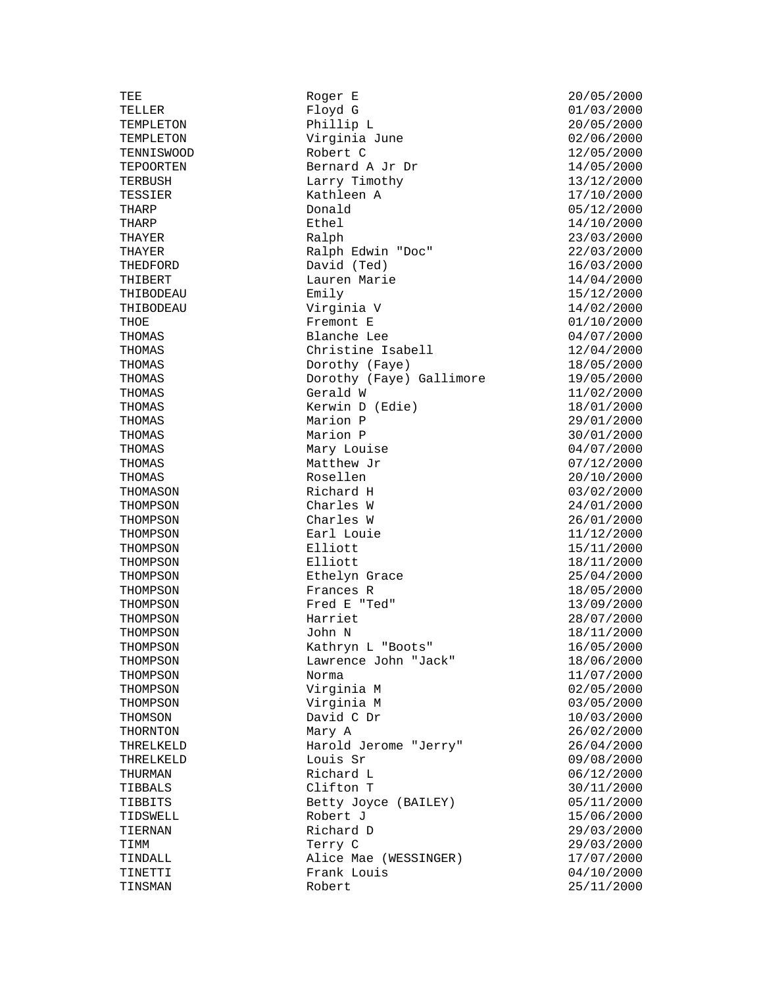TEE Roger E 20/05/2000<br>TELLER Floyd G 20/05/2000 TEMPLETON Phillip L 20/05/2000 TEMPLETON Virginia June 02/06/2000 TENNISWOOD Robert C 12/05/2000 TEPOORTEN Bernard A Jr Dr 14/05/2000 TERBUSH Larry Timothy 13/12/2000 TESSIER Kathleen A 17/10/2000 THARP Donald 05/12/2000 THARP **Ethel Ethel 14/10/2000** THAYER Ralph 23/03/2000 THAYER Ralph Edwin "Doc" 22/03/2000 THEDFORD David (Ted) 16/03/2000 THIBERT Lauren Marie 14/04/2000<br>THIBODEAU Emily Emily 15/12/2000 Emily 15/12/2000<br>Virginia V 14/02/2000 THIBODEAU Virginia V 14/02/2000 THOE Fremont E 01/10/2000<br>THOMAS Blanche Lee 04/07/2000 THOMAS Blanche Lee 04/07/2000 THOMAS Christine Isabell 12/04/2000 THOMAS Dorothy (Faye) 18/05/2000 THOMAS Dorothy (Faye) Gallimore 19/05/2000 THOMAS Gerald W 11/02/2000 THOMAS Kerwin D (Edie) 18/01/2000 THOMAS Marion P 29/01/2000 THOMAS Marion P 30/01/2000 THOMAS Mary Louise Mary 2000 Mary 2000 THOMAS Matthew Jr 107/12/2000 THOMAS Rosellen 20/10/2000 THOMASON Richard H 03/02/2000<br>THOMPSON Charles W 24/01/2000 THOMPSON Charles W 24/01/2000 THOMPSON Charles W 26/01/2000<br>THOMPSON Earl Louie 11/12/2000 THOMPSON Earl Louie<br>THOMPSON Elliott Elliott 15/11/2000 THOMPSON Elliott Elliott 18/11/2000 THOMPSON Ethelyn Grace 25/04/2000 THOMPSON Frances R 18/05/2000<br>THOMPSON Fred E "Ted" 13/09/2000 Fred E "Ted" 13/09/2000 THOMPSON Harriet 28/07/2000 THOMPSON John N John N 18/11/2000<br>THOMPSON Kathryn L "Boots" 16/05/2000 Kathryn L "Boots" 16/05/2000 THOMPSON Lawrence John "Jack" 18/06/2000 THOMPSON Norma 11/07/2000 THOMPSON **Virginia M** 02/05/2000 THOMPSON Virginia M 03/05/2000 THOMSON David C Dr 10/03/2000<br>THORNTON Mary A 26/02/2000 THORNTON Mary A 26/02/2000 THRELKELD Harold Jerome "Jerry" 26/04/2000 THRELKELD Louis Sr 09/08/2000 THURMAN Richard L 06/12/2000<br>TIBBALS Clifton T 30/11/2000 Clifton T  $30/11/2000$ TIBBITS Betty Joyce (BAILEY) 05/11/2000 TIDSWELL Robert J 15/06/2000 Richard D 29/03/2000 TIMM **TERRY C** 29/03/2000 TINDALL Alice Mae (WESSINGER) 17/07/2000 TINETTI Frank Louis 04/10/2000

 $01/03/2000$  $25/11/2000$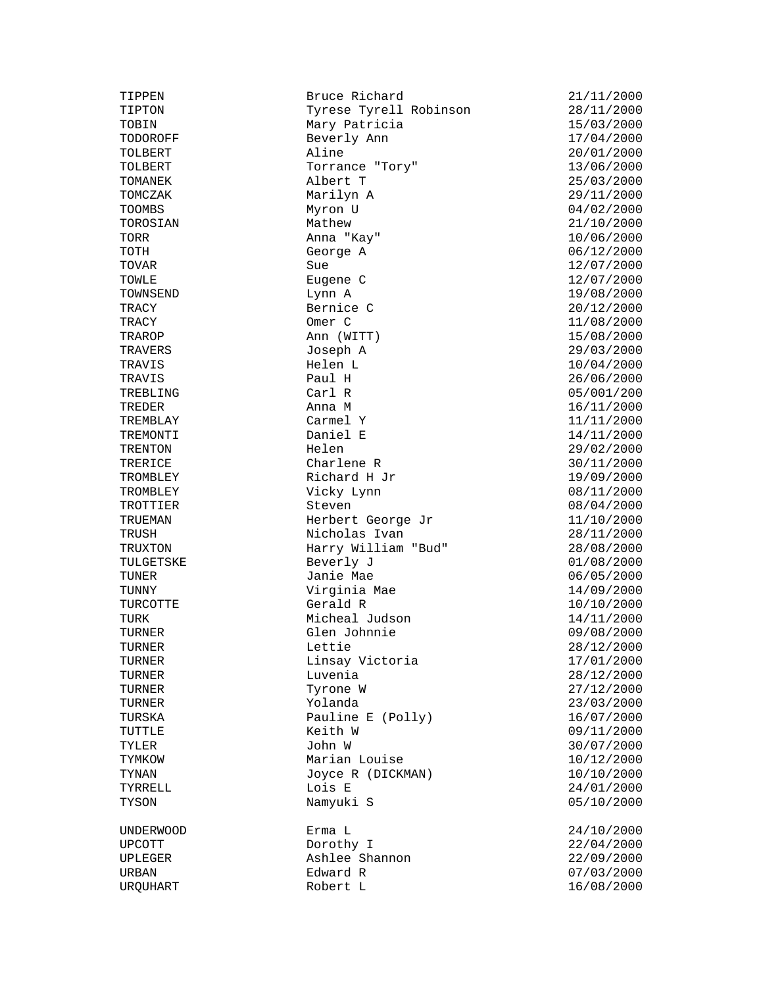TOWNSEND<br>TRACY TRAVERS Joseph A<br>TRAVIS Helen L

TIPPEN Bruce Richard 21/11/2000<br>TIPTON Tyrese Tyrell Robinson 28/11/2000 Tyrese Tyrell Robinson TOBIN Mary Patricia 15/03/2000<br>TODOROFF Beverly Ann 17/04/2000 Beverly Ann 17/04/2000<br>Aline 20/01/2000 TOLBERT Aline 20/01/2000 TOLBERT TORREST TORREST TORREST TORREST TO THE TORREST TO THE TORREST TO THE TORREST TO THE TORREST TO THE TORREST TO THE TOP OF THE TOP OF THE TOP OF THE TOP OF THE TOP OF THE TOP OF THE TOP OF THE TOP OF THE TOP OF THE T TOMANEK Albert T 25/03/2000 TOMCZAK Marilyn A 29/11/2000 TOOMBS Myron U 04/02/2000<br>TOROSIAN Mathew Mathew 21/10/2000 TOROSIAN Mathew 21/10/2000 TORR Anna "Kay" 10/06/2000 TOTH George A 06/12/2000 TOVAR Sue 12/07/2000 TOWLE Eugene C 12/07/2000 TRACY Bernice C 20/12/2000 TRACY 0mer C 11/08/2000<br>TRAROP 2000 Ann (WITT) 15/08/2000 TRAROP **Ann** (WITT) 15/08/2000<br>TRAVERS Joseph A 29/03/2000 TRAVIS Helen L 10/04/2000<br>Taul H 10/04/2000 TRAVIS Paul H 26/06/2000 TREBLING Carl R Carl R 05/001/200<br>TREDER 2000 Anna M 16/11/2000 TREDER Anna M 16/11/2000 TREMBLAY Carmel Y 11/11/2000 TREMONTI Daniel E 14/11/2000 TRENTON Helen 29/02/2000 TRERICE Charlene R 30/11/2000 Richard H Jr 19/09/2000 TROMBLEY Richard H Jr 19/09/2000<br>
TROMBLEY Vicky Lynn 08/11/2000<br>
TROTTIER Steven 68/04/2000 TROTTIER Steven<br>TRUEMAN Herbert George Jr 11/10/2000 TRUEMAN Herbert George Jr 11/10/2000 TRUSH Nicholas Ivan<br>TRUXTON Harry William "Bu Harry William "Bud" 28/08/2000 TULGETSKE Beverly J 01/08/2000 TUNER Janie Mae 06/05/2000 TUNNY Virginia Mae<br>TURCOTTE Gerald R TURCOTTE Gerald R 10/10/2000 TURK Micheal Judson 14/11/2000 TURNER Glen Johnnie 199/08/2000<br>TURNER Lettie 199/08/2000 TURNER Linsay Victoria 17/01/2000 TURNER Luvenia 28/12/2000 TURNER Tyrone W 27/12/2000 TURNER Yolanda 23/03/2000 TURSKA Pauline E (Polly) 16/07/2000 TUTTLE Keith W 09/11/2000 TYLER John W 30/07/2000 TYMKOW Marian Louise 10/12/2000 TYNAN Joyce R (DICKMAN) 10/10/2000 TYSON Namyuki S 05/10/2000 UNDERWOOD Erma L 24/10/2000 UPCOTT Dorothy I 22/04/2000 UPLEGER Ashlee Shannon 22/09/2000 URBAN Edward R 07/03/2000

TURNER Lettie 28/12/2000 TYRRELL Lois E 24/01/2000 URQUHART Robert L 16/08/2000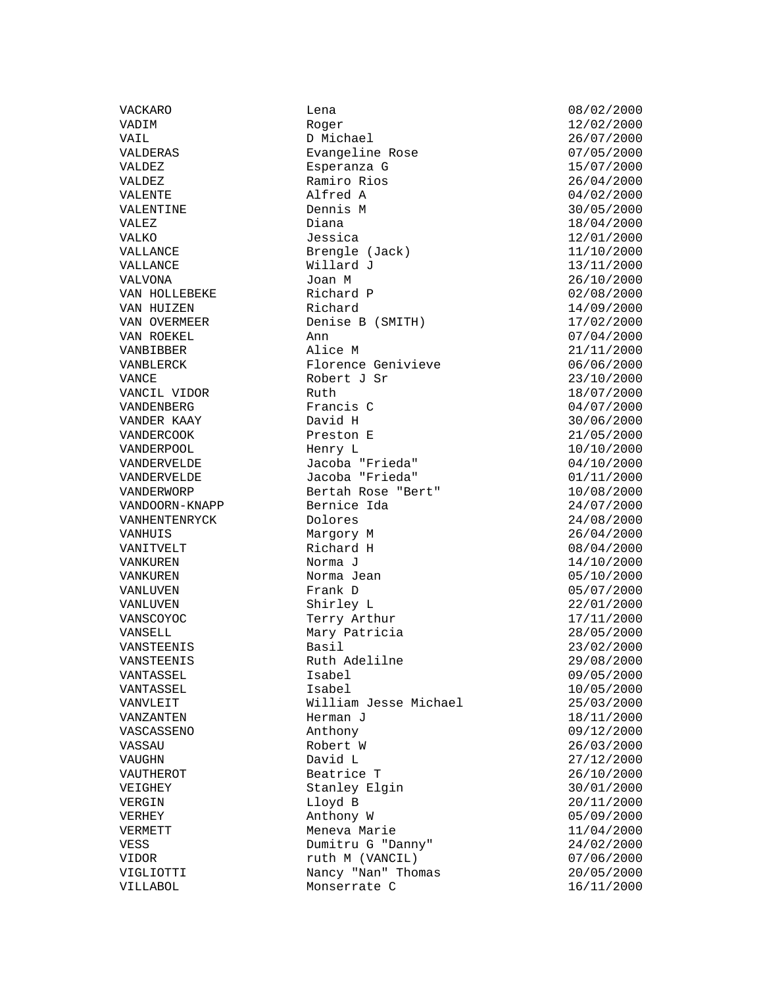VACKARO Lena 08/02/2000 VADIM Roger Roger 22/02/2000 VAIL D Michael 26/07/2000 VALDERAS Evangeline Rose 07/05/2000 VALDEZ Esperanza G 15/07/2000 VALDEZ Ramiro Rios 26/04/2000  $VALENTE$  alfred A 04/02/2000 VALENTINE Dennis M 30/05/2000 VALEZ Diana 18/04/2000 VALKO Jessica 12/01/2000 VALLANCE Brengle (Jack) 11/10/2000 VALLANCE Willard J 13/11/2000 VALVONA Joan M 26/10/2000 VAN HOLLEBEKE Richard P 02/08/2000 VAN HUIZEN Richard 14/09/2000 VAN OVERMEER Denise B (SMITH) 17/02/2000 VAN ROEKEL Ann 07/04/2000 VANBIBBER Alice M 21/11/2000 VANBLERCK Florence Genivieve 06/06/2000 VANCE Robert J Sr 23/10/2000 VANCIL VIDOR Ruth 18/07/2000 VANDENBERG Francis C 04/07/2000 VANDER KAAY David H 30/06/2000 VANDERCOOK Preston E 21/05/2000 VANDERPOOL Henry L 10/10/2000 VANDERVELDE Jacoba "Frieda" 04/10/2000 VANDERVELDE Jacoba "Frieda" 01/11/2000 VANDERWORP Bertah Rose "Bert" 10/08/2000 VANDOORN-KNAPP Bernice Ida 24/07/2000 VANHENTENRYCK Dolores 24/08/2000 VANHUIS Margory M 26/04/2000 VANITVELT Richard H 08/04/2000 VANKUREN Norma J 14/10/2000 VANKUREN Norma Jean 05/10/2000 VANLUVEN Frank D 05/07/2000 VANLUVEN Shirley L 22/01/2000 VANSCOYOC Terry Arthur 17/11/2000 VANSELL Mary Patricia 28/05/2000 VANSTEENIS Basil 23/02/2000 VANSTEENIS Ruth Adelilne 29/08/2000 VANTASSEL Isabel 09/05/2000 VANTASSEL Isabel 10/05/2000 VANVLEIT William Jesse Michael 25/03/2000 VANZANTEN Herman J 18/11/2000 VASCASSENO Anthony 09/12/2000 VASSAU Robert W 26/03/2000 VAUGHN David L 27/12/2000 VAUTHEROT Beatrice T 26/10/2000 VEIGHEY Stanley Elgin 30/01/2000 VERGIN Lloyd B 20/11/2000 VERHEY Anthony W 05/09/2000 VERMETT Meneva Marie 11/04/2000 VESS Dumitru G "Danny" 24/02/2000 VIDOR ruth M (VANCIL) 07/06/2000 VIGLIOTTI Nancy "Nan" Thomas 20/05/2000 VILLABOL Monserrate C 16/11/2000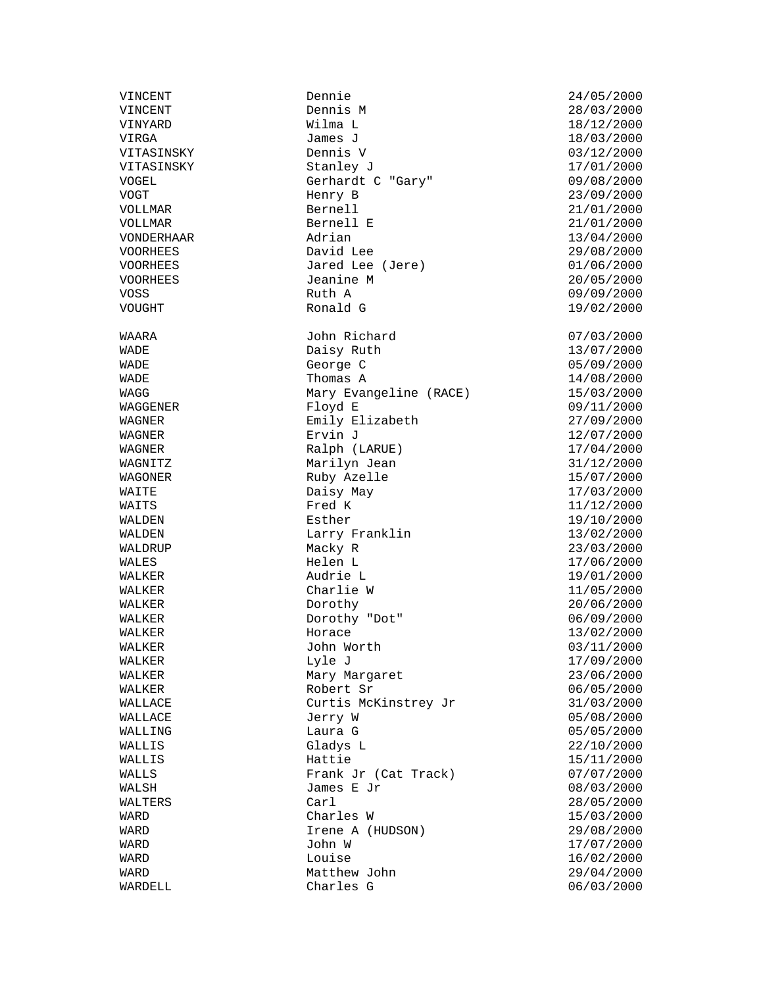VINCENT Dennie 24/05/2000 VINCENT Dennis M 28/03/2000 VINYARD Wilma L 18/12/2000 VIRGA James J 18/03/2000 VITASINSKY Dennis V 03/12/2000 VITASINSKY Stanley J 17/01/2000 VOGEL Gerhardt C "Gary" 09/08/2000 VOGT Henry B 23/09/2000 VOLLMAR Bernell 21/01/2000 VOLLMAR Bernell E 21/01/2000 VONDERHAAR Adrian 13/04/2000 VOORHEES David Lee 29/08/2000 VOORHEES Jared Lee (Jere) 01/06/2000<br>VOORHEES Jeanine M (Jere) 20/05/2000 VOORHEES Jeanine M 20/05/2000 VOSS Ruth A 09/09/2000 WAARA John Richard 07/03/2000 WADE Daisy Ruth<br>13/07/2000 MADE George C George C 05/09/2000 WADE **Thomas A** 14/08/2000 WAGG Mary Evangeline (RACE) 15/03/2000<br>WAGGENER Floyd E 09/11/2000  $WAGGENER$  and  $H = WQ$  and  $WQ = WQ$  is the contract of  $WQ = WQ$  and  $WQ = WQ$  is the contract of  $WQ = WQ$ WAGNER Emily Elizabeth 27/09/2000 WAGNER Ervin J<br>
Ervin J<br>
Ralph (LARUE) 17/04/2000<br>
17/04/2000 WAGNER Ralph (LARUE) WAGNITZ Marilyn Jean 31/12/2000 WAGNITE<br>WAGONER Ruby Azelle 15/07/2000 WAITE Daisy May 2000 Daisy May 2000 WAITS Fred K 11/12/2000<br>WALDEN Esther Esther 19/10/2000 WALDEN Esther Exthene Esther 19/10/2000<br>WALDEN Larry Franklin 13/02/2000 WALDEN Larry Franklin<br>
WALDRUP Macky R Macky R 23/03/2000 WALES Helen L 17/06/2000 WALKER Audrie L 19/01/2000 WALKER Charlie W 11/05/2000  $\mathtt{WALKER}$  and  $\mathtt{Dorothy}$  and  $\mathtt{WALKER}$  and  $\mathtt{20/06/2000}$ WALKER Dorothy "Dot" 06/09/2000 WALKER Horace 13/02/2000 John Worth 03/11/2000 WALKER Lyle J Lyle J 17/09/2000 WALKER Mary Margaret 23/06/2000 Margaret WALKER Robert Sr 06/05/2000 WALLACE Curtis McKinstrey Jr 31/03/2000 WALLACE Jerry W 05/08/2000 Laura G 05/05/2000 WALLIS Gladys L 22/10/2000 WALLIS Hattie 15/11/2000 WALLS Frank Jr (Cat Track) 07/07/2000<br>WALSH James E Jr (Cat Track) 08/03/2000 James E Jr 08/03/2000 WALTERS Carl 28/05/2000 WARD Charles W 15/03/2000 Irene A (HUDSON) 29/08/2000 WARD John W 17/07/2000 WARD Louise Louise 16/02/2000 WARD Matthew John 29/04/2000<br>WARDELL Charles G Charles G  $06/03/2000$ 

19/02/2000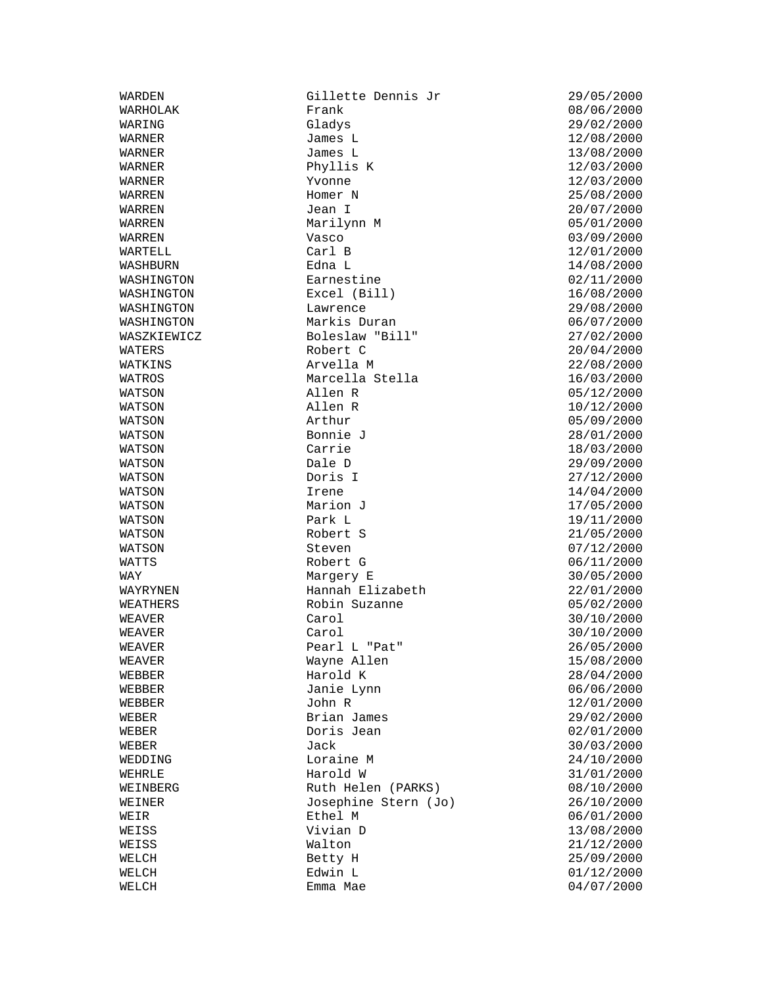WARDEN Gillette Dennis Jr (29/05/2000)<br>WARHOLAK Frank Frank (2000) Frank 08/06/2000 WARING Gladys 29/02/2000 WARNER  $J$ ames L $12/08/2000$ WARNER James L 3/08/2000 WARNER Phyllis K 12/03/2000 WARNER Yvonne 12/03/2000 WARREN Homer N 25/08/2000 WARREN Jean I 20/07/2000 WARREN Marilynn M 05/01/2000 WARREN Vasco Vasco 03/09/2000 WARTELL Carl B 12/01/2000 WASHBURN Edna L 14/08/2000 WASHINGTON Earnestine Earnestine 02/11/2000<br>WASHINGTON Excel (Bill) 02/11/2000 Excel (Bill) WASHINGTON Lawrence 29/08/2000 WASHINGTON Markis Duran 06/07/2000 WASZKIEWICZ Boleslaw "Bill" 27/02/2000 WATERS Robert C 20/04/2000 WATKINS **Arvella M** 22/08/2000 WATROS Marcella Stella 16/03/2000 WATSON Allen R 05/12/2000  $WATSON$  and  $R$  and  $MATSON$  and  $MATSON$  and  $MATSON$  and  $MATSON$  and  $MATSON$  and  $MATSON$  and  $MATSON$  and  $MATSON$  and  $MATSON$  and  $MATSON$  and  $MATSON$  and  $MATSON$  and  $MATSON$  and  $MATSON$  and  $MATSON$  and  $MATSON$  and  $MATSON$  and  $MATSON$  and  $MATSON$  and  $MATSON$  and  $MAT$ WATSON Arthur 05/09/2000 WATSON Bonnie J 28/01/2000 WATSON Carrie 18/03/2000 WATSON Dale D 29/09/2000 WATSON Doris I 27/12/2000 WATSON Irene 14/04/2000 WATSON Marion J 27/05/2000 WATSON Park L 19/11/2000 WATSON Steven Steven 07/12/2000 WATTS Robert G 06/11/2000 WAY Margery E 30/05/2000 Hannah Elizabeth 22/01/2000 WEATHERS Robin Suzanne 1996/02/2000 Robin Suzanne WEAVER Carol Carol 30/10/2000 WEAVER Carol 30/10/2000 WEAVER Pearl L "Pat" 26/05/2000 WEAVER Wayne Allen 15/08/2000 Weakler WEBBER Harold K 28/04/2000 WEBBER Janie Lynn 06/06/2000 WEBBER John R 12/01/2000 WEBER Brian James 29/02/2000 WEBER Doris Jean 02/01/2000 WEBER Jack 30/03/2000 WEDDING Loraine M 24/10/2000 WEHRLE Harold W 31/01/2000 Ruth Helen (PARKS) 08/10/2000 WEINER Josephine Stern (Jo) 26/10/2000 WEIR Ethel M 06/01/2000 WEISS Walton 21/12/2000 WELCH 25/09/2000 Betty H WELCH Edwin L 01/12/2000 Emma Mae  $04/07/2000$ 

 $21/05/2000$ 13/08/2000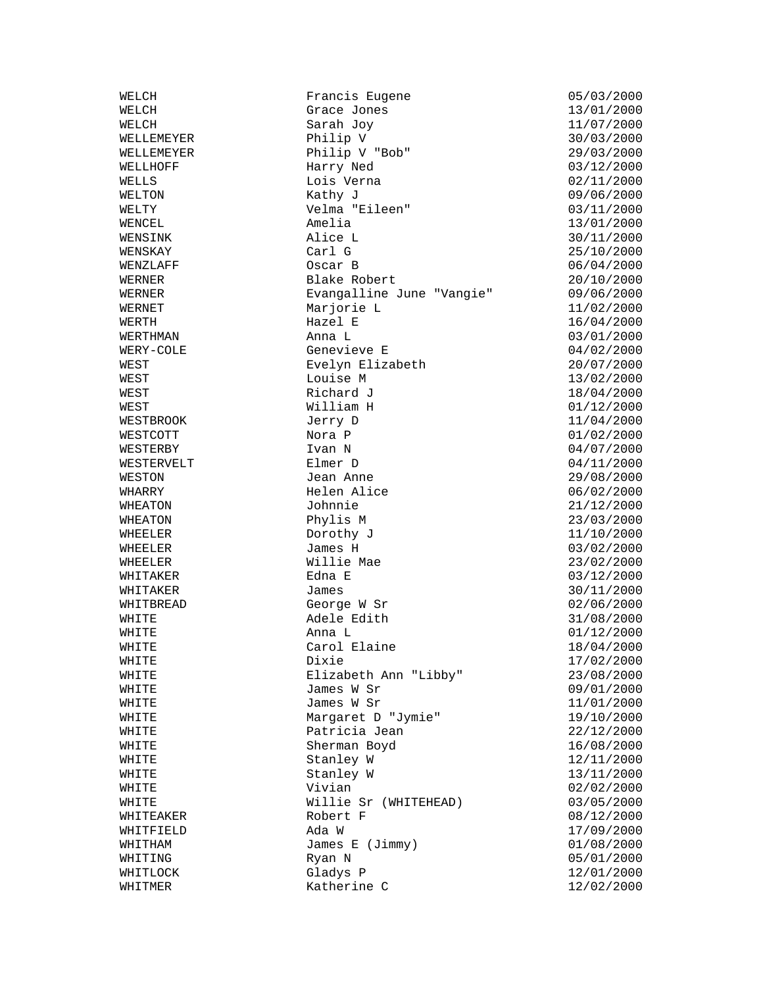WHEELER Dorothy J<br>
WHEELER James H

WELCH Francis Eugene 05/03/2000<br>WELCH Grace Jones 13/01/2000 Grace Jones WELCH  $Sarah$  Joy  $11/07/2000$ WELLEMEYER Philip V 30/03/2000 WELLEMEYER Philip V "Bob" 29/03/2000 Harry Ned 03/12/2000 WELLS Lois Verna 02/11/2000 WELTON Kathy J 09/06/2000 WELTY Velma "Eileen" 03/11/2000 WENCEL Amelia 13/01/2000 Alice L<br>Carl G 30/11/2000<br>25/10/2000 WENSKAY Carl G 25/10/2000 WENZLAFF Oscar B 06/04/2000 WERNER Blake Robert 20/10/2000 Evangalline June "Vangie" WERNET Marjorie L<br>
Marjorie L<br>
Mazel E 16/04/2000 WERTH NERTH Hazel E 16/04/2000<br>
WERTHMAN Anna L<br>
Anna L<br>
O3/01/2000 WERTHMAN  $\blacksquare$  Anna L  $\blacksquare$  03/01/2000 WERY-COLE Genevieve E 04/02/2000 WEST Evelyn Elizabeth 20/07/2000 WEST 13/02/2000 Louise M 13/02/2000 WEST Richard J 18/04/2000 WEST William H 01/12/2000 WESTBROOK Jerry D 11/04/2000 WESTCOTT Nora P 1/02/2000<br>
WESTERBY 1 URAN N 104/07/2000 WESTERBY Ivan N 04/07/2000 WESTERVELT Elmer D 04/11/2000 WESTON Jean Anne 29/08/2000 WHARRY Helen Alice 06/02/2000 WHEATON Johnnie 21/12/2000 WHEATON Phylis M Phylis M 23/03/2000<br>WHEELER Dorothy J 11/10/2000 James H 03/02/2000 WHEELER Willie Mae 23/02/2000 WHITAKER Edna E 03/12/2000 WHITAKER James<br>
VERTIFIERE JAMES ST ST UNITEREND George WST 2000<br>
MUITER Adole Edith 21/08/2000 WHITBREAD George W Sr 02/06/2000 WHITE Adele Edith 31/08/2000 Adele Edith WHITE Anna L<br>
Carol Elaine (2000)<br>
Carol Elaine (2000) Carol Elaine 18/04/2000 WHITE Dixie Dixie 17/02/2000 WHITE Elizabeth Ann "Libby" 23/08/2000 WHITE James W Sr 09/01/2000 James W Sr 11/01/2000 WHITE Margaret D "Jymie" 19/10/2000<br>
WHITE Margaret D "Jymie" 19/10/2000<br>
WHITE Patricia Jean 22/12/2000 Patricia Jean 22/12/2000 WHITE Sherman Boyd 16/08/2000 WHITE Stanley W 12/11/2000<br>WHITE Stanley W 13/11/2000 WHITE Stanley W 13/11/2000<br>WHITE Vivian Vivian 8/2/02/2000 WHITE Willie Sr (WHITEHEAD) 03/05/2000<br>WHITEAKER Robert F Robert F 08/12/2000<br>Ada W 17/09/2000 WHITFIELD Ada W Ada W 17/09/2000 WHITHAM James E (Jimmy) 01/08/2000 WHITING Ryan N 2000 RYAN N WHITLOCK Gladys P 12/01/2000<br>WHITMER Katherine C 12/02/2000 Katherine C  $12/02/2000$ 

 $02/02/2000$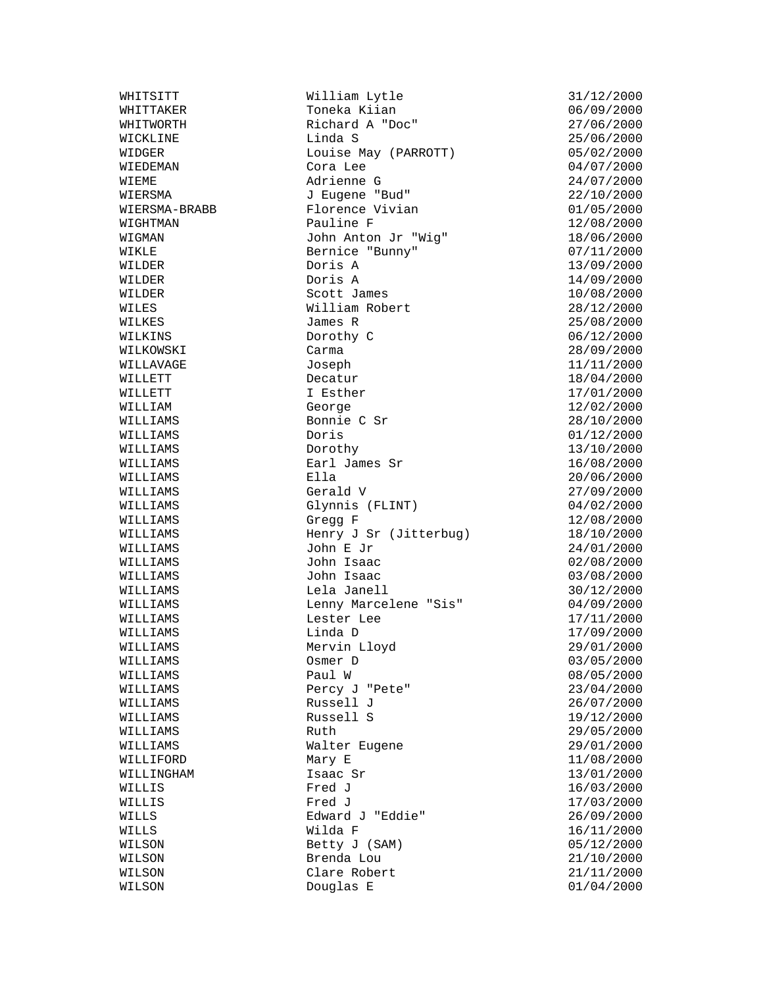WHITTAKER Toneka Kiian 06/09/2000 WILLIAMS Lela Janell 30/12/2000

WHITSITT William Lytle 31/12/2000 Printed A "Doc" 27/06/2000<br>Richard A "Doc" 27/06/2000<br>Linda S 25/06/2000 WICKLINE Linda S 25/06/2000 WIDGER Louise May (PARROTT) 05/02/2000 WIEDEMAN Cora Lee 04/07/2000 WIEME Adrienne G 24/07/2000<br>
WIERSMA J Eugene "Bud" 22/10/2000 WIERSMA J Eugene "Bud" 22/10/2000 WIERSMA-BRABB Florence Vivian 01/05/2000 WIGHTMAN Pauline F 12/08/2000 WIGMAN John Anton Jr "Wig" 18/06/2000 WIKLE Bernice "Bunny" 07/11/2000 WILDER Doris A 13/09/2000 WILDER Doris A 14/09/2000 Scott James WILES William Robert 28/12/2000<br>WILKES James R 25/08/2000 WILKES James R 25/08/2000 WILKINS Dorothy C 06/12/2000 WILKOWSKI Carma 28/09/2000 WILLAVAGE Joseph 11/11/2000 WILLETT Decatur Decatur 18/04/2000 WILLETT 17/01/2000 I Esther 17/01/2000 WILLIAM George 12/02/2000<br>
WILLIAMS Bonnie C Sr 28/10/2000 Bonnie C Sr 28/10/2000<br>Doris 201/12/2000 WILLIAMS Doris Doris 01/12/2000<br>WILLIAMS Dorothy 13/10/2000 WILLIAMS Earl James Sr 16/08/2000 WILLIAMS Ella 20/06/2000 WILLIAMS Gerald V 27/09/2000 Glynnis (FLINT) 04/02/2000 WILLIAMS Gregg F 12/08/2000<br>WILLIAMS Henry J Sr (Jitterbug) 18/10/2000 WILLIAMS Henry J Sr (Jitterbug)<br>WILLIAMS John E Jr John E Jr 24/01/2000 WILLIAMS John Isaac 02/08/2000 WILLIAMS John Isaac 03/08/2000 Lenny Marcelene "Sis" 04/09/2000 WILLIAMS Lester Lee 17/11/2000 WILLIAMS Linda D 17/09/2000 Mervin Lloyd 29/01/2000 WILLIAMS Osmer D 03/05/2000 WILLIAMS Paul W 08/05/2000 WILLIAMS Percy J "Pete" 23/04/2000 Russell J 26/07/2000 WILLIAMS Russell S 19/12/2000 WILLIAMS Ruth 29/05/2000 WILLIAMS Walter Eugene 29/01/2000 WILLIAMS WALTER Eugene<br>
MILLIFORD Mary E 11/08/2000 WILLINGHAM Isaac Sr  $13/01/2000$ <br>WILLINGHAM Isaac Sr  $16/03/2000$ WILLIS Fred J and the Second Pred Control of the Second State of the Second State of the Second State of the S WILLS Edward J "Eddie" 26/09/2000 WILLS  $\text{Wilda F}$  and  $16/11/2000$ WILSON Betty J (SAM) 05/12/2000 WILSON Brenda Lou 21/10/2000 WILSON Clare Robert 21/11/2000<br>WILSON Douglas E 01/04/2000 Douglas E 01/04/2000

13/10/2000 16/03/2000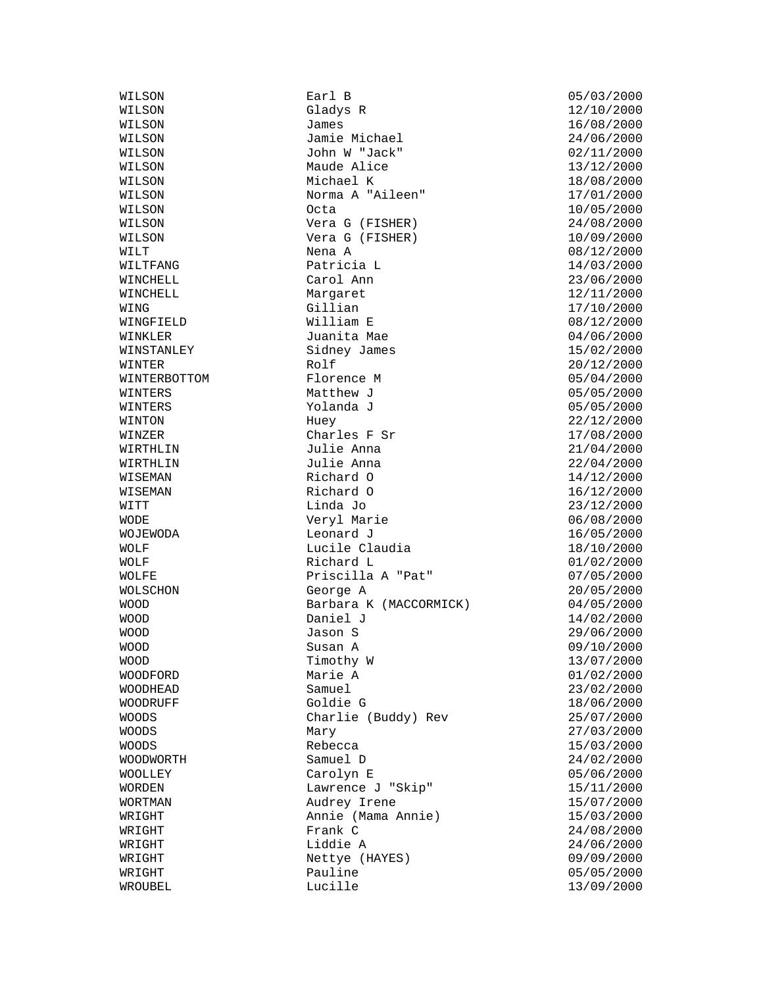WILSON Earl B 05/03/2000 Gladys R 12/10/2000 WILSON James James 16/08/2000 WILSON Jamie Michael 24/06/2000 WILSON John W "Jack" 02/11/2000 WILSON Maude Alice 13/12/2000 WILSON Michael K 18/08/2000 WILSON Norma A "Aileen" 17/01/2000 WILSON Octa 10/05/2000 WILSON Vera G (FISHER) 24/08/2000 WILSON **Vera G** (FISHER) 10/09/2000 WILT Nena A 08/12/2000 WILTFANG Patricia L 14/03/2000 WINCHELL Carol Ann 23/06/2000 Margaret 12/11/2000 WING Gillian Gillian (Gillian 17/10/2000)<br>William E (Gillian Holds) (Gillian Holds) (Gillian Holds) (Gillian Holds) (Gillian Holds) (Gillian Holds) (Gi WINGFIELD William E 08/12/2000 WINKLER Juanita Mae 04/06/2000 Sidney James 15/02/2000<br>Rolf 20/12/2000 WINTER 20/12/2000 Rolf 2001 WINTERBOTTOM Florence M 05/04/2000 WINTERS Matthew J 05/05/2000 WINTERS Yolanda J 05/05/2000 WINTON Huey 22/12/2000 WINZER Charles F Sr 17/08/2000 WIRTHLIN Julie Anna 21/04/2000 WIRTHLIN Julie Anna 22/04/2000 WISEMAN Richard O 14/12/2000 WISEMAN Richard O 16/12/2000 WITT 1999 Linda Jo 23/12/2000 WODE Veryl Marie 06/08/2000 Leonard J WOLF **Lucile Claudia** 18/10/2000 WOLF **Richard L Richard L 01/02/2000** WOLFE Priscilla A "Pat" 07/05/2000 WOLSCHON George A 20/05/2000 WOOD Barbara K (MACCORMICK) 04/05/2000 WOOD **Daniel J** 14/02/2000 WOOD **Jason S** 29/06/2000 WOOD Susan A 09/10/2000 WOOD **Timothy W** 13/07/2000 WOODFORD Marie A 01/02/2000 WOODHEAD Samuel 23/02/2000 WOODRUFF Goldie G 18/06/2000 WOODS Charlie (Buddy) Rev 25/07/2000 WOODS Mary 27/03/2000 WOODS Rebecca Report Report of the Report of the Report of the MS (2000) Report of the Report of the Report of the Report of the Report of the Report of the Report of the Report of the Report of the Report of the Report of WOODWORTH Samuel D 24/02/2000 WOOLLEY Carolyn E 05/06/2000 WORDEN Lawrence J "Skip" 15/11/2000 WORTMAN Audrey Irene 15/07/2000 WRIGHT Annie (Mama Annie) 15/03/2000 WRIGHT Frank C 24/08/2000 Liddie A 24/06/2000 WRIGHT Nettye (HAYES) 09/09/2000 WRIGHT Pauline Pauline 05/05/2000 WROUBEL Lucille 13/09/2000